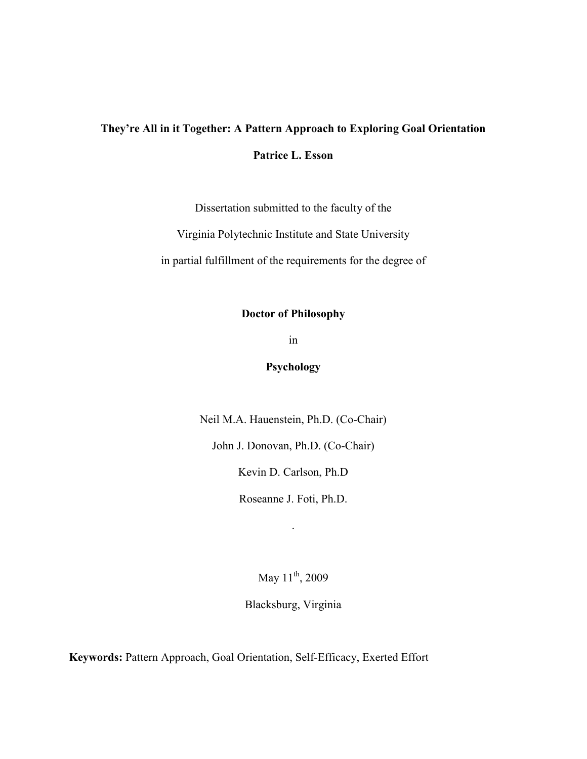# **They're All in it Together: A Pattern Approach to Exploring Goal Orientation Patrice L. Esson**

Dissertation submitted to the faculty of the

Virginia Polytechnic Institute and State University

in partial fulfillment of the requirements for the degree of

# **Doctor of Philosophy**

in

# **Psychology**

Neil M.A. Hauenstein, Ph.D. (Co-Chair)

John J. Donovan, Ph.D. (Co-Chair)

Kevin D. Carlson, Ph.D

Roseanne J. Foti, Ph.D.

.

May  $11^{th}$ , 2009

Blacksburg, Virginia

**Keywords:** Pattern Approach, Goal Orientation, Self-Efficacy, Exerted Effort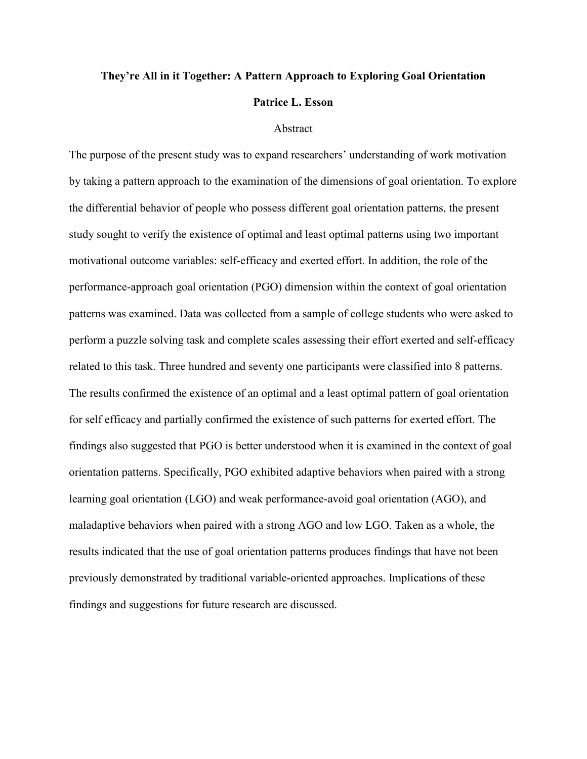# **They're All in it Together: A Pattern Approach to Exploring Goal Orientation Patrice L. Esson**

## Abstract

The purpose of the present study was to expand researchers' understanding of work motivation by taking a pattern approach to the examination of the dimensions of goal orientation. To explore the differential behavior of people who possess different goal orientation patterns, the present study sought to verify the existence of optimal and least optimal patterns using two important motivational outcome variables: self-efficacy and exerted effort. In addition, the role of the performance-approach goal orientation (PGO) dimension within the context of goal orientation patterns was examined. Data was collected from a sample of college students who were asked to perform a puzzle solving task and complete scales assessing their effort exerted and self-efficacy related to this task. Three hundred and seventy one participants were classified into 8 patterns. The results confirmed the existence of an optimal and a least optimal pattern of goal orientation for self efficacy and partially confirmed the existence of such patterns for exerted effort. The findings also suggested that PGO is better understood when it is examined in the context of goal orientation patterns. Specifically, PGO exhibited adaptive behaviors when paired with a strong learning goal orientation (LGO) and weak performance-avoid goal orientation (AGO), and maladaptive behaviors when paired with a strong AGO and low LGO. Taken as a whole, the results indicated that the use of goal orientation patterns produces findings that have not been previously demonstrated by traditional variable-oriented approaches. Implications of these findings and suggestions for future research are discussed.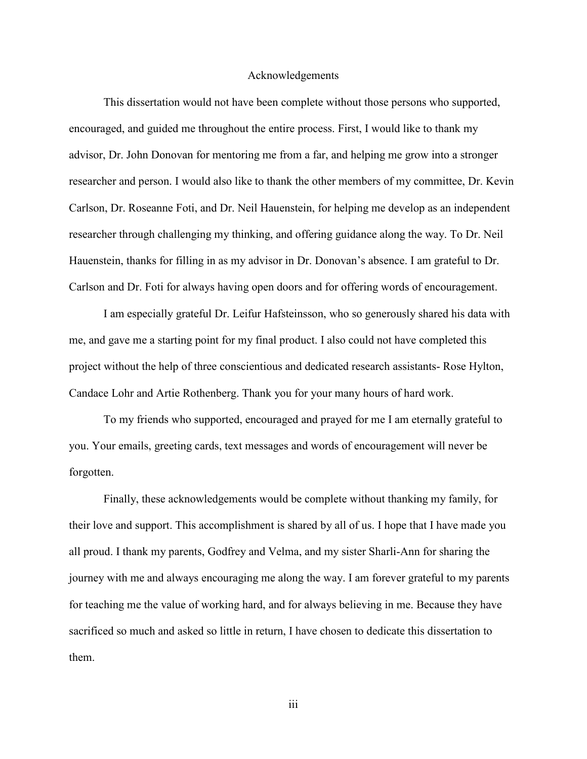#### Acknowledgements

This dissertation would not have been complete without those persons who supported, encouraged, and guided me throughout the entire process. First, I would like to thank my advisor, Dr. John Donovan for mentoring me from a far, and helping me grow into a stronger researcher and person. I would also like to thank the other members of my committee, Dr. Kevin Carlson, Dr. Roseanne Foti, and Dr. Neil Hauenstein, for helping me develop as an independent researcher through challenging my thinking, and offering guidance along the way. To Dr. Neil Hauenstein, thanks for filling in as my advisor in Dr. Donovan's absence. I am grateful to Dr. Carlson and Dr. Foti for always having open doors and for offering words of encouragement.

I am especially grateful Dr. Leifur Hafsteinsson, who so generously shared his data with me, and gave me a starting point for my final product. I also could not have completed this project without the help of three conscientious and dedicated research assistants- Rose Hylton, Candace Lohr and Artie Rothenberg. Thank you for your many hours of hard work.

To my friends who supported, encouraged and prayed for me I am eternally grateful to you. Your emails, greeting cards, text messages and words of encouragement will never be forgotten.

Finally, these acknowledgements would be complete without thanking my family, for their love and support. This accomplishment is shared by all of us. I hope that I have made you all proud. I thank my parents, Godfrey and Velma, and my sister Sharli-Ann for sharing the journey with me and always encouraging me along the way. I am forever grateful to my parents for teaching me the value of working hard, and for always believing in me. Because they have sacrificed so much and asked so little in return, I have chosen to dedicate this dissertation to them.

iii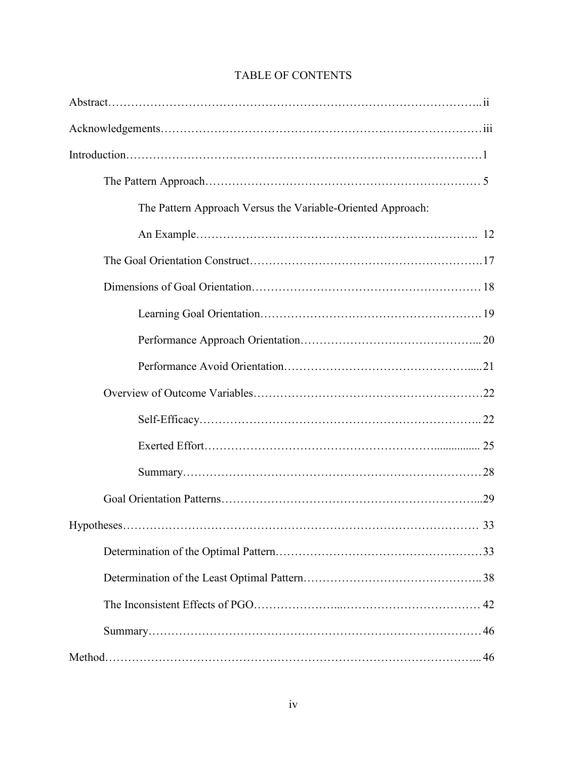| The Pattern Approach Versus the Variable-Oriented Approach: |  |
|-------------------------------------------------------------|--|
|                                                             |  |
|                                                             |  |
|                                                             |  |
|                                                             |  |
|                                                             |  |
|                                                             |  |
|                                                             |  |
|                                                             |  |
|                                                             |  |
|                                                             |  |
|                                                             |  |
|                                                             |  |
|                                                             |  |
|                                                             |  |
|                                                             |  |
|                                                             |  |
|                                                             |  |

# TABLE OF CONTENTS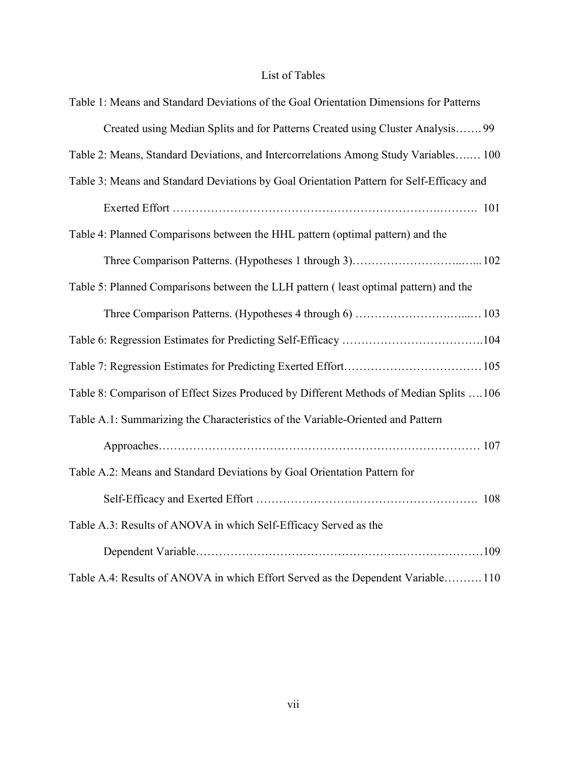# List of Tables

| Table 1: Means and Standard Deviations of the Goal Orientation Dimensions for Patterns   |
|------------------------------------------------------------------------------------------|
| Created using Median Splits and for Patterns Created using Cluster Analysis 99           |
| Table 2: Means, Standard Deviations, and Intercorrelations Among Study Variables 100     |
| Table 3: Means and Standard Deviations by Goal Orientation Pattern for Self-Efficacy and |
|                                                                                          |
| Table 4: Planned Comparisons between the HHL pattern (optimal pattern) and the           |
|                                                                                          |
| Table 5: Planned Comparisons between the LLH pattern (least optimal pattern) and the     |
|                                                                                          |
|                                                                                          |
|                                                                                          |
| Table 8: Comparison of Effect Sizes Produced by Different Methods of Median Splits  106  |
| Table A.1: Summarizing the Characteristics of the Variable-Oriented and Pattern          |
|                                                                                          |
| Table A.2: Means and Standard Deviations by Goal Orientation Pattern for                 |
|                                                                                          |
| Table A.3: Results of ANOVA in which Self-Efficacy Served as the                         |
|                                                                                          |
| Table A.4: Results of ANOVA in which Effort Served as the Dependent Variable110          |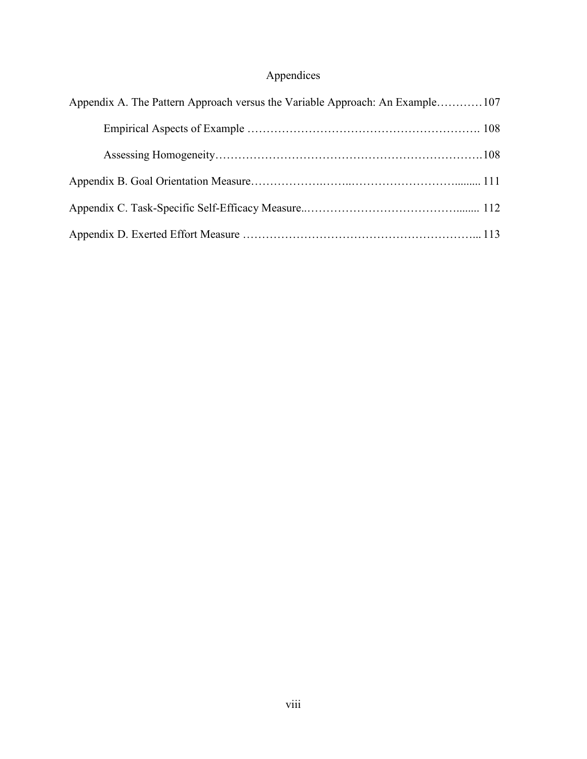# Appendices

| Appendix A. The Pattern Approach versus the Variable Approach: An Example107 |  |
|------------------------------------------------------------------------------|--|
|                                                                              |  |
|                                                                              |  |
|                                                                              |  |
|                                                                              |  |
|                                                                              |  |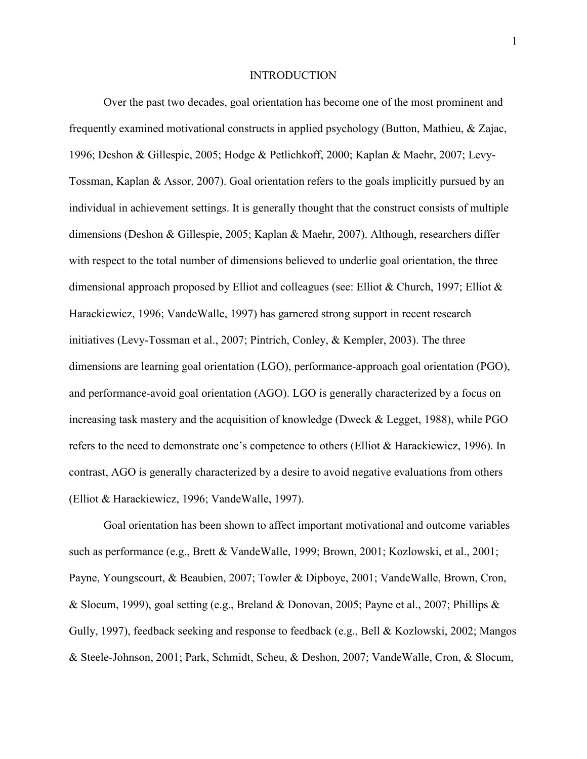### **INTRODUCTION**

Over the past two decades, goal orientation has become one of the most prominent and frequently examined motivational constructs in applied psychology (Button, Mathieu, & Zajac, 1996; Deshon & Gillespie, 2005; Hodge & Petlichkoff, 2000; Kaplan & Maehr, 2007; Levy-Tossman, Kaplan & Assor, 2007). Goal orientation refers to the goals implicitly pursued by an individual in achievement settings. It is generally thought that the construct consists of multiple dimensions (Deshon & Gillespie, 2005; Kaplan & Maehr, 2007). Although, researchers differ with respect to the total number of dimensions believed to underlie goal orientation, the three dimensional approach proposed by Elliot and colleagues (see: Elliot & Church, 1997; Elliot & Harackiewicz, 1996; VandeWalle, 1997) has garnered strong support in recent research initiatives (Levy-Tossman et al., 2007; Pintrich, Conley, & Kempler, 2003). The three dimensions are learning goal orientation (LGO), performance-approach goal orientation (PGO), and performance-avoid goal orientation (AGO). LGO is generally characterized by a focus on increasing task mastery and the acquisition of knowledge (Dweck & Legget, 1988), while PGO refers to the need to demonstrate one's competence to others (Elliot & Harackiewicz, 1996). In contrast, AGO is generally characterized by a desire to avoid negative evaluations from others (Elliot & Harackiewicz, 1996; VandeWalle, 1997).

Goal orientation has been shown to affect important motivational and outcome variables such as performance (e.g., Brett & VandeWalle, 1999; Brown, 2001; Kozlowski, et al., 2001; Payne, Youngscourt, & Beaubien, 2007; Towler & Dipboye, 2001; VandeWalle, Brown, Cron, & Slocum, 1999), goal setting (e.g., Breland & Donovan, 2005; Payne et al., 2007; Phillips & Gully, 1997), feedback seeking and response to feedback (e.g., Bell & Kozlowski, 2002; Mangos & Steele-Johnson, 2001; Park, Schmidt, Scheu, & Deshon, 2007; VandeWalle, Cron, & Slocum,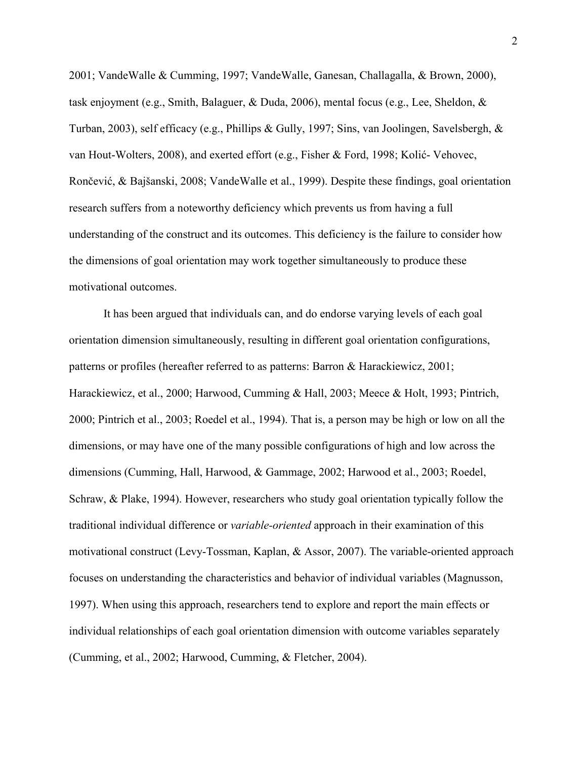2001; VandeWalle & Cumming, 1997; VandeWalle, Ganesan, Challagalla, & Brown, 2000), task enjoyment (e.g., Smith, Balaguer, & Duda, 2006), mental focus (e.g., Lee, Sheldon, & Turban, 2003), self efficacy (e.g., Phillips & Gully, 1997; Sins, van Joolingen, Savelsbergh, & van Hout-Wolters, 2008), and exerted effort (e.g., Fisher & Ford, 1998; Kolić- Vehovec, Rončević, & Bajšanski, 2008; VandeWalle et al., 1999). Despite these findings, goal orientation research suffers from a noteworthy deficiency which prevents us from having a full understanding of the construct and its outcomes. This deficiency is the failure to consider how the dimensions of goal orientation may work together simultaneously to produce these motivational outcomes.

It has been argued that individuals can, and do endorse varying levels of each goal orientation dimension simultaneously, resulting in different goal orientation configurations, patterns or profiles (hereafter referred to as patterns: Barron & Harackiewicz, 2001; Harackiewicz, et al., 2000; Harwood, Cumming & Hall, 2003; Meece & Holt, 1993; Pintrich, 2000; Pintrich et al., 2003; Roedel et al., 1994). That is, a person may be high or low on all the dimensions, or may have one of the many possible configurations of high and low across the dimensions (Cumming, Hall, Harwood, & Gammage, 2002; Harwood et al., 2003; Roedel, Schraw, & Plake, 1994). However, researchers who study goal orientation typically follow the traditional individual difference or *variable-oriented* approach in their examination of this motivational construct (Levy-Tossman, Kaplan, & Assor, 2007). The variable-oriented approach focuses on understanding the characteristics and behavior of individual variables (Magnusson, 1997). When using this approach, researchers tend to explore and report the main effects or individual relationships of each goal orientation dimension with outcome variables separately (Cumming, et al., 2002; Harwood, Cumming, & Fletcher, 2004).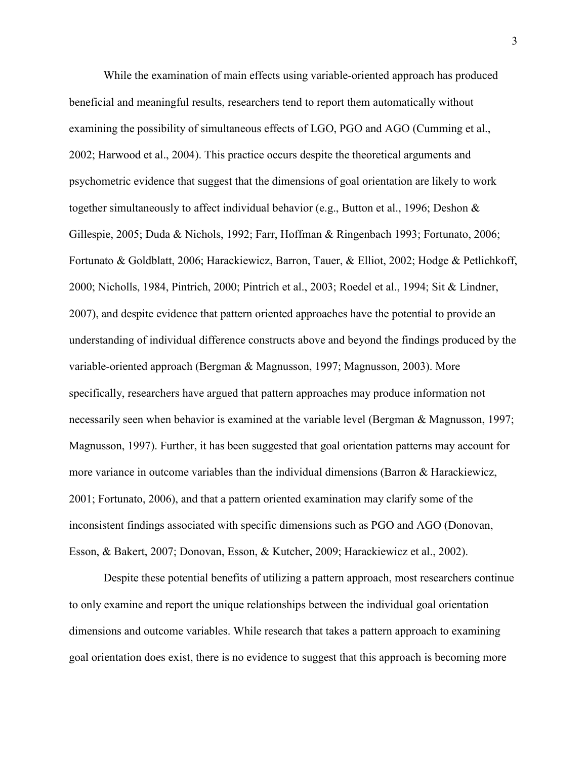While the examination of main effects using variable-oriented approach has produced beneficial and meaningful results, researchers tend to report them automatically without examining the possibility of simultaneous effects of LGO, PGO and AGO (Cumming et al., 2002; Harwood et al., 2004). This practice occurs despite the theoretical arguments and psychometric evidence that suggest that the dimensions of goal orientation are likely to work together simultaneously to affect individual behavior (e.g., Button et al., 1996; Deshon & Gillespie, 2005; Duda & Nichols, 1992; Farr, Hoffman & Ringenbach 1993; Fortunato, 2006; Fortunato & Goldblatt, 2006; Harackiewicz, Barron, Tauer, & Elliot, 2002; Hodge & Petlichkoff, 2000; Nicholls, 1984, Pintrich, 2000; Pintrich et al., 2003; Roedel et al., 1994; Sit & Lindner, 2007), and despite evidence that pattern oriented approaches have the potential to provide an understanding of individual difference constructs above and beyond the findings produced by the variable-oriented approach (Bergman & Magnusson, 1997; Magnusson, 2003). More specifically, researchers have argued that pattern approaches may produce information not necessarily seen when behavior is examined at the variable level (Bergman & Magnusson, 1997; Magnusson, 1997). Further, it has been suggested that goal orientation patterns may account for more variance in outcome variables than the individual dimensions (Barron & Harackiewicz, 2001; Fortunato, 2006), and that a pattern oriented examination may clarify some of the inconsistent findings associated with specific dimensions such as PGO and AGO (Donovan, Esson, & Bakert, 2007; Donovan, Esson, & Kutcher, 2009; Harackiewicz et al., 2002).

Despite these potential benefits of utilizing a pattern approach, most researchers continue to only examine and report the unique relationships between the individual goal orientation dimensions and outcome variables. While research that takes a pattern approach to examining goal orientation does exist, there is no evidence to suggest that this approach is becoming more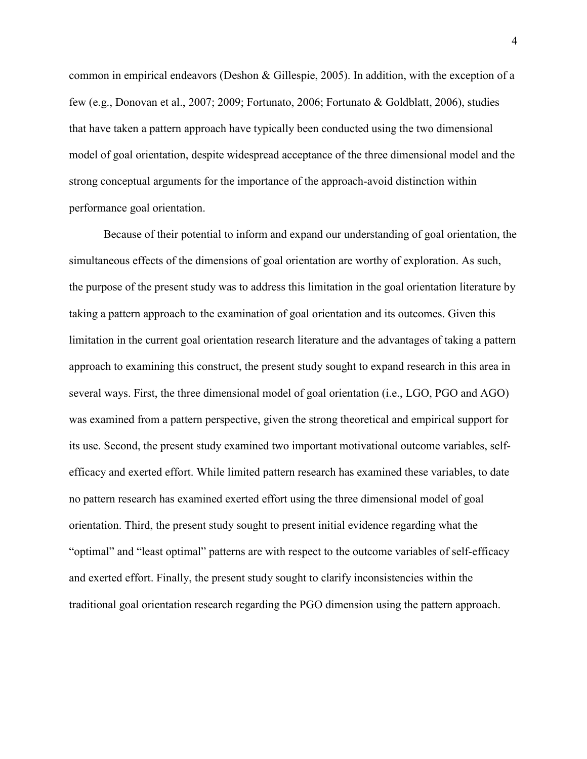common in empirical endeavors (Deshon & Gillespie, 2005). In addition, with the exception of a few (e.g., Donovan et al., 2007; 2009; Fortunato, 2006; Fortunato & Goldblatt, 2006), studies that have taken a pattern approach have typically been conducted using the two dimensional model of goal orientation, despite widespread acceptance of the three dimensional model and the strong conceptual arguments for the importance of the approach-avoid distinction within performance goal orientation.

Because of their potential to inform and expand our understanding of goal orientation, the simultaneous effects of the dimensions of goal orientation are worthy of exploration. As such, the purpose of the present study was to address this limitation in the goal orientation literature by taking a pattern approach to the examination of goal orientation and its outcomes. Given this limitation in the current goal orientation research literature and the advantages of taking a pattern approach to examining this construct, the present study sought to expand research in this area in several ways. First, the three dimensional model of goal orientation (i.e., LGO, PGO and AGO) was examined from a pattern perspective, given the strong theoretical and empirical support for its use. Second, the present study examined two important motivational outcome variables, selfefficacy and exerted effort. While limited pattern research has examined these variables, to date no pattern research has examined exerted effort using the three dimensional model of goal orientation. Third, the present study sought to present initial evidence regarding what the "optimal" and "least optimal" patterns are with respect to the outcome variables of self-efficacy and exerted effort. Finally, the present study sought to clarify inconsistencies within the traditional goal orientation research regarding the PGO dimension using the pattern approach.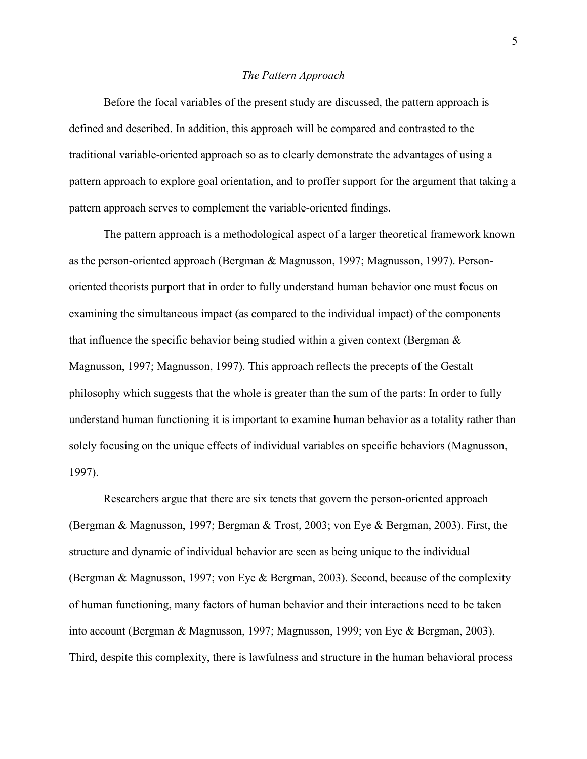### *The Pattern Approach*

 Before the focal variables of the present study are discussed, the pattern approach is defined and described. In addition, this approach will be compared and contrasted to the traditional variable-oriented approach so as to clearly demonstrate the advantages of using a pattern approach to explore goal orientation, and to proffer support for the argument that taking a pattern approach serves to complement the variable-oriented findings.

 The pattern approach is a methodological aspect of a larger theoretical framework known as the person-oriented approach (Bergman & Magnusson, 1997; Magnusson, 1997). Personoriented theorists purport that in order to fully understand human behavior one must focus on examining the simultaneous impact (as compared to the individual impact) of the components that influence the specific behavior being studied within a given context (Bergman & Magnusson, 1997; Magnusson, 1997). This approach reflects the precepts of the Gestalt philosophy which suggests that the whole is greater than the sum of the parts: In order to fully understand human functioning it is important to examine human behavior as a totality rather than solely focusing on the unique effects of individual variables on specific behaviors (Magnusson, 1997).

Researchers argue that there are six tenets that govern the person-oriented approach (Bergman & Magnusson, 1997; Bergman & Trost, 2003; von Eye & Bergman, 2003). First, the structure and dynamic of individual behavior are seen as being unique to the individual (Bergman & Magnusson, 1997; von Eye & Bergman, 2003). Second, because of the complexity of human functioning, many factors of human behavior and their interactions need to be taken into account (Bergman & Magnusson, 1997; Magnusson, 1999; von Eye & Bergman, 2003). Third, despite this complexity, there is lawfulness and structure in the human behavioral process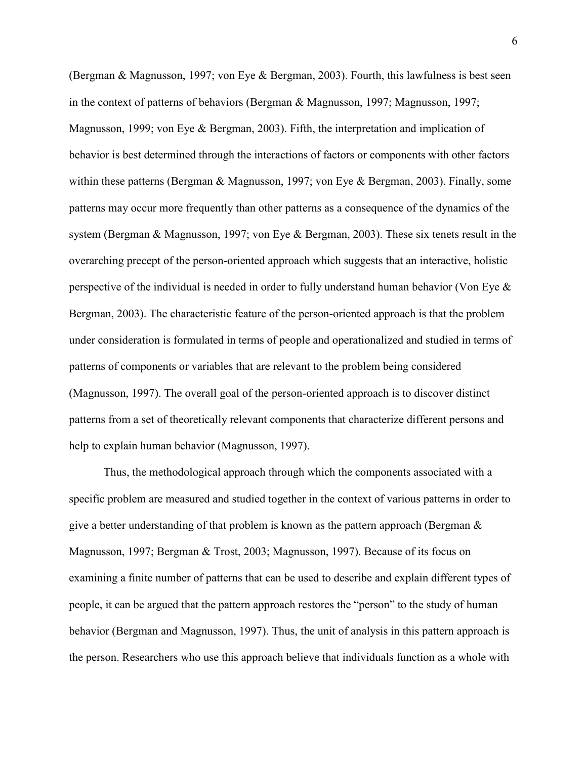(Bergman & Magnusson, 1997; von Eye & Bergman, 2003). Fourth, this lawfulness is best seen in the context of patterns of behaviors (Bergman & Magnusson, 1997; Magnusson, 1997; Magnusson, 1999; von Eye & Bergman, 2003). Fifth, the interpretation and implication of behavior is best determined through the interactions of factors or components with other factors within these patterns (Bergman & Magnusson, 1997; von Eye & Bergman, 2003). Finally, some patterns may occur more frequently than other patterns as a consequence of the dynamics of the system (Bergman & Magnusson, 1997; von Eye & Bergman, 2003). These six tenets result in the overarching precept of the person-oriented approach which suggests that an interactive, holistic perspective of the individual is needed in order to fully understand human behavior (Von Eye & Bergman, 2003). The characteristic feature of the person-oriented approach is that the problem under consideration is formulated in terms of people and operationalized and studied in terms of patterns of components or variables that are relevant to the problem being considered (Magnusson, 1997). The overall goal of the person-oriented approach is to discover distinct patterns from a set of theoretically relevant components that characterize different persons and help to explain human behavior (Magnusson, 1997).

Thus, the methodological approach through which the components associated with a specific problem are measured and studied together in the context of various patterns in order to give a better understanding of that problem is known as the pattern approach (Bergman & Magnusson, 1997; Bergman & Trost, 2003; Magnusson, 1997). Because of its focus on examining a finite number of patterns that can be used to describe and explain different types of people, it can be argued that the pattern approach restores the "person" to the study of human behavior (Bergman and Magnusson, 1997). Thus, the unit of analysis in this pattern approach is the person. Researchers who use this approach believe that individuals function as a whole with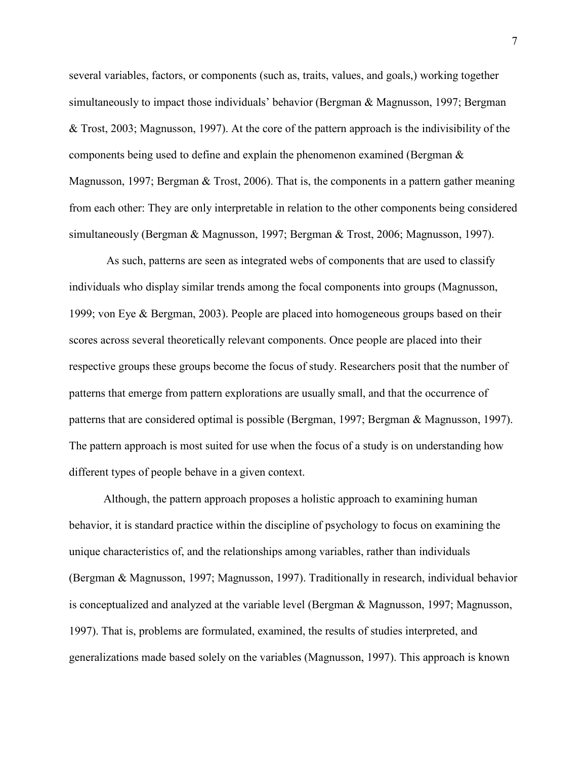several variables, factors, or components (such as, traits, values, and goals,) working together simultaneously to impact those individuals' behavior (Bergman & Magnusson, 1997; Bergman & Trost, 2003; Magnusson, 1997). At the core of the pattern approach is the indivisibility of the components being used to define and explain the phenomenon examined (Bergman & Magnusson, 1997; Bergman & Trost, 2006). That is, the components in a pattern gather meaning from each other: They are only interpretable in relation to the other components being considered simultaneously (Bergman & Magnusson, 1997; Bergman & Trost, 2006; Magnusson, 1997).

 As such, patterns are seen as integrated webs of components that are used to classify individuals who display similar trends among the focal components into groups (Magnusson, 1999; von Eye & Bergman, 2003). People are placed into homogeneous groups based on their scores across several theoretically relevant components. Once people are placed into their respective groups these groups become the focus of study. Researchers posit that the number of patterns that emerge from pattern explorations are usually small, and that the occurrence of patterns that are considered optimal is possible (Bergman, 1997; Bergman & Magnusson, 1997). The pattern approach is most suited for use when the focus of a study is on understanding how different types of people behave in a given context.

Although, the pattern approach proposes a holistic approach to examining human behavior, it is standard practice within the discipline of psychology to focus on examining the unique characteristics of, and the relationships among variables, rather than individuals (Bergman & Magnusson, 1997; Magnusson, 1997). Traditionally in research, individual behavior is conceptualized and analyzed at the variable level (Bergman & Magnusson, 1997; Magnusson, 1997). That is, problems are formulated, examined, the results of studies interpreted, and generalizations made based solely on the variables (Magnusson, 1997). This approach is known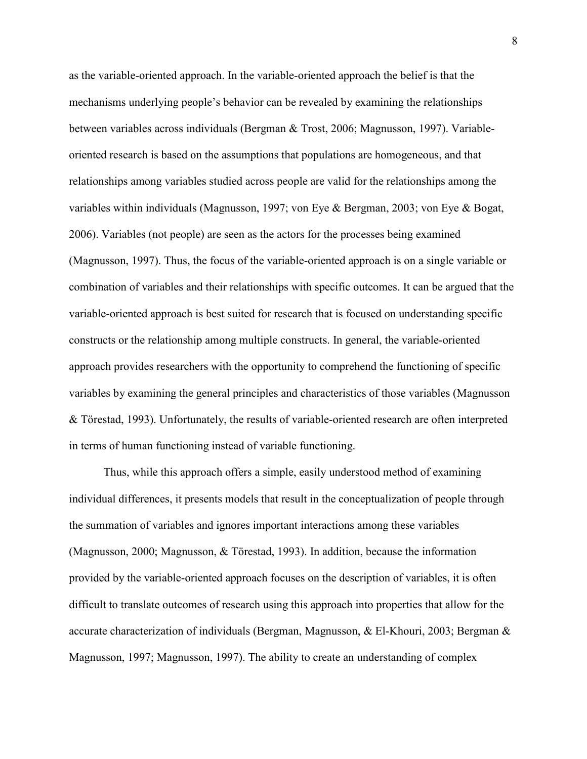as the variable-oriented approach. In the variable-oriented approach the belief is that the mechanisms underlying people's behavior can be revealed by examining the relationships between variables across individuals (Bergman & Trost, 2006; Magnusson, 1997). Variableoriented research is based on the assumptions that populations are homogeneous, and that relationships among variables studied across people are valid for the relationships among the variables within individuals (Magnusson, 1997; von Eye & Bergman, 2003; von Eye & Bogat, 2006). Variables (not people) are seen as the actors for the processes being examined (Magnusson, 1997). Thus, the focus of the variable-oriented approach is on a single variable or combination of variables and their relationships with specific outcomes. It can be argued that the variable-oriented approach is best suited for research that is focused on understanding specific constructs or the relationship among multiple constructs. In general, the variable-oriented approach provides researchers with the opportunity to comprehend the functioning of specific variables by examining the general principles and characteristics of those variables (Magnusson & Törestad, 1993). Unfortunately, the results of variable-oriented research are often interpreted in terms of human functioning instead of variable functioning.

Thus, while this approach offers a simple, easily understood method of examining individual differences, it presents models that result in the conceptualization of people through the summation of variables and ignores important interactions among these variables (Magnusson, 2000; Magnusson, & Törestad, 1993). In addition, because the information provided by the variable-oriented approach focuses on the description of variables, it is often difficult to translate outcomes of research using this approach into properties that allow for the accurate characterization of individuals (Bergman, Magnusson, & El-Khouri, 2003; Bergman & Magnusson, 1997; Magnusson, 1997). The ability to create an understanding of complex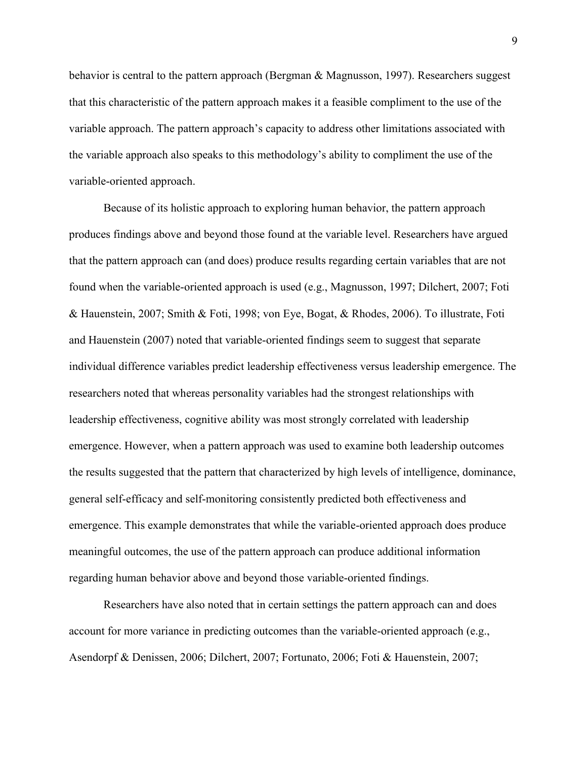behavior is central to the pattern approach (Bergman & Magnusson, 1997). Researchers suggest that this characteristic of the pattern approach makes it a feasible compliment to the use of the variable approach. The pattern approach's capacity to address other limitations associated with the variable approach also speaks to this methodology's ability to compliment the use of the variable-oriented approach.

Because of its holistic approach to exploring human behavior, the pattern approach produces findings above and beyond those found at the variable level. Researchers have argued that the pattern approach can (and does) produce results regarding certain variables that are not found when the variable-oriented approach is used (e.g., Magnusson, 1997; Dilchert, 2007; Foti & Hauenstein, 2007; Smith & Foti, 1998; von Eye, Bogat, & Rhodes, 2006). To illustrate, Foti and Hauenstein (2007) noted that variable-oriented findings seem to suggest that separate individual difference variables predict leadership effectiveness versus leadership emergence. The researchers noted that whereas personality variables had the strongest relationships with leadership effectiveness, cognitive ability was most strongly correlated with leadership emergence. However, when a pattern approach was used to examine both leadership outcomes the results suggested that the pattern that characterized by high levels of intelligence, dominance, general self-efficacy and self-monitoring consistently predicted both effectiveness and emergence. This example demonstrates that while the variable-oriented approach does produce meaningful outcomes, the use of the pattern approach can produce additional information regarding human behavior above and beyond those variable-oriented findings.

Researchers have also noted that in certain settings the pattern approach can and does account for more variance in predicting outcomes than the variable-oriented approach (e.g., Asendorpf & Denissen, 2006; Dilchert, 2007; Fortunato, 2006; Foti & Hauenstein, 2007;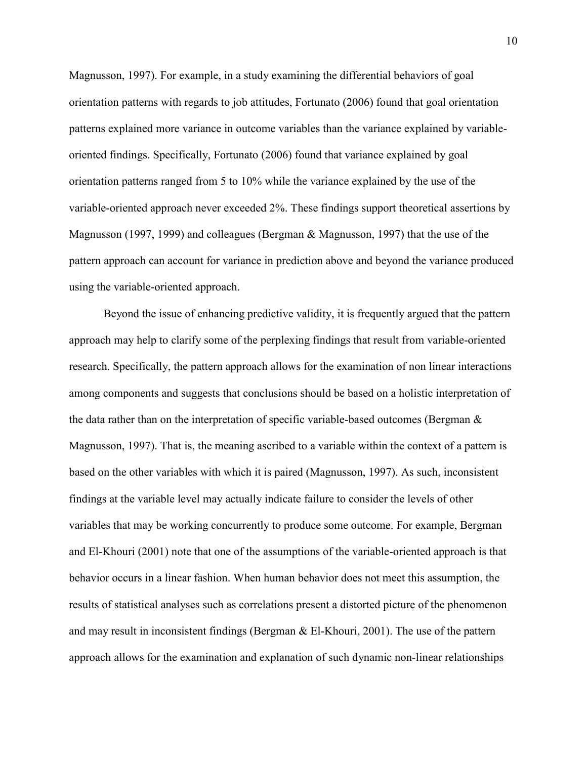Magnusson, 1997). For example, in a study examining the differential behaviors of goal orientation patterns with regards to job attitudes, Fortunato (2006) found that goal orientation patterns explained more variance in outcome variables than the variance explained by variableoriented findings. Specifically, Fortunato (2006) found that variance explained by goal orientation patterns ranged from 5 to 10% while the variance explained by the use of the variable-oriented approach never exceeded 2%. These findings support theoretical assertions by Magnusson (1997, 1999) and colleagues (Bergman & Magnusson, 1997) that the use of the pattern approach can account for variance in prediction above and beyond the variance produced using the variable-oriented approach.

Beyond the issue of enhancing predictive validity, it is frequently argued that the pattern approach may help to clarify some of the perplexing findings that result from variable-oriented research. Specifically, the pattern approach allows for the examination of non linear interactions among components and suggests that conclusions should be based on a holistic interpretation of the data rather than on the interpretation of specific variable-based outcomes (Bergman & Magnusson, 1997). That is, the meaning ascribed to a variable within the context of a pattern is based on the other variables with which it is paired (Magnusson, 1997). As such, inconsistent findings at the variable level may actually indicate failure to consider the levels of other variables that may be working concurrently to produce some outcome. For example, Bergman and El-Khouri (2001) note that one of the assumptions of the variable-oriented approach is that behavior occurs in a linear fashion. When human behavior does not meet this assumption, the results of statistical analyses such as correlations present a distorted picture of the phenomenon and may result in inconsistent findings (Bergman & El-Khouri, 2001). The use of the pattern approach allows for the examination and explanation of such dynamic non-linear relationships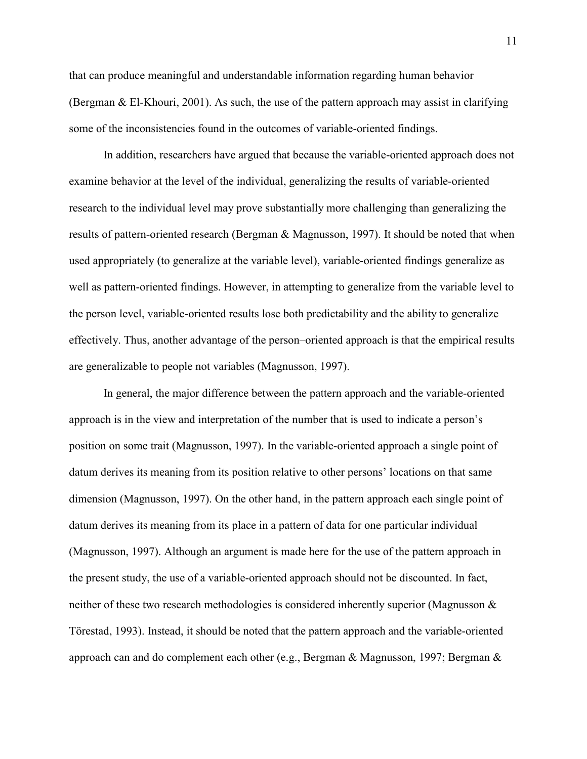that can produce meaningful and understandable information regarding human behavior (Bergman & El-Khouri, 2001). As such, the use of the pattern approach may assist in clarifying some of the inconsistencies found in the outcomes of variable-oriented findings.

In addition, researchers have argued that because the variable-oriented approach does not examine behavior at the level of the individual, generalizing the results of variable-oriented research to the individual level may prove substantially more challenging than generalizing the results of pattern-oriented research (Bergman & Magnusson, 1997). It should be noted that when used appropriately (to generalize at the variable level), variable-oriented findings generalize as well as pattern-oriented findings. However, in attempting to generalize from the variable level to the person level, variable-oriented results lose both predictability and the ability to generalize effectively. Thus, another advantage of the person–oriented approach is that the empirical results are generalizable to people not variables (Magnusson, 1997).

In general, the major difference between the pattern approach and the variable-oriented approach is in the view and interpretation of the number that is used to indicate a person's position on some trait (Magnusson, 1997). In the variable-oriented approach a single point of datum derives its meaning from its position relative to other persons' locations on that same dimension (Magnusson, 1997). On the other hand, in the pattern approach each single point of datum derives its meaning from its place in a pattern of data for one particular individual (Magnusson, 1997). Although an argument is made here for the use of the pattern approach in the present study, the use of a variable-oriented approach should not be discounted. In fact, neither of these two research methodologies is considered inherently superior (Magnusson & Törestad, 1993). Instead, it should be noted that the pattern approach and the variable-oriented approach can and do complement each other (e.g., Bergman & Magnusson, 1997; Bergman &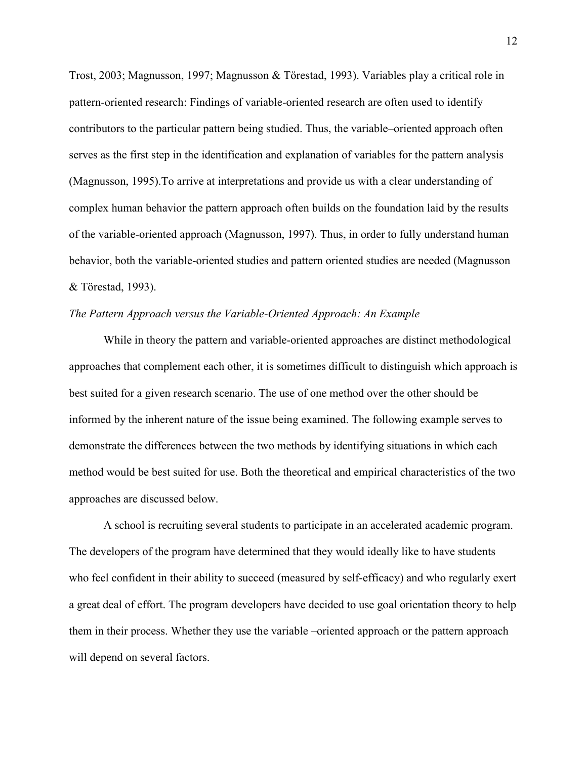Trost, 2003; Magnusson, 1997; Magnusson & Törestad, 1993). Variables play a critical role in pattern-oriented research: Findings of variable-oriented research are often used to identify contributors to the particular pattern being studied. Thus, the variable–oriented approach often serves as the first step in the identification and explanation of variables for the pattern analysis (Magnusson, 1995).To arrive at interpretations and provide us with a clear understanding of complex human behavior the pattern approach often builds on the foundation laid by the results of the variable-oriented approach (Magnusson, 1997). Thus, in order to fully understand human behavior, both the variable-oriented studies and pattern oriented studies are needed (Magnusson & Törestad, 1993).

# *The Pattern Approach versus the Variable-Oriented Approach: An Example*

 While in theory the pattern and variable-oriented approaches are distinct methodological approaches that complement each other, it is sometimes difficult to distinguish which approach is best suited for a given research scenario. The use of one method over the other should be informed by the inherent nature of the issue being examined. The following example serves to demonstrate the differences between the two methods by identifying situations in which each method would be best suited for use. Both the theoretical and empirical characteristics of the two approaches are discussed below.

 A school is recruiting several students to participate in an accelerated academic program. The developers of the program have determined that they would ideally like to have students who feel confident in their ability to succeed (measured by self-efficacy) and who regularly exert a great deal of effort. The program developers have decided to use goal orientation theory to help them in their process. Whether they use the variable –oriented approach or the pattern approach will depend on several factors.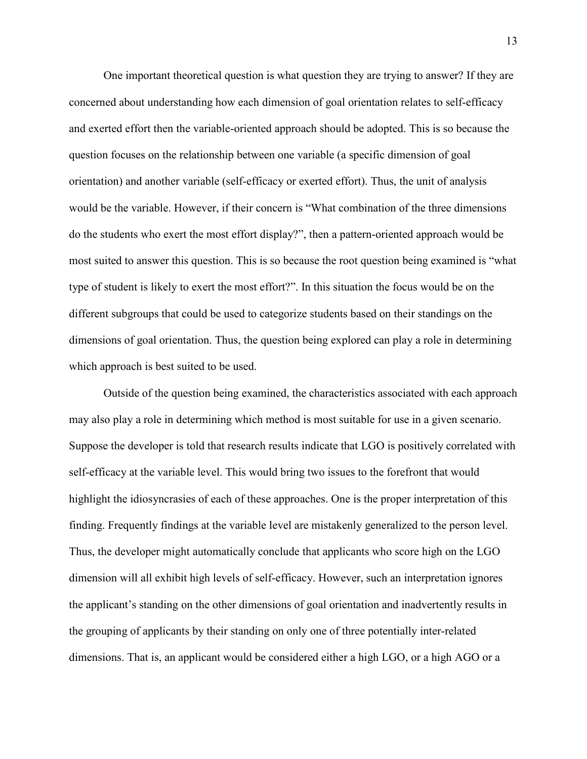One important theoretical question is what question they are trying to answer? If they are concerned about understanding how each dimension of goal orientation relates to self-efficacy and exerted effort then the variable-oriented approach should be adopted. This is so because the question focuses on the relationship between one variable (a specific dimension of goal orientation) and another variable (self-efficacy or exerted effort). Thus, the unit of analysis would be the variable. However, if their concern is "What combination of the three dimensions do the students who exert the most effort display?", then a pattern-oriented approach would be most suited to answer this question. This is so because the root question being examined is "what type of student is likely to exert the most effort?". In this situation the focus would be on the different subgroups that could be used to categorize students based on their standings on the dimensions of goal orientation. Thus, the question being explored can play a role in determining which approach is best suited to be used.

Outside of the question being examined, the characteristics associated with each approach may also play a role in determining which method is most suitable for use in a given scenario. Suppose the developer is told that research results indicate that LGO is positively correlated with self-efficacy at the variable level. This would bring two issues to the forefront that would highlight the idiosyncrasies of each of these approaches. One is the proper interpretation of this finding. Frequently findings at the variable level are mistakenly generalized to the person level. Thus, the developer might automatically conclude that applicants who score high on the LGO dimension will all exhibit high levels of self-efficacy. However, such an interpretation ignores the applicant's standing on the other dimensions of goal orientation and inadvertently results in the grouping of applicants by their standing on only one of three potentially inter-related dimensions. That is, an applicant would be considered either a high LGO, or a high AGO or a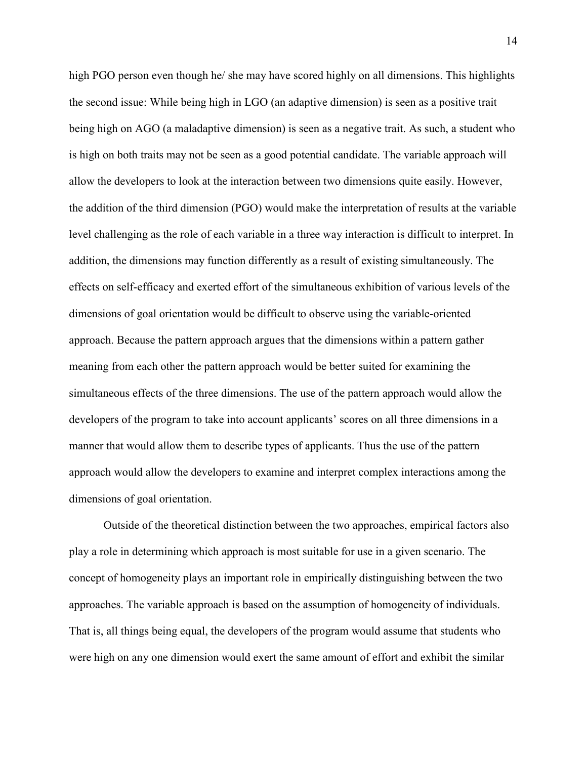high PGO person even though he/ she may have scored highly on all dimensions. This highlights the second issue: While being high in LGO (an adaptive dimension) is seen as a positive trait being high on AGO (a maladaptive dimension) is seen as a negative trait. As such, a student who is high on both traits may not be seen as a good potential candidate. The variable approach will allow the developers to look at the interaction between two dimensions quite easily. However, the addition of the third dimension (PGO) would make the interpretation of results at the variable level challenging as the role of each variable in a three way interaction is difficult to interpret. In addition, the dimensions may function differently as a result of existing simultaneously. The effects on self-efficacy and exerted effort of the simultaneous exhibition of various levels of the dimensions of goal orientation would be difficult to observe using the variable-oriented approach. Because the pattern approach argues that the dimensions within a pattern gather meaning from each other the pattern approach would be better suited for examining the simultaneous effects of the three dimensions. The use of the pattern approach would allow the developers of the program to take into account applicants' scores on all three dimensions in a manner that would allow them to describe types of applicants. Thus the use of the pattern approach would allow the developers to examine and interpret complex interactions among the dimensions of goal orientation.

Outside of the theoretical distinction between the two approaches, empirical factors also play a role in determining which approach is most suitable for use in a given scenario. The concept of homogeneity plays an important role in empirically distinguishing between the two approaches. The variable approach is based on the assumption of homogeneity of individuals. That is, all things being equal, the developers of the program would assume that students who were high on any one dimension would exert the same amount of effort and exhibit the similar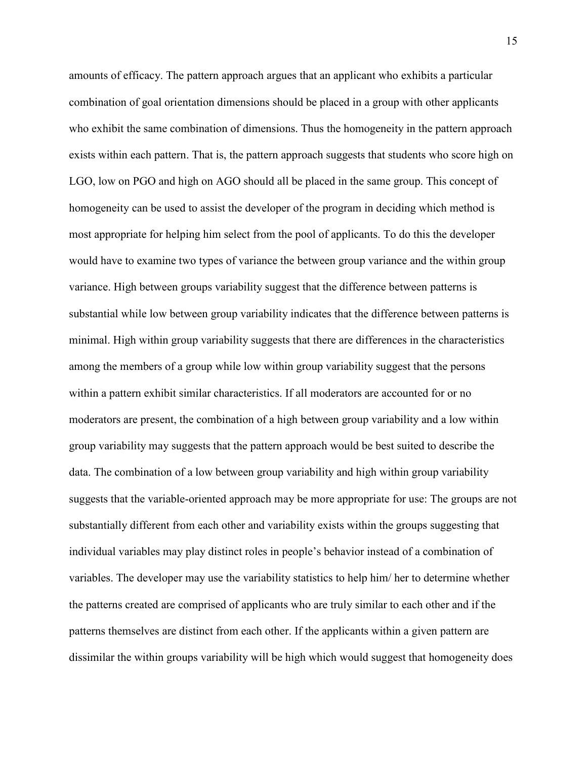amounts of efficacy. The pattern approach argues that an applicant who exhibits a particular combination of goal orientation dimensions should be placed in a group with other applicants who exhibit the same combination of dimensions. Thus the homogeneity in the pattern approach exists within each pattern. That is, the pattern approach suggests that students who score high on LGO, low on PGO and high on AGO should all be placed in the same group. This concept of homogeneity can be used to assist the developer of the program in deciding which method is most appropriate for helping him select from the pool of applicants. To do this the developer would have to examine two types of variance the between group variance and the within group variance. High between groups variability suggest that the difference between patterns is substantial while low between group variability indicates that the difference between patterns is minimal. High within group variability suggests that there are differences in the characteristics among the members of a group while low within group variability suggest that the persons within a pattern exhibit similar characteristics. If all moderators are accounted for or no moderators are present, the combination of a high between group variability and a low within group variability may suggests that the pattern approach would be best suited to describe the data. The combination of a low between group variability and high within group variability suggests that the variable-oriented approach may be more appropriate for use: The groups are not substantially different from each other and variability exists within the groups suggesting that individual variables may play distinct roles in people's behavior instead of a combination of variables. The developer may use the variability statistics to help him/ her to determine whether the patterns created are comprised of applicants who are truly similar to each other and if the patterns themselves are distinct from each other. If the applicants within a given pattern are dissimilar the within groups variability will be high which would suggest that homogeneity does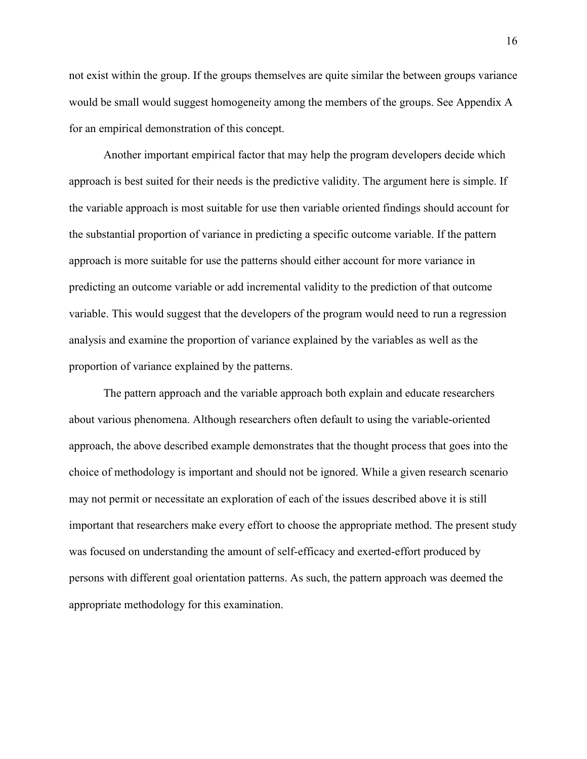not exist within the group. If the groups themselves are quite similar the between groups variance would be small would suggest homogeneity among the members of the groups. See Appendix A for an empirical demonstration of this concept.

Another important empirical factor that may help the program developers decide which approach is best suited for their needs is the predictive validity. The argument here is simple. If the variable approach is most suitable for use then variable oriented findings should account for the substantial proportion of variance in predicting a specific outcome variable. If the pattern approach is more suitable for use the patterns should either account for more variance in predicting an outcome variable or add incremental validity to the prediction of that outcome variable. This would suggest that the developers of the program would need to run a regression analysis and examine the proportion of variance explained by the variables as well as the proportion of variance explained by the patterns.

The pattern approach and the variable approach both explain and educate researchers about various phenomena. Although researchers often default to using the variable-oriented approach, the above described example demonstrates that the thought process that goes into the choice of methodology is important and should not be ignored. While a given research scenario may not permit or necessitate an exploration of each of the issues described above it is still important that researchers make every effort to choose the appropriate method. The present study was focused on understanding the amount of self-efficacy and exerted-effort produced by persons with different goal orientation patterns. As such, the pattern approach was deemed the appropriate methodology for this examination.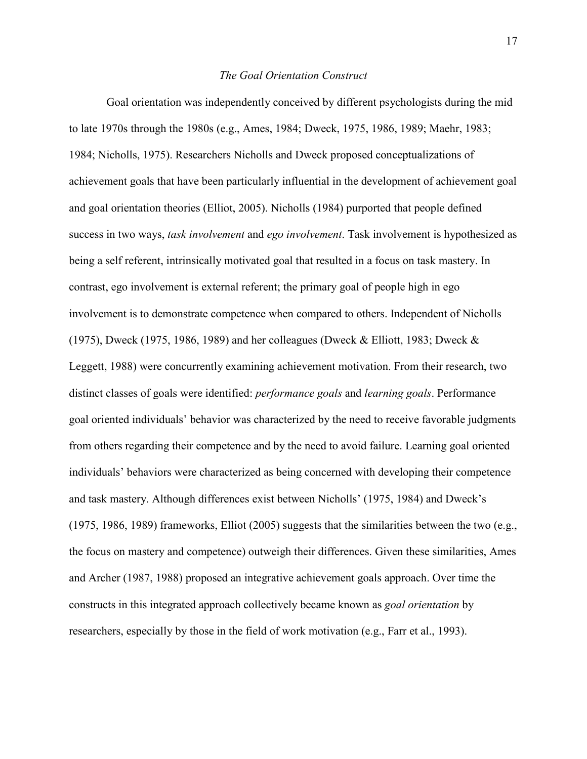### *The Goal Orientation Construct*

 Goal orientation was independently conceived by different psychologists during the mid to late 1970s through the 1980s (e.g., Ames, 1984; Dweck, 1975, 1986, 1989; Maehr, 1983; 1984; Nicholls, 1975). Researchers Nicholls and Dweck proposed conceptualizations of achievement goals that have been particularly influential in the development of achievement goal and goal orientation theories (Elliot, 2005). Nicholls (1984) purported that people defined success in two ways, *task involvement* and *ego involvement*. Task involvement is hypothesized as being a self referent, intrinsically motivated goal that resulted in a focus on task mastery. In contrast, ego involvement is external referent; the primary goal of people high in ego involvement is to demonstrate competence when compared to others. Independent of Nicholls (1975), Dweck (1975, 1986, 1989) and her colleagues (Dweck & Elliott, 1983; Dweck & Leggett, 1988) were concurrently examining achievement motivation. From their research, two distinct classes of goals were identified: *performance goals* and *learning goals*. Performance goal oriented individuals' behavior was characterized by the need to receive favorable judgments from others regarding their competence and by the need to avoid failure. Learning goal oriented individuals' behaviors were characterized as being concerned with developing their competence and task mastery. Although differences exist between Nicholls' (1975, 1984) and Dweck's (1975, 1986, 1989) frameworks, Elliot (2005) suggests that the similarities between the two (e.g., the focus on mastery and competence) outweigh their differences. Given these similarities, Ames and Archer (1987, 1988) proposed an integrative achievement goals approach. Over time the constructs in this integrated approach collectively became known as *goal orientation* by researchers, especially by those in the field of work motivation (e.g., Farr et al., 1993).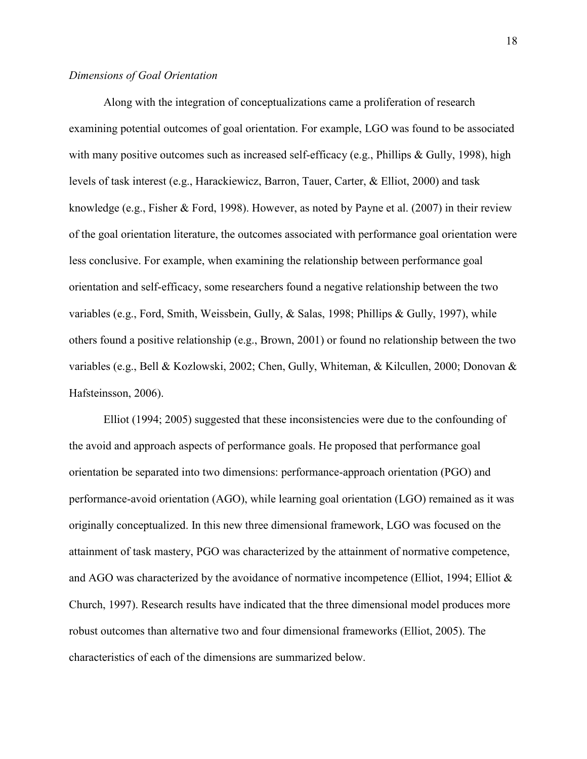## *Dimensions of Goal Orientation*

Along with the integration of conceptualizations came a proliferation of research examining potential outcomes of goal orientation. For example, LGO was found to be associated with many positive outcomes such as increased self-efficacy (e.g., Phillips & Gully, 1998), high levels of task interest (e.g., Harackiewicz, Barron, Tauer, Carter, & Elliot, 2000) and task knowledge (e.g., Fisher & Ford, 1998). However, as noted by Payne et al. (2007) in their review of the goal orientation literature, the outcomes associated with performance goal orientation were less conclusive. For example, when examining the relationship between performance goal orientation and self-efficacy, some researchers found a negative relationship between the two variables (e.g., Ford, Smith, Weissbein, Gully, & Salas, 1998; Phillips & Gully, 1997), while others found a positive relationship (e.g., Brown, 2001) or found no relationship between the two variables (e.g., Bell & Kozlowski, 2002; Chen, Gully, Whiteman, & Kilcullen, 2000; Donovan & Hafsteinsson, 2006).

Elliot (1994; 2005) suggested that these inconsistencies were due to the confounding of the avoid and approach aspects of performance goals. He proposed that performance goal orientation be separated into two dimensions: performance-approach orientation (PGO) and performance-avoid orientation (AGO), while learning goal orientation (LGO) remained as it was originally conceptualized. In this new three dimensional framework, LGO was focused on the attainment of task mastery, PGO was characterized by the attainment of normative competence, and AGO was characterized by the avoidance of normative incompetence (Elliot, 1994; Elliot  $\&$ Church, 1997). Research results have indicated that the three dimensional model produces more robust outcomes than alternative two and four dimensional frameworks (Elliot, 2005). The characteristics of each of the dimensions are summarized below.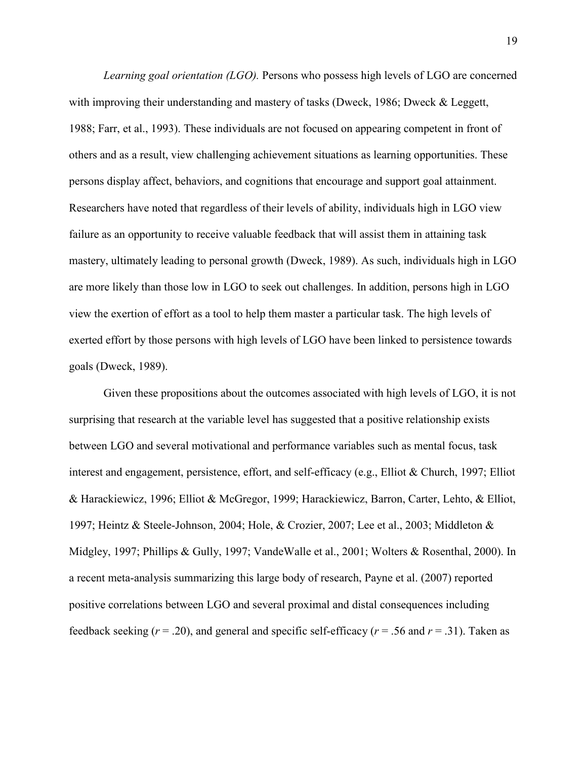*Learning goal orientation (LGO).* Persons who possess high levels of LGO are concerned with improving their understanding and mastery of tasks (Dweck, 1986; Dweck & Leggett, 1988; Farr, et al., 1993). These individuals are not focused on appearing competent in front of others and as a result, view challenging achievement situations as learning opportunities. These persons display affect, behaviors, and cognitions that encourage and support goal attainment. Researchers have noted that regardless of their levels of ability, individuals high in LGO view failure as an opportunity to receive valuable feedback that will assist them in attaining task mastery, ultimately leading to personal growth (Dweck, 1989). As such, individuals high in LGO are more likely than those low in LGO to seek out challenges. In addition, persons high in LGO view the exertion of effort as a tool to help them master a particular task. The high levels of exerted effort by those persons with high levels of LGO have been linked to persistence towards goals (Dweck, 1989).

Given these propositions about the outcomes associated with high levels of LGO, it is not surprising that research at the variable level has suggested that a positive relationship exists between LGO and several motivational and performance variables such as mental focus, task interest and engagement, persistence, effort, and self-efficacy (e.g., Elliot & Church, 1997; Elliot & Harackiewicz, 1996; Elliot & McGregor, 1999; Harackiewicz, Barron, Carter, Lehto, & Elliot, 1997; Heintz & Steele-Johnson, 2004; Hole, & Crozier, 2007; Lee et al., 2003; Middleton & Midgley, 1997; Phillips & Gully, 1997; VandeWalle et al., 2001; Wolters & Rosenthal, 2000). In a recent meta-analysis summarizing this large body of research, Payne et al. (2007) reported positive correlations between LGO and several proximal and distal consequences including feedback seeking  $(r = .20)$ , and general and specific self-efficacy  $(r = .56$  and  $r = .31)$ . Taken as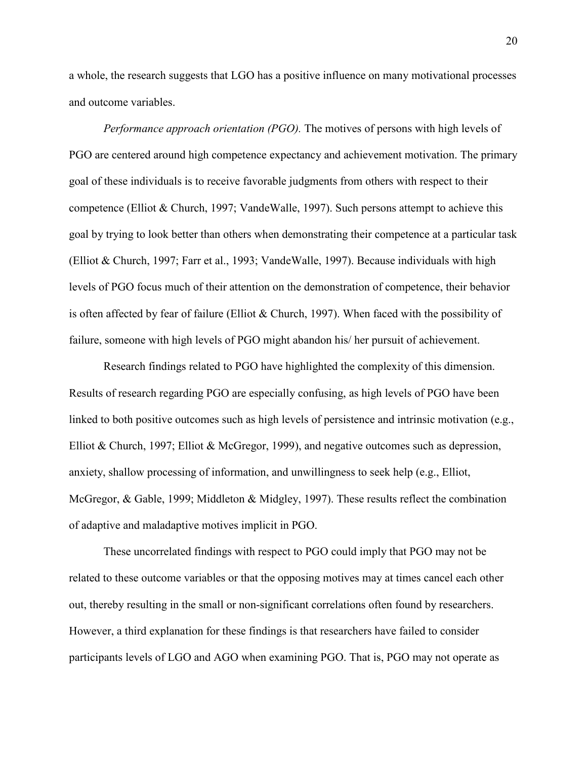a whole, the research suggests that LGO has a positive influence on many motivational processes and outcome variables.

*Performance approach orientation (PGO).* The motives of persons with high levels of PGO are centered around high competence expectancy and achievement motivation. The primary goal of these individuals is to receive favorable judgments from others with respect to their competence (Elliot & Church, 1997; VandeWalle, 1997). Such persons attempt to achieve this goal by trying to look better than others when demonstrating their competence at a particular task (Elliot & Church, 1997; Farr et al., 1993; VandeWalle, 1997). Because individuals with high levels of PGO focus much of their attention on the demonstration of competence, their behavior is often affected by fear of failure (Elliot  $&$  Church, 1997). When faced with the possibility of failure, someone with high levels of PGO might abandon his/ her pursuit of achievement.

Research findings related to PGO have highlighted the complexity of this dimension. Results of research regarding PGO are especially confusing, as high levels of PGO have been linked to both positive outcomes such as high levels of persistence and intrinsic motivation (e.g., Elliot & Church, 1997; Elliot & McGregor, 1999), and negative outcomes such as depression, anxiety, shallow processing of information, and unwillingness to seek help (e.g., Elliot, McGregor, & Gable, 1999; Middleton & Midgley, 1997). These results reflect the combination of adaptive and maladaptive motives implicit in PGO.

These uncorrelated findings with respect to PGO could imply that PGO may not be related to these outcome variables or that the opposing motives may at times cancel each other out, thereby resulting in the small or non-significant correlations often found by researchers. However, a third explanation for these findings is that researchers have failed to consider participants levels of LGO and AGO when examining PGO. That is, PGO may not operate as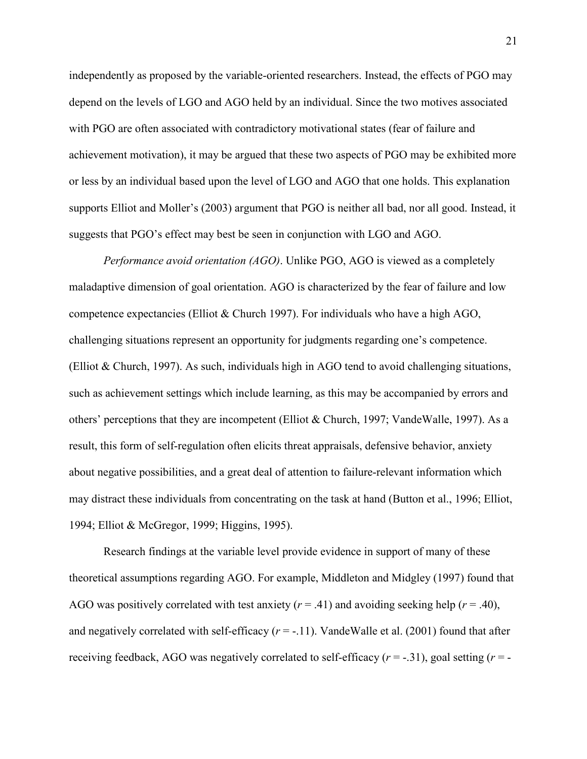independently as proposed by the variable-oriented researchers. Instead, the effects of PGO may depend on the levels of LGO and AGO held by an individual. Since the two motives associated with PGO are often associated with contradictory motivational states (fear of failure and achievement motivation), it may be argued that these two aspects of PGO may be exhibited more or less by an individual based upon the level of LGO and AGO that one holds. This explanation supports Elliot and Moller's (2003) argument that PGO is neither all bad, nor all good. Instead, it suggests that PGO's effect may best be seen in conjunction with LGO and AGO.

*Performance avoid orientation (AGO)*. Unlike PGO, AGO is viewed as a completely maladaptive dimension of goal orientation. AGO is characterized by the fear of failure and low competence expectancies (Elliot & Church 1997). For individuals who have a high AGO, challenging situations represent an opportunity for judgments regarding one's competence. (Elliot & Church, 1997). As such, individuals high in AGO tend to avoid challenging situations, such as achievement settings which include learning, as this may be accompanied by errors and others' perceptions that they are incompetent (Elliot & Church, 1997; VandeWalle, 1997). As a result, this form of self-regulation often elicits threat appraisals, defensive behavior, anxiety about negative possibilities, and a great deal of attention to failure-relevant information which may distract these individuals from concentrating on the task at hand (Button et al., 1996; Elliot, 1994; Elliot & McGregor, 1999; Higgins, 1995).

Research findings at the variable level provide evidence in support of many of these theoretical assumptions regarding AGO. For example, Middleton and Midgley (1997) found that AGO was positively correlated with test anxiety  $(r = .41)$  and avoiding seeking help  $(r = .40)$ , and negatively correlated with self-efficacy  $(r = -11)$ . VandeWalle et al. (2001) found that after receiving feedback, AGO was negatively correlated to self-efficacy  $(r = -0.31)$ , goal setting  $(r = -1.31)$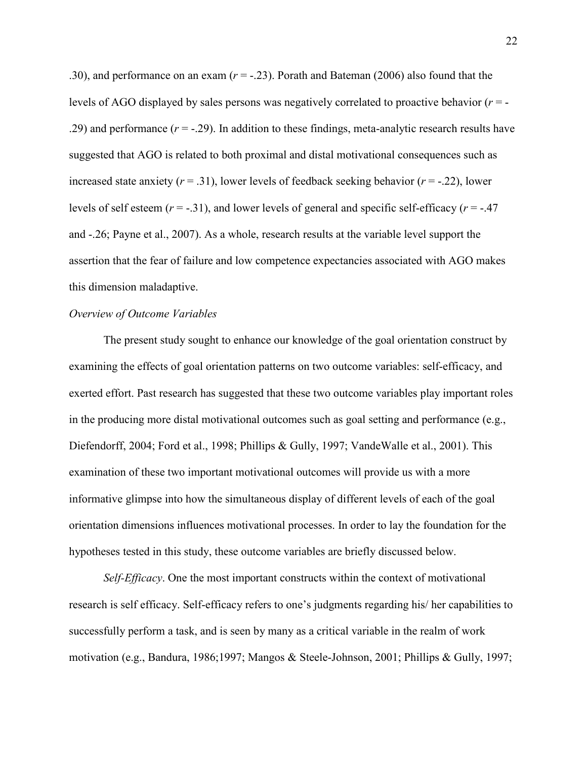.30), and performance on an exam  $(r = -0.23)$ . Porath and Bateman (2006) also found that the levels of AGO displayed by sales persons was negatively correlated to proactive behavior (*r* = - .29) and performance (*r* = -.29). In addition to these findings, meta-analytic research results have suggested that AGO is related to both proximal and distal motivational consequences such as increased state anxiety  $(r = .31)$ , lower levels of feedback seeking behavior  $(r = .22)$ , lower levels of self esteem  $(r = -.31)$ , and lower levels of general and specific self-efficacy  $(r = -.47)$ and -.26; Payne et al., 2007). As a whole, research results at the variable level support the assertion that the fear of failure and low competence expectancies associated with AGO makes this dimension maladaptive.

## *Overview of Outcome Variables*

 The present study sought to enhance our knowledge of the goal orientation construct by examining the effects of goal orientation patterns on two outcome variables: self-efficacy, and exerted effort. Past research has suggested that these two outcome variables play important roles in the producing more distal motivational outcomes such as goal setting and performance (e.g., Diefendorff, 2004; Ford et al., 1998; Phillips & Gully, 1997; VandeWalle et al., 2001). This examination of these two important motivational outcomes will provide us with a more informative glimpse into how the simultaneous display of different levels of each of the goal orientation dimensions influences motivational processes. In order to lay the foundation for the hypotheses tested in this study, these outcome variables are briefly discussed below.

*Self-Efficacy*. One the most important constructs within the context of motivational research is self efficacy. Self-efficacy refers to one's judgments regarding his/ her capabilities to successfully perform a task, and is seen by many as a critical variable in the realm of work motivation (e.g., Bandura, 1986;1997; Mangos & Steele-Johnson, 2001; Phillips & Gully, 1997;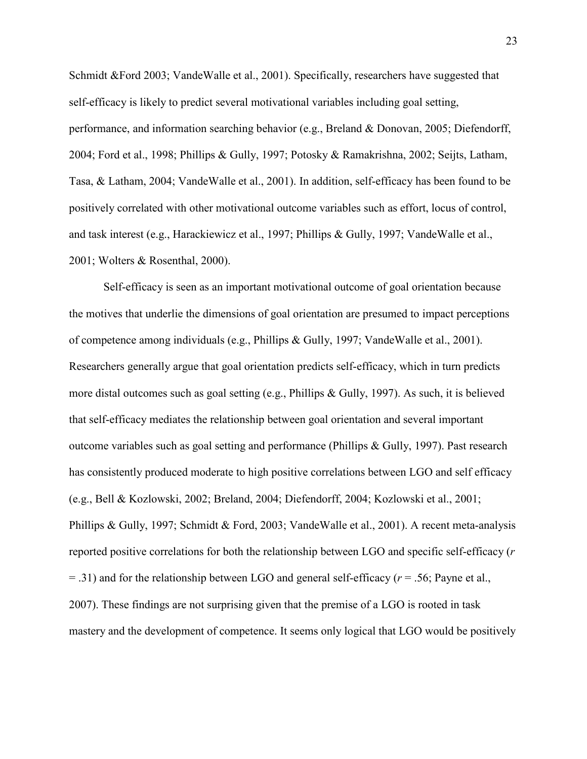Schmidt &Ford 2003; VandeWalle et al., 2001). Specifically, researchers have suggested that self-efficacy is likely to predict several motivational variables including goal setting, performance, and information searching behavior (e.g., Breland & Donovan, 2005; Diefendorff, 2004; Ford et al., 1998; Phillips & Gully, 1997; Potosky & Ramakrishna, 2002; Seijts, Latham, Tasa, & Latham, 2004; VandeWalle et al., 2001). In addition, self-efficacy has been found to be positively correlated with other motivational outcome variables such as effort, locus of control, and task interest (e.g., Harackiewicz et al., 1997; Phillips & Gully, 1997; VandeWalle et al., 2001; Wolters & Rosenthal, 2000).

Self-efficacy is seen as an important motivational outcome of goal orientation because the motives that underlie the dimensions of goal orientation are presumed to impact perceptions of competence among individuals (e.g., Phillips & Gully, 1997; VandeWalle et al., 2001). Researchers generally argue that goal orientation predicts self-efficacy, which in turn predicts more distal outcomes such as goal setting (e.g., Phillips & Gully, 1997). As such, it is believed that self-efficacy mediates the relationship between goal orientation and several important outcome variables such as goal setting and performance (Phillips & Gully, 1997). Past research has consistently produced moderate to high positive correlations between LGO and self efficacy (e.g., Bell & Kozlowski, 2002; Breland, 2004; Diefendorff, 2004; Kozlowski et al., 2001; Phillips & Gully, 1997; Schmidt & Ford, 2003; VandeWalle et al., 2001). A recent meta-analysis reported positive correlations for both the relationship between LGO and specific self-efficacy (*r* = .31) and for the relationship between LGO and general self-efficacy (*r* = .56; Payne et al., 2007). These findings are not surprising given that the premise of a LGO is rooted in task mastery and the development of competence. It seems only logical that LGO would be positively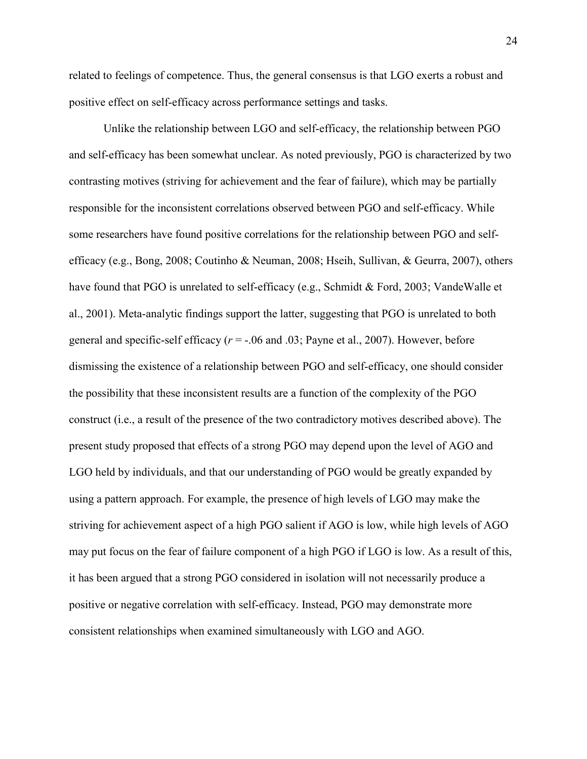related to feelings of competence. Thus, the general consensus is that LGO exerts a robust and positive effect on self-efficacy across performance settings and tasks.

Unlike the relationship between LGO and self-efficacy, the relationship between PGO and self-efficacy has been somewhat unclear. As noted previously, PGO is characterized by two contrasting motives (striving for achievement and the fear of failure), which may be partially responsible for the inconsistent correlations observed between PGO and self-efficacy. While some researchers have found positive correlations for the relationship between PGO and selfefficacy (e.g., Bong, 2008; Coutinho & Neuman, 2008; Hseih, Sullivan, & Geurra, 2007), others have found that PGO is unrelated to self-efficacy (e.g., Schmidt & Ford, 2003; VandeWalle et al., 2001). Meta-analytic findings support the latter, suggesting that PGO is unrelated to both general and specific-self efficacy  $(r = -06$  and  $.03$ ; Payne et al., 2007). However, before dismissing the existence of a relationship between PGO and self-efficacy, one should consider the possibility that these inconsistent results are a function of the complexity of the PGO construct (i.e., a result of the presence of the two contradictory motives described above). The present study proposed that effects of a strong PGO may depend upon the level of AGO and LGO held by individuals, and that our understanding of PGO would be greatly expanded by using a pattern approach. For example, the presence of high levels of LGO may make the striving for achievement aspect of a high PGO salient if AGO is low, while high levels of AGO may put focus on the fear of failure component of a high PGO if LGO is low. As a result of this, it has been argued that a strong PGO considered in isolation will not necessarily produce a positive or negative correlation with self-efficacy. Instead, PGO may demonstrate more consistent relationships when examined simultaneously with LGO and AGO.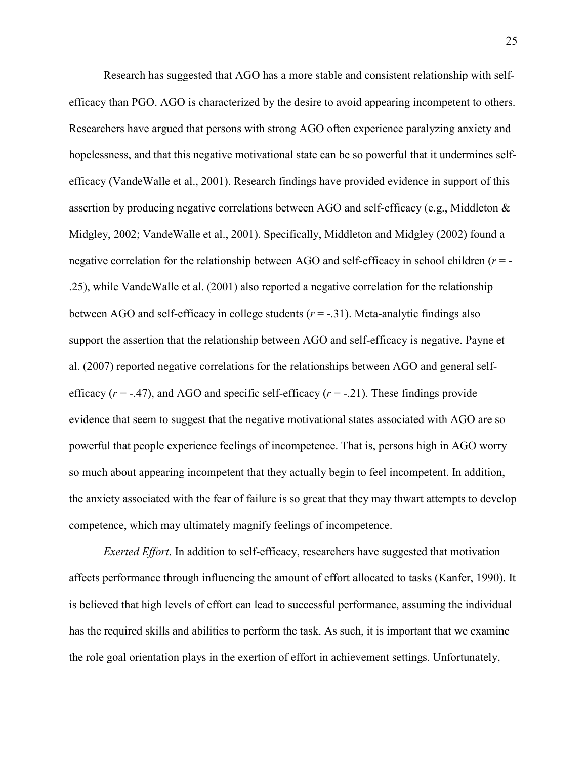Research has suggested that AGO has a more stable and consistent relationship with selfefficacy than PGO. AGO is characterized by the desire to avoid appearing incompetent to others. Researchers have argued that persons with strong AGO often experience paralyzing anxiety and hopelessness, and that this negative motivational state can be so powerful that it undermines selfefficacy (VandeWalle et al., 2001). Research findings have provided evidence in support of this assertion by producing negative correlations between AGO and self-efficacy (e.g., Middleton & Midgley, 2002; VandeWalle et al., 2001). Specifically, Middleton and Midgley (2002) found a negative correlation for the relationship between AGO and self-efficacy in school children (*r* = - .25), while VandeWalle et al. (2001) also reported a negative correlation for the relationship between AGO and self-efficacy in college students  $(r = -.31)$ . Meta-analytic findings also support the assertion that the relationship between AGO and self-efficacy is negative. Payne et al. (2007) reported negative correlations for the relationships between AGO and general selfefficacy  $(r = -0.47)$ , and AGO and specific self-efficacy  $(r = -0.21)$ . These findings provide evidence that seem to suggest that the negative motivational states associated with AGO are so powerful that people experience feelings of incompetence. That is, persons high in AGO worry so much about appearing incompetent that they actually begin to feel incompetent. In addition, the anxiety associated with the fear of failure is so great that they may thwart attempts to develop competence, which may ultimately magnify feelings of incompetence.

*Exerted Effort*. In addition to self-efficacy, researchers have suggested that motivation affects performance through influencing the amount of effort allocated to tasks (Kanfer, 1990). It is believed that high levels of effort can lead to successful performance, assuming the individual has the required skills and abilities to perform the task. As such, it is important that we examine the role goal orientation plays in the exertion of effort in achievement settings. Unfortunately,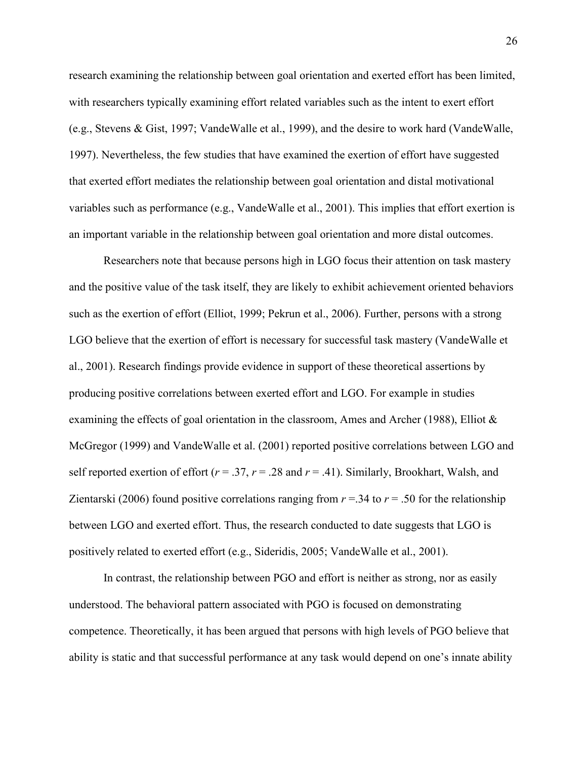research examining the relationship between goal orientation and exerted effort has been limited, with researchers typically examining effort related variables such as the intent to exert effort (e.g., Stevens & Gist, 1997; VandeWalle et al., 1999), and the desire to work hard (VandeWalle, 1997). Nevertheless, the few studies that have examined the exertion of effort have suggested that exerted effort mediates the relationship between goal orientation and distal motivational variables such as performance (e.g., VandeWalle et al., 2001). This implies that effort exertion is an important variable in the relationship between goal orientation and more distal outcomes.

Researchers note that because persons high in LGO focus their attention on task mastery and the positive value of the task itself, they are likely to exhibit achievement oriented behaviors such as the exertion of effort (Elliot, 1999; Pekrun et al., 2006). Further, persons with a strong LGO believe that the exertion of effort is necessary for successful task mastery (VandeWalle et al., 2001). Research findings provide evidence in support of these theoretical assertions by producing positive correlations between exerted effort and LGO. For example in studies examining the effects of goal orientation in the classroom, Ames and Archer (1988), Elliot  $\&$ McGregor (1999) and VandeWalle et al. (2001) reported positive correlations between LGO and self reported exertion of effort ( $r = .37$ ,  $r = .28$  and  $r = .41$ ). Similarly, Brookhart, Walsh, and Zientarski (2006) found positive correlations ranging from  $r = 0.34$  to  $r = 0.50$  for the relationship between LGO and exerted effort. Thus, the research conducted to date suggests that LGO is positively related to exerted effort (e.g., Sideridis, 2005; VandeWalle et al., 2001).

 In contrast, the relationship between PGO and effort is neither as strong, nor as easily understood. The behavioral pattern associated with PGO is focused on demonstrating competence. Theoretically, it has been argued that persons with high levels of PGO believe that ability is static and that successful performance at any task would depend on one's innate ability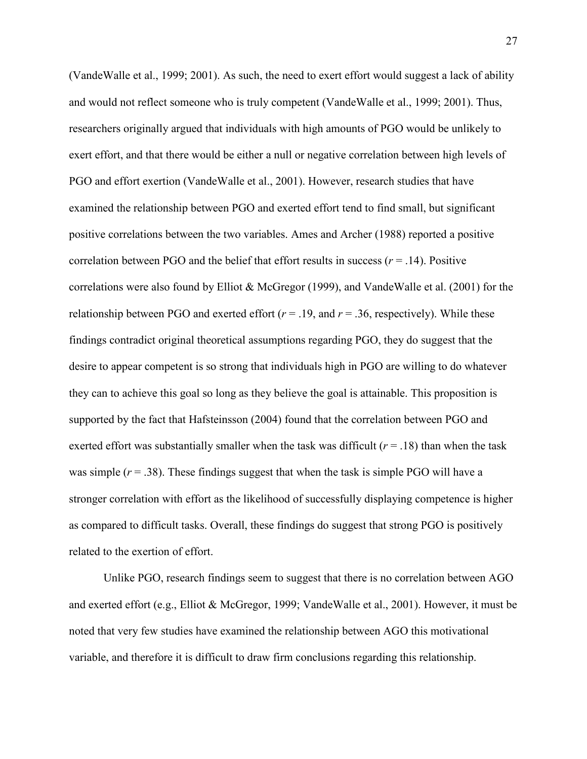(VandeWalle et al., 1999; 2001). As such, the need to exert effort would suggest a lack of ability and would not reflect someone who is truly competent (VandeWalle et al., 1999; 2001). Thus, researchers originally argued that individuals with high amounts of PGO would be unlikely to exert effort, and that there would be either a null or negative correlation between high levels of PGO and effort exertion (VandeWalle et al., 2001). However, research studies that have examined the relationship between PGO and exerted effort tend to find small, but significant positive correlations between the two variables. Ames and Archer (1988) reported a positive correlation between PGO and the belief that effort results in success  $(r = .14)$ . Positive correlations were also found by Elliot & McGregor (1999), and VandeWalle et al. (2001) for the relationship between PGO and exerted effort  $(r = .19)$ , and  $r = .36$ , respectively). While these findings contradict original theoretical assumptions regarding PGO, they do suggest that the desire to appear competent is so strong that individuals high in PGO are willing to do whatever they can to achieve this goal so long as they believe the goal is attainable. This proposition is supported by the fact that Hafsteinsson (2004) found that the correlation between PGO and exerted effort was substantially smaller when the task was difficult  $(r = .18)$  than when the task was simple  $(r = .38)$ . These findings suggest that when the task is simple PGO will have a stronger correlation with effort as the likelihood of successfully displaying competence is higher as compared to difficult tasks. Overall, these findings do suggest that strong PGO is positively related to the exertion of effort.

Unlike PGO, research findings seem to suggest that there is no correlation between AGO and exerted effort (e.g., Elliot & McGregor, 1999; VandeWalle et al., 2001). However, it must be noted that very few studies have examined the relationship between AGO this motivational variable, and therefore it is difficult to draw firm conclusions regarding this relationship.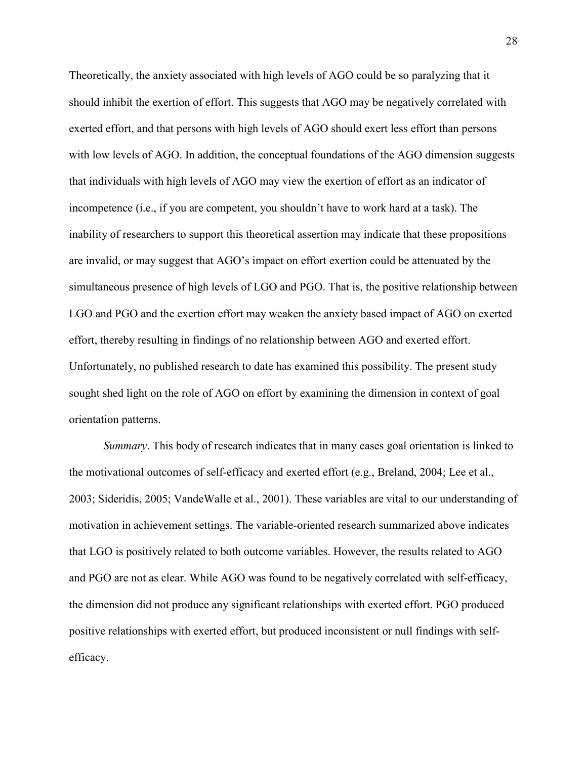Theoretically, the anxiety associated with high levels of AGO could be so paralyzing that it should inhibit the exertion of effort. This suggests that AGO may be negatively correlated with exerted effort, and that persons with high levels of AGO should exert less effort than persons with low levels of AGO. In addition, the conceptual foundations of the AGO dimension suggests that individuals with high levels of AGO may view the exertion of effort as an indicator of incompetence (i.e., if you are competent, you shouldn't have to work hard at a task). The inability of researchers to support this theoretical assertion may indicate that these propositions are invalid, or may suggest that AGO's impact on effort exertion could be attenuated by the simultaneous presence of high levels of LGO and PGO. That is, the positive relationship between LGO and PGO and the exertion effort may weaken the anxiety based impact of AGO on exerted effort, thereby resulting in findings of no relationship between AGO and exerted effort. Unfortunately, no published research to date has examined this possibility. The present study sought shed light on the role of AGO on effort by examining the dimension in context of goal orientation patterns.

*Summary*. This body of research indicates that in many cases goal orientation is linked to the motivational outcomes of self-efficacy and exerted effort (e.g., Breland, 2004; Lee et al., 2003; Sideridis, 2005; VandeWalle et al., 2001). These variables are vital to our understanding of motivation in achievement settings. The variable-oriented research summarized above indicates that LGO is positively related to both outcome variables. However, the results related to AGO and PGO are not as clear. While AGO was found to be negatively correlated with self-efficacy, the dimension did not produce any significant relationships with exerted effort. PGO produced positive relationships with exerted effort, but produced inconsistent or null findings with selfefficacy.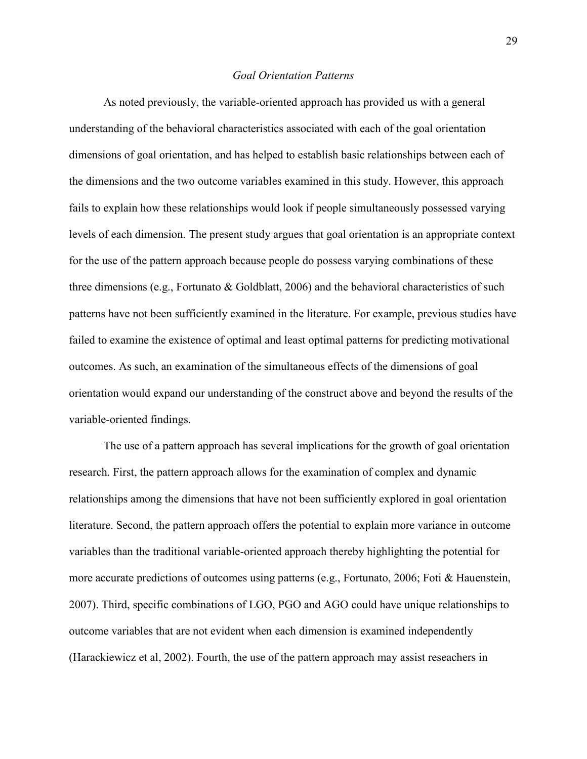#### *Goal Orientation Patterns*

As noted previously, the variable-oriented approach has provided us with a general understanding of the behavioral characteristics associated with each of the goal orientation dimensions of goal orientation, and has helped to establish basic relationships between each of the dimensions and the two outcome variables examined in this study. However, this approach fails to explain how these relationships would look if people simultaneously possessed varying levels of each dimension. The present study argues that goal orientation is an appropriate context for the use of the pattern approach because people do possess varying combinations of these three dimensions (e.g., Fortunato & Goldblatt, 2006) and the behavioral characteristics of such patterns have not been sufficiently examined in the literature. For example, previous studies have failed to examine the existence of optimal and least optimal patterns for predicting motivational outcomes. As such, an examination of the simultaneous effects of the dimensions of goal orientation would expand our understanding of the construct above and beyond the results of the variable-oriented findings.

The use of a pattern approach has several implications for the growth of goal orientation research. First, the pattern approach allows for the examination of complex and dynamic relationships among the dimensions that have not been sufficiently explored in goal orientation literature. Second, the pattern approach offers the potential to explain more variance in outcome variables than the traditional variable-oriented approach thereby highlighting the potential for more accurate predictions of outcomes using patterns (e.g., Fortunato, 2006; Foti & Hauenstein, 2007). Third, specific combinations of LGO, PGO and AGO could have unique relationships to outcome variables that are not evident when each dimension is examined independently (Harackiewicz et al, 2002). Fourth, the use of the pattern approach may assist reseachers in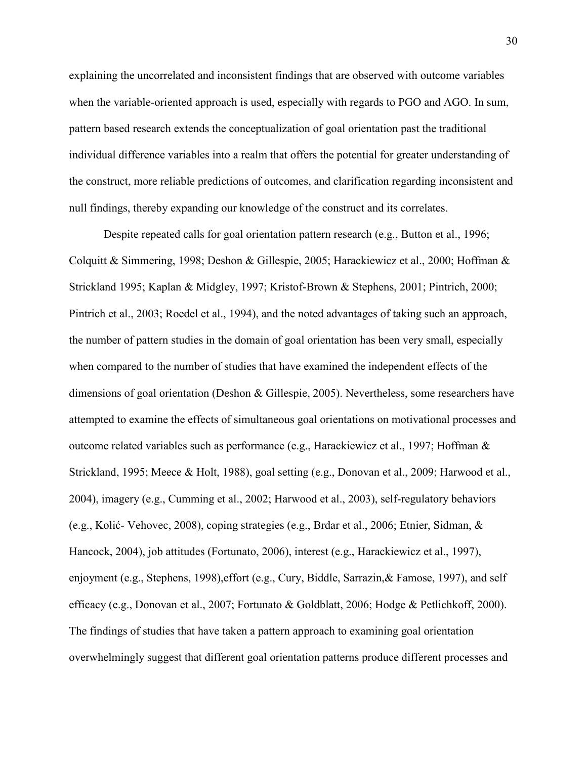explaining the uncorrelated and inconsistent findings that are observed with outcome variables when the variable-oriented approach is used, especially with regards to PGO and AGO. In sum, pattern based research extends the conceptualization of goal orientation past the traditional individual difference variables into a realm that offers the potential for greater understanding of the construct, more reliable predictions of outcomes, and clarification regarding inconsistent and null findings, thereby expanding our knowledge of the construct and its correlates.

Despite repeated calls for goal orientation pattern research (e.g., Button et al., 1996; Colquitt & Simmering, 1998; Deshon & Gillespie, 2005; Harackiewicz et al., 2000; Hoffman & Strickland 1995; Kaplan & Midgley, 1997; Kristof-Brown & Stephens, 2001; Pintrich, 2000; Pintrich et al., 2003; Roedel et al., 1994), and the noted advantages of taking such an approach, the number of pattern studies in the domain of goal orientation has been very small, especially when compared to the number of studies that have examined the independent effects of the dimensions of goal orientation (Deshon & Gillespie, 2005). Nevertheless, some researchers have attempted to examine the effects of simultaneous goal orientations on motivational processes and outcome related variables such as performance (e.g., Harackiewicz et al., 1997; Hoffman & Strickland, 1995; Meece & Holt, 1988), goal setting (e.g., Donovan et al., 2009; Harwood et al., 2004), imagery (e.g., Cumming et al., 2002; Harwood et al., 2003), self-regulatory behaviors (e.g., Kolić- Vehovec, 2008), coping strategies (e.g., Brdar et al., 2006; Etnier, Sidman, & Hancock, 2004), job attitudes (Fortunato, 2006), interest (e.g., Harackiewicz et al., 1997), enjoyment (e.g., Stephens, 1998),effort (e.g., Cury, Biddle, Sarrazin,& Famose, 1997), and self efficacy (e.g., Donovan et al., 2007; Fortunato & Goldblatt, 2006; Hodge & Petlichkoff, 2000). The findings of studies that have taken a pattern approach to examining goal orientation overwhelmingly suggest that different goal orientation patterns produce different processes and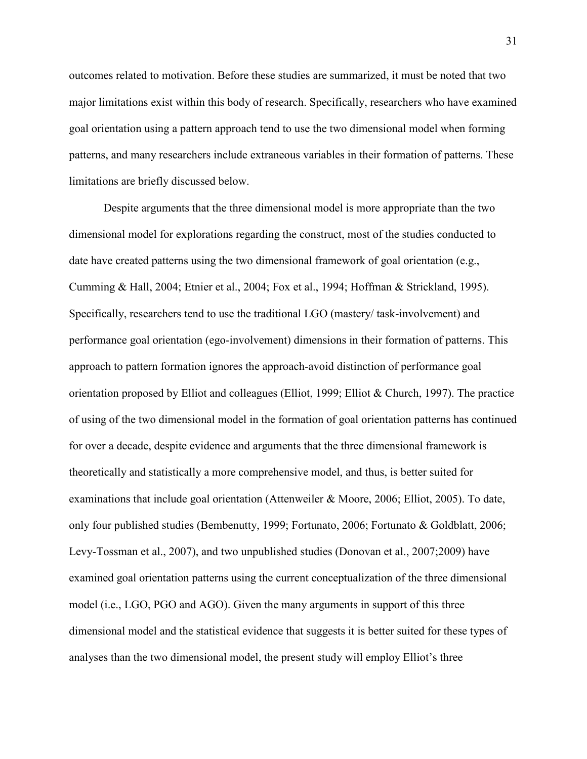outcomes related to motivation. Before these studies are summarized, it must be noted that two major limitations exist within this body of research. Specifically, researchers who have examined goal orientation using a pattern approach tend to use the two dimensional model when forming patterns, and many researchers include extraneous variables in their formation of patterns. These limitations are briefly discussed below.

Despite arguments that the three dimensional model is more appropriate than the two dimensional model for explorations regarding the construct, most of the studies conducted to date have created patterns using the two dimensional framework of goal orientation (e.g., Cumming & Hall, 2004; Etnier et al., 2004; Fox et al., 1994; Hoffman & Strickland, 1995). Specifically, researchers tend to use the traditional LGO (mastery/ task-involvement) and performance goal orientation (ego-involvement) dimensions in their formation of patterns. This approach to pattern formation ignores the approach-avoid distinction of performance goal orientation proposed by Elliot and colleagues (Elliot, 1999; Elliot & Church, 1997). The practice of using of the two dimensional model in the formation of goal orientation patterns has continued for over a decade, despite evidence and arguments that the three dimensional framework is theoretically and statistically a more comprehensive model, and thus, is better suited for examinations that include goal orientation (Attenweiler & Moore, 2006; Elliot, 2005). To date, only four published studies (Bembenutty, 1999; Fortunato, 2006; Fortunato & Goldblatt, 2006; Levy-Tossman et al., 2007), and two unpublished studies (Donovan et al., 2007;2009) have examined goal orientation patterns using the current conceptualization of the three dimensional model (i.e., LGO, PGO and AGO). Given the many arguments in support of this three dimensional model and the statistical evidence that suggests it is better suited for these types of analyses than the two dimensional model, the present study will employ Elliot's three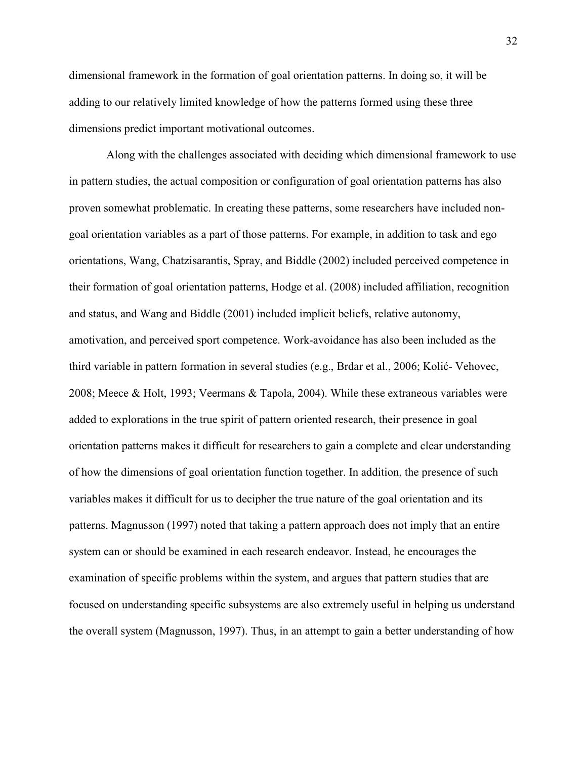dimensional framework in the formation of goal orientation patterns. In doing so, it will be adding to our relatively limited knowledge of how the patterns formed using these three dimensions predict important motivational outcomes.

 Along with the challenges associated with deciding which dimensional framework to use in pattern studies, the actual composition or configuration of goal orientation patterns has also proven somewhat problematic. In creating these patterns, some researchers have included nongoal orientation variables as a part of those patterns. For example, in addition to task and ego orientations, Wang, Chatzisarantis, Spray, and Biddle (2002) included perceived competence in their formation of goal orientation patterns, Hodge et al. (2008) included affiliation, recognition and status, and Wang and Biddle (2001) included implicit beliefs, relative autonomy, amotivation, and perceived sport competence. Work-avoidance has also been included as the third variable in pattern formation in several studies (e.g., Brdar et al., 2006; Kolić- Vehovec, 2008; Meece & Holt, 1993; Veermans & Tapola, 2004). While these extraneous variables were added to explorations in the true spirit of pattern oriented research, their presence in goal orientation patterns makes it difficult for researchers to gain a complete and clear understanding of how the dimensions of goal orientation function together. In addition, the presence of such variables makes it difficult for us to decipher the true nature of the goal orientation and its patterns. Magnusson (1997) noted that taking a pattern approach does not imply that an entire system can or should be examined in each research endeavor. Instead, he encourages the examination of specific problems within the system, and argues that pattern studies that are focused on understanding specific subsystems are also extremely useful in helping us understand the overall system (Magnusson, 1997). Thus, in an attempt to gain a better understanding of how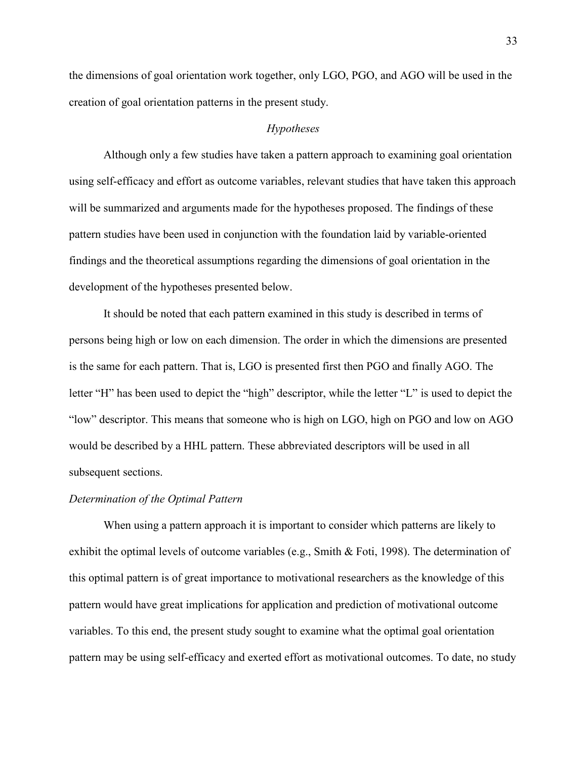the dimensions of goal orientation work together, only LGO, PGO, and AGO will be used in the creation of goal orientation patterns in the present study.

## *Hypotheses*

Although only a few studies have taken a pattern approach to examining goal orientation using self-efficacy and effort as outcome variables, relevant studies that have taken this approach will be summarized and arguments made for the hypotheses proposed. The findings of these pattern studies have been used in conjunction with the foundation laid by variable-oriented findings and the theoretical assumptions regarding the dimensions of goal orientation in the development of the hypotheses presented below.

It should be noted that each pattern examined in this study is described in terms of persons being high or low on each dimension. The order in which the dimensions are presented is the same for each pattern. That is, LGO is presented first then PGO and finally AGO. The letter "H" has been used to depict the "high" descriptor, while the letter "L" is used to depict the "low" descriptor. This means that someone who is high on LGO, high on PGO and low on AGO would be described by a HHL pattern. These abbreviated descriptors will be used in all subsequent sections.

#### *Determination of the Optimal Pattern*

 When using a pattern approach it is important to consider which patterns are likely to exhibit the optimal levels of outcome variables (e.g., Smith & Foti, 1998). The determination of this optimal pattern is of great importance to motivational researchers as the knowledge of this pattern would have great implications for application and prediction of motivational outcome variables. To this end, the present study sought to examine what the optimal goal orientation pattern may be using self-efficacy and exerted effort as motivational outcomes. To date, no study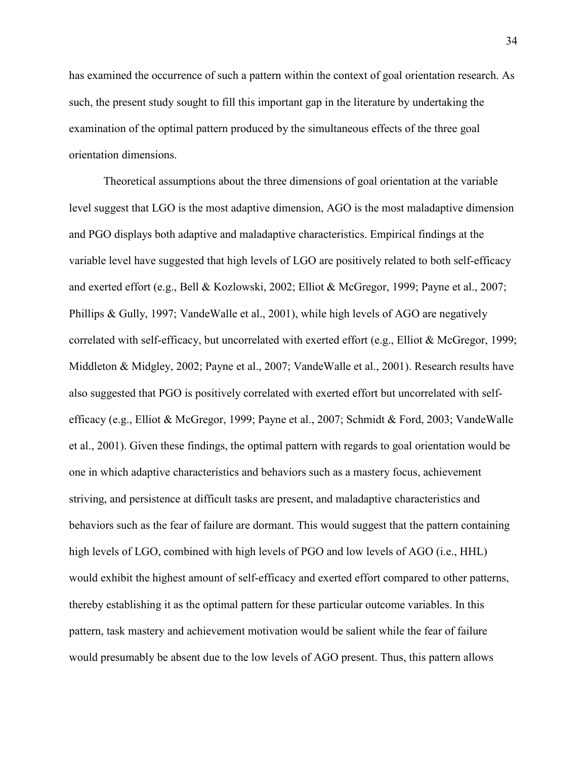has examined the occurrence of such a pattern within the context of goal orientation research. As such, the present study sought to fill this important gap in the literature by undertaking the examination of the optimal pattern produced by the simultaneous effects of the three goal orientation dimensions.

Theoretical assumptions about the three dimensions of goal orientation at the variable level suggest that LGO is the most adaptive dimension, AGO is the most maladaptive dimension and PGO displays both adaptive and maladaptive characteristics. Empirical findings at the variable level have suggested that high levels of LGO are positively related to both self-efficacy and exerted effort (e.g., Bell & Kozlowski, 2002; Elliot & McGregor, 1999; Payne et al., 2007; Phillips & Gully, 1997; VandeWalle et al., 2001), while high levels of AGO are negatively correlated with self-efficacy, but uncorrelated with exerted effort (e.g., Elliot & McGregor, 1999; Middleton & Midgley, 2002; Payne et al., 2007; VandeWalle et al., 2001). Research results have also suggested that PGO is positively correlated with exerted effort but uncorrelated with selfefficacy (e.g., Elliot & McGregor, 1999; Payne et al., 2007; Schmidt & Ford, 2003; VandeWalle et al., 2001). Given these findings, the optimal pattern with regards to goal orientation would be one in which adaptive characteristics and behaviors such as a mastery focus, achievement striving, and persistence at difficult tasks are present, and maladaptive characteristics and behaviors such as the fear of failure are dormant. This would suggest that the pattern containing high levels of LGO, combined with high levels of PGO and low levels of AGO (i.e., HHL) would exhibit the highest amount of self-efficacy and exerted effort compared to other patterns, thereby establishing it as the optimal pattern for these particular outcome variables. In this pattern, task mastery and achievement motivation would be salient while the fear of failure would presumably be absent due to the low levels of AGO present. Thus, this pattern allows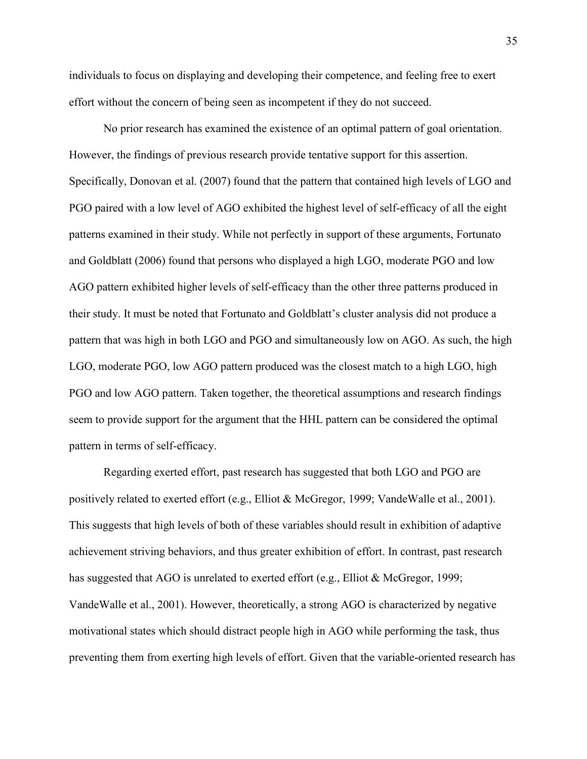individuals to focus on displaying and developing their competence, and feeling free to exert effort without the concern of being seen as incompetent if they do not succeed.

No prior research has examined the existence of an optimal pattern of goal orientation. However, the findings of previous research provide tentative support for this assertion. Specifically, Donovan et al. (2007) found that the pattern that contained high levels of LGO and PGO paired with a low level of AGO exhibited the highest level of self-efficacy of all the eight patterns examined in their study. While not perfectly in support of these arguments, Fortunato and Goldblatt (2006) found that persons who displayed a high LGO, moderate PGO and low AGO pattern exhibited higher levels of self-efficacy than the other three patterns produced in their study. It must be noted that Fortunato and Goldblatt's cluster analysis did not produce a pattern that was high in both LGO and PGO and simultaneously low on AGO. As such, the high LGO, moderate PGO, low AGO pattern produced was the closest match to a high LGO, high PGO and low AGO pattern. Taken together, the theoretical assumptions and research findings seem to provide support for the argument that the HHL pattern can be considered the optimal pattern in terms of self-efficacy.

Regarding exerted effort, past research has suggested that both LGO and PGO are positively related to exerted effort (e.g., Elliot & McGregor, 1999; VandeWalle et al., 2001). This suggests that high levels of both of these variables should result in exhibition of adaptive achievement striving behaviors, and thus greater exhibition of effort. In contrast, past research has suggested that AGO is unrelated to exerted effort (e.g., Elliot & McGregor, 1999; VandeWalle et al., 2001). However, theoretically, a strong AGO is characterized by negative motivational states which should distract people high in AGO while performing the task, thus preventing them from exerting high levels of effort. Given that the variable-oriented research has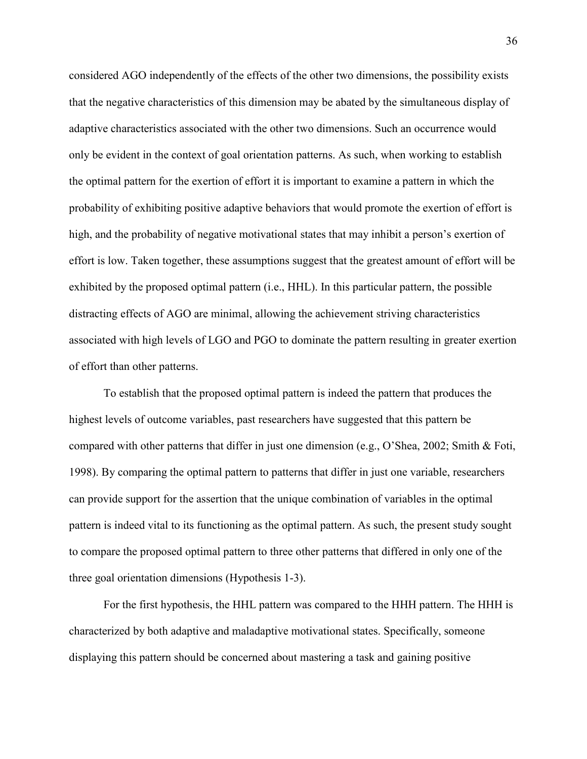considered AGO independently of the effects of the other two dimensions, the possibility exists that the negative characteristics of this dimension may be abated by the simultaneous display of adaptive characteristics associated with the other two dimensions. Such an occurrence would only be evident in the context of goal orientation patterns. As such, when working to establish the optimal pattern for the exertion of effort it is important to examine a pattern in which the probability of exhibiting positive adaptive behaviors that would promote the exertion of effort is high, and the probability of negative motivational states that may inhibit a person's exertion of effort is low. Taken together, these assumptions suggest that the greatest amount of effort will be exhibited by the proposed optimal pattern (i.e., HHL). In this particular pattern, the possible distracting effects of AGO are minimal, allowing the achievement striving characteristics associated with high levels of LGO and PGO to dominate the pattern resulting in greater exertion of effort than other patterns.

To establish that the proposed optimal pattern is indeed the pattern that produces the highest levels of outcome variables, past researchers have suggested that this pattern be compared with other patterns that differ in just one dimension (e.g., O'Shea, 2002; Smith & Foti, 1998). By comparing the optimal pattern to patterns that differ in just one variable, researchers can provide support for the assertion that the unique combination of variables in the optimal pattern is indeed vital to its functioning as the optimal pattern. As such, the present study sought to compare the proposed optimal pattern to three other patterns that differed in only one of the three goal orientation dimensions (Hypothesis 1-3).

For the first hypothesis, the HHL pattern was compared to the HHH pattern. The HHH is characterized by both adaptive and maladaptive motivational states. Specifically, someone displaying this pattern should be concerned about mastering a task and gaining positive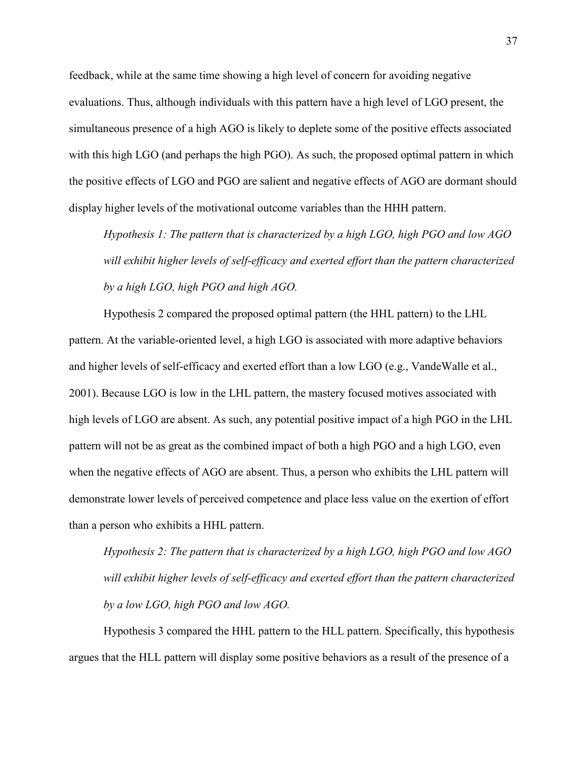feedback, while at the same time showing a high level of concern for avoiding negative evaluations. Thus, although individuals with this pattern have a high level of LGO present, the simultaneous presence of a high AGO is likely to deplete some of the positive effects associated with this high LGO (and perhaps the high PGO). As such, the proposed optimal pattern in which the positive effects of LGO and PGO are salient and negative effects of AGO are dormant should display higher levels of the motivational outcome variables than the HHH pattern.

*Hypothesis 1: The pattern that is characterized by a high LGO, high PGO and low AGO will exhibit higher levels of self-efficacy and exerted effort than the pattern characterized by a high LGO, high PGO and high AGO.* 

Hypothesis 2 compared the proposed optimal pattern (the HHL pattern) to the LHL pattern. At the variable-oriented level, a high LGO is associated with more adaptive behaviors and higher levels of self-efficacy and exerted effort than a low LGO (e.g., VandeWalle et al., 2001). Because LGO is low in the LHL pattern, the mastery focused motives associated with high levels of LGO are absent. As such, any potential positive impact of a high PGO in the LHL pattern will not be as great as the combined impact of both a high PGO and a high LGO, even when the negative effects of AGO are absent. Thus, a person who exhibits the LHL pattern will demonstrate lower levels of perceived competence and place less value on the exertion of effort than a person who exhibits a HHL pattern.

*Hypothesis 2: The pattern that is characterized by a high LGO, high PGO and low AGO will exhibit higher levels of self-efficacy and exerted effort than the pattern characterized by a low LGO, high PGO and low AGO.* 

Hypothesis 3 compared the HHL pattern to the HLL pattern. Specifically, this hypothesis argues that the HLL pattern will display some positive behaviors as a result of the presence of a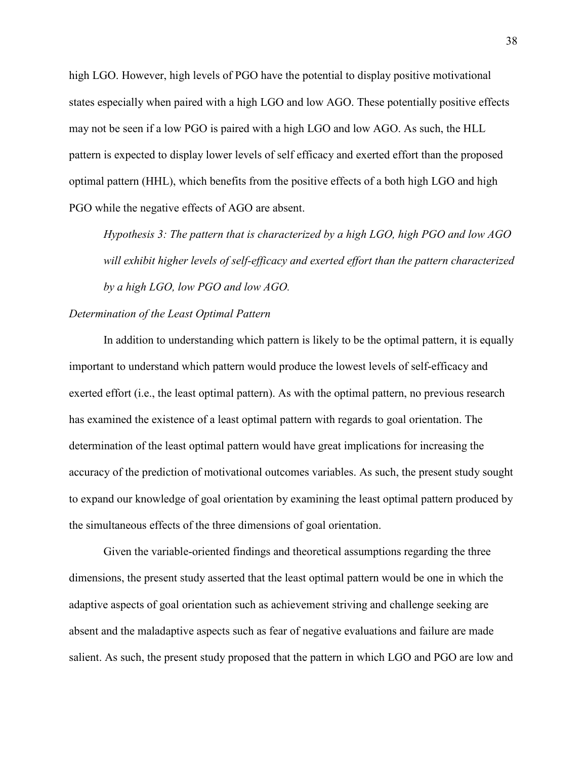high LGO. However, high levels of PGO have the potential to display positive motivational states especially when paired with a high LGO and low AGO. These potentially positive effects may not be seen if a low PGO is paired with a high LGO and low AGO. As such, the HLL pattern is expected to display lower levels of self efficacy and exerted effort than the proposed optimal pattern (HHL), which benefits from the positive effects of a both high LGO and high PGO while the negative effects of AGO are absent.

*Hypothesis 3: The pattern that is characterized by a high LGO, high PGO and low AGO will exhibit higher levels of self-efficacy and exerted effort than the pattern characterized by a high LGO, low PGO and low AGO.* 

## *Determination of the Least Optimal Pattern*

In addition to understanding which pattern is likely to be the optimal pattern, it is equally important to understand which pattern would produce the lowest levels of self-efficacy and exerted effort (i.e., the least optimal pattern). As with the optimal pattern, no previous research has examined the existence of a least optimal pattern with regards to goal orientation. The determination of the least optimal pattern would have great implications for increasing the accuracy of the prediction of motivational outcomes variables. As such, the present study sought to expand our knowledge of goal orientation by examining the least optimal pattern produced by the simultaneous effects of the three dimensions of goal orientation.

Given the variable-oriented findings and theoretical assumptions regarding the three dimensions, the present study asserted that the least optimal pattern would be one in which the adaptive aspects of goal orientation such as achievement striving and challenge seeking are absent and the maladaptive aspects such as fear of negative evaluations and failure are made salient. As such, the present study proposed that the pattern in which LGO and PGO are low and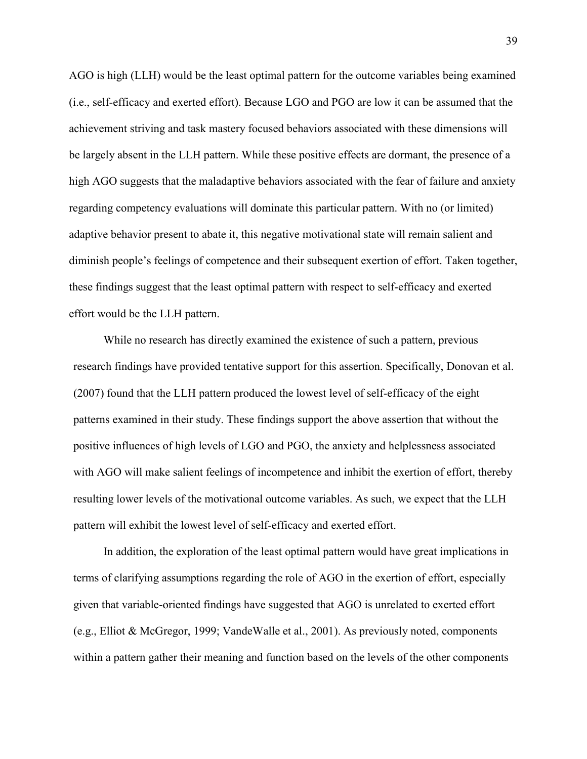AGO is high (LLH) would be the least optimal pattern for the outcome variables being examined (i.e., self-efficacy and exerted effort). Because LGO and PGO are low it can be assumed that the achievement striving and task mastery focused behaviors associated with these dimensions will be largely absent in the LLH pattern. While these positive effects are dormant, the presence of a high AGO suggests that the maladaptive behaviors associated with the fear of failure and anxiety regarding competency evaluations will dominate this particular pattern. With no (or limited) adaptive behavior present to abate it, this negative motivational state will remain salient and diminish people's feelings of competence and their subsequent exertion of effort. Taken together, these findings suggest that the least optimal pattern with respect to self-efficacy and exerted effort would be the LLH pattern.

While no research has directly examined the existence of such a pattern, previous research findings have provided tentative support for this assertion. Specifically, Donovan et al. (2007) found that the LLH pattern produced the lowest level of self-efficacy of the eight patterns examined in their study. These findings support the above assertion that without the positive influences of high levels of LGO and PGO, the anxiety and helplessness associated with AGO will make salient feelings of incompetence and inhibit the exertion of effort, thereby resulting lower levels of the motivational outcome variables. As such, we expect that the LLH pattern will exhibit the lowest level of self-efficacy and exerted effort.

In addition, the exploration of the least optimal pattern would have great implications in terms of clarifying assumptions regarding the role of AGO in the exertion of effort, especially given that variable-oriented findings have suggested that AGO is unrelated to exerted effort (e.g., Elliot & McGregor, 1999; VandeWalle et al., 2001). As previously noted, components within a pattern gather their meaning and function based on the levels of the other components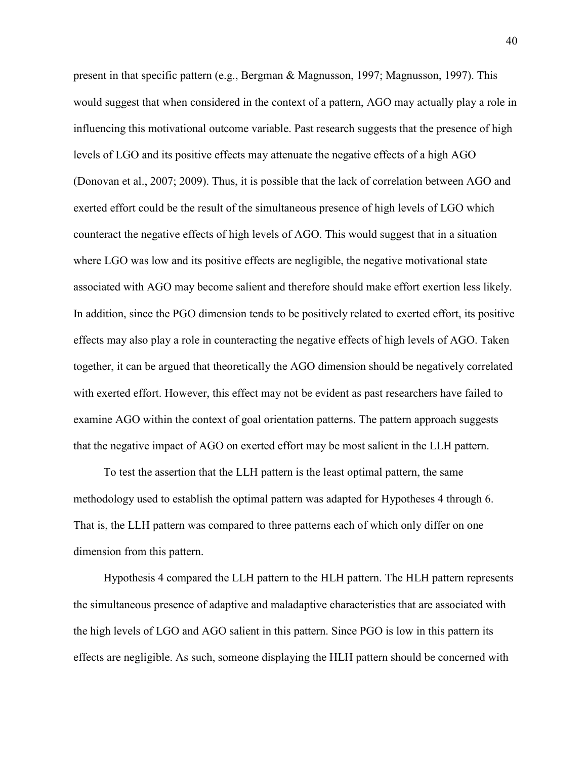present in that specific pattern (e.g., Bergman & Magnusson, 1997; Magnusson, 1997). This would suggest that when considered in the context of a pattern, AGO may actually play a role in influencing this motivational outcome variable. Past research suggests that the presence of high levels of LGO and its positive effects may attenuate the negative effects of a high AGO (Donovan et al., 2007; 2009). Thus, it is possible that the lack of correlation between AGO and exerted effort could be the result of the simultaneous presence of high levels of LGO which counteract the negative effects of high levels of AGO. This would suggest that in a situation where LGO was low and its positive effects are negligible, the negative motivational state associated with AGO may become salient and therefore should make effort exertion less likely. In addition, since the PGO dimension tends to be positively related to exerted effort, its positive effects may also play a role in counteracting the negative effects of high levels of AGO. Taken together, it can be argued that theoretically the AGO dimension should be negatively correlated with exerted effort. However, this effect may not be evident as past researchers have failed to examine AGO within the context of goal orientation patterns. The pattern approach suggests that the negative impact of AGO on exerted effort may be most salient in the LLH pattern.

To test the assertion that the LLH pattern is the least optimal pattern, the same methodology used to establish the optimal pattern was adapted for Hypotheses 4 through 6. That is, the LLH pattern was compared to three patterns each of which only differ on one dimension from this pattern.

Hypothesis 4 compared the LLH pattern to the HLH pattern. The HLH pattern represents the simultaneous presence of adaptive and maladaptive characteristics that are associated with the high levels of LGO and AGO salient in this pattern. Since PGO is low in this pattern its effects are negligible. As such, someone displaying the HLH pattern should be concerned with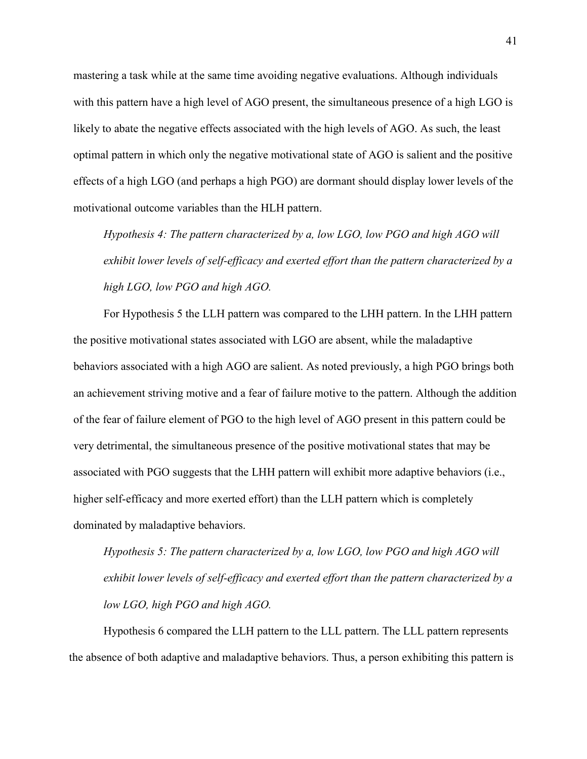mastering a task while at the same time avoiding negative evaluations. Although individuals with this pattern have a high level of AGO present, the simultaneous presence of a high LGO is likely to abate the negative effects associated with the high levels of AGO. As such, the least optimal pattern in which only the negative motivational state of AGO is salient and the positive effects of a high LGO (and perhaps a high PGO) are dormant should display lower levels of the motivational outcome variables than the HLH pattern.

*Hypothesis 4: The pattern characterized by a, low LGO, low PGO and high AGO will exhibit lower levels of self-efficacy and exerted effort than the pattern characterized by a high LGO, low PGO and high AGO.*

For Hypothesis 5 the LLH pattern was compared to the LHH pattern. In the LHH pattern the positive motivational states associated with LGO are absent, while the maladaptive behaviors associated with a high AGO are salient. As noted previously, a high PGO brings both an achievement striving motive and a fear of failure motive to the pattern. Although the addition of the fear of failure element of PGO to the high level of AGO present in this pattern could be very detrimental, the simultaneous presence of the positive motivational states that may be associated with PGO suggests that the LHH pattern will exhibit more adaptive behaviors (i.e., higher self-efficacy and more exerted effort) than the LLH pattern which is completely dominated by maladaptive behaviors.

*Hypothesis 5: The pattern characterized by a, low LGO, low PGO and high AGO will exhibit lower levels of self-efficacy and exerted effort than the pattern characterized by a low LGO, high PGO and high AGO.* 

Hypothesis 6 compared the LLH pattern to the LLL pattern. The LLL pattern represents the absence of both adaptive and maladaptive behaviors. Thus, a person exhibiting this pattern is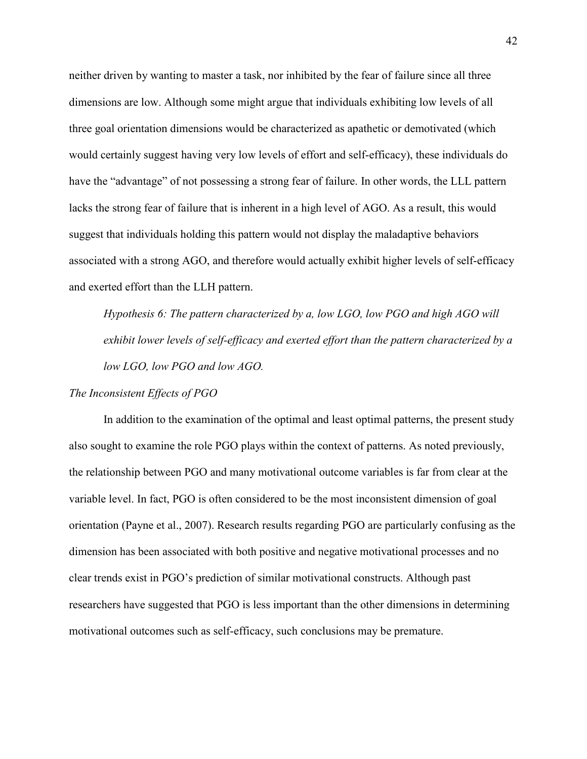neither driven by wanting to master a task, nor inhibited by the fear of failure since all three dimensions are low. Although some might argue that individuals exhibiting low levels of all three goal orientation dimensions would be characterized as apathetic or demotivated (which would certainly suggest having very low levels of effort and self-efficacy), these individuals do have the "advantage" of not possessing a strong fear of failure. In other words, the LLL pattern lacks the strong fear of failure that is inherent in a high level of AGO. As a result, this would suggest that individuals holding this pattern would not display the maladaptive behaviors associated with a strong AGO, and therefore would actually exhibit higher levels of self-efficacy and exerted effort than the LLH pattern.

*Hypothesis 6: The pattern characterized by a, low LGO, low PGO and high AGO will exhibit lower levels of self-efficacy and exerted effort than the pattern characterized by a low LGO, low PGO and low AGO.* 

#### *The Inconsistent Effects of PGO*

In addition to the examination of the optimal and least optimal patterns, the present study also sought to examine the role PGO plays within the context of patterns. As noted previously, the relationship between PGO and many motivational outcome variables is far from clear at the variable level. In fact, PGO is often considered to be the most inconsistent dimension of goal orientation (Payne et al., 2007). Research results regarding PGO are particularly confusing as the dimension has been associated with both positive and negative motivational processes and no clear trends exist in PGO's prediction of similar motivational constructs. Although past researchers have suggested that PGO is less important than the other dimensions in determining motivational outcomes such as self-efficacy, such conclusions may be premature.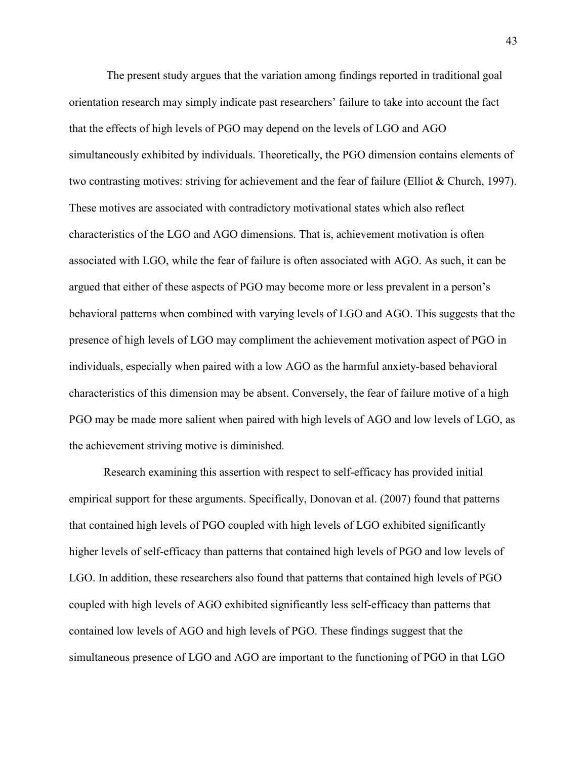The present study argues that the variation among findings reported in traditional goal orientation research may simply indicate past researchers' failure to take into account the fact that the effects of high levels of PGO may depend on the levels of LGO and AGO simultaneously exhibited by individuals. Theoretically, the PGO dimension contains elements of two contrasting motives: striving for achievement and the fear of failure (Elliot & Church, 1997). These motives are associated with contradictory motivational states which also reflect characteristics of the LGO and AGO dimensions. That is, achievement motivation is often associated with LGO, while the fear of failure is often associated with AGO. As such, it can be argued that either of these aspects of PGO may become more or less prevalent in a person's behavioral patterns when combined with varying levels of LGO and AGO. This suggests that the presence of high levels of LGO may compliment the achievement motivation aspect of PGO in individuals, especially when paired with a low AGO as the harmful anxiety-based behavioral characteristics of this dimension may be absent. Conversely, the fear of failure motive of a high PGO may be made more salient when paired with high levels of AGO and low levels of LGO, as the achievement striving motive is diminished.

Research examining this assertion with respect to self-efficacy has provided initial empirical support for these arguments. Specifically, Donovan et al. (2007) found that patterns that contained high levels of PGO coupled with high levels of LGO exhibited significantly higher levels of self-efficacy than patterns that contained high levels of PGO and low levels of LGO. In addition, these researchers also found that patterns that contained high levels of PGO coupled with high levels of AGO exhibited significantly less self-efficacy than patterns that contained low levels of AGO and high levels of PGO. These findings suggest that the simultaneous presence of LGO and AGO are important to the functioning of PGO in that LGO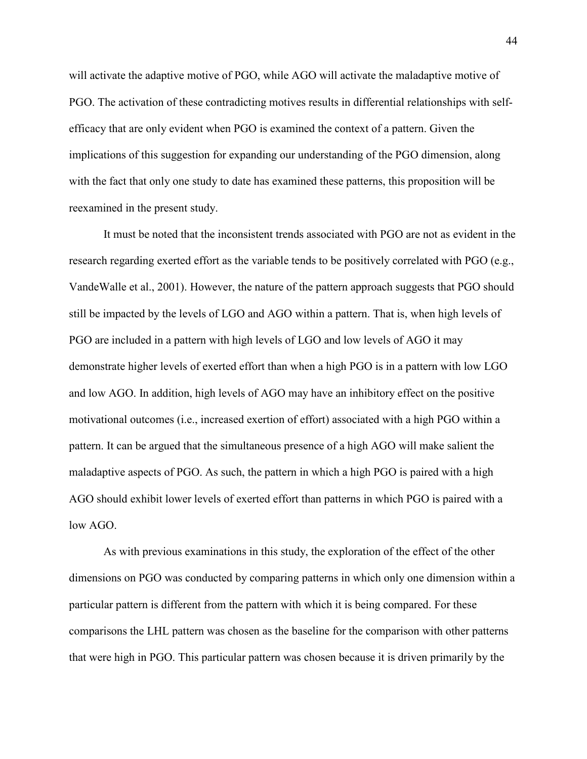will activate the adaptive motive of PGO, while AGO will activate the maladaptive motive of PGO. The activation of these contradicting motives results in differential relationships with selfefficacy that are only evident when PGO is examined the context of a pattern. Given the implications of this suggestion for expanding our understanding of the PGO dimension, along with the fact that only one study to date has examined these patterns, this proposition will be reexamined in the present study.

It must be noted that the inconsistent trends associated with PGO are not as evident in the research regarding exerted effort as the variable tends to be positively correlated with PGO (e.g., VandeWalle et al., 2001). However, the nature of the pattern approach suggests that PGO should still be impacted by the levels of LGO and AGO within a pattern. That is, when high levels of PGO are included in a pattern with high levels of LGO and low levels of AGO it may demonstrate higher levels of exerted effort than when a high PGO is in a pattern with low LGO and low AGO. In addition, high levels of AGO may have an inhibitory effect on the positive motivational outcomes (i.e., increased exertion of effort) associated with a high PGO within a pattern. It can be argued that the simultaneous presence of a high AGO will make salient the maladaptive aspects of PGO. As such, the pattern in which a high PGO is paired with a high AGO should exhibit lower levels of exerted effort than patterns in which PGO is paired with a low AGO.

As with previous examinations in this study, the exploration of the effect of the other dimensions on PGO was conducted by comparing patterns in which only one dimension within a particular pattern is different from the pattern with which it is being compared. For these comparisons the LHL pattern was chosen as the baseline for the comparison with other patterns that were high in PGO. This particular pattern was chosen because it is driven primarily by the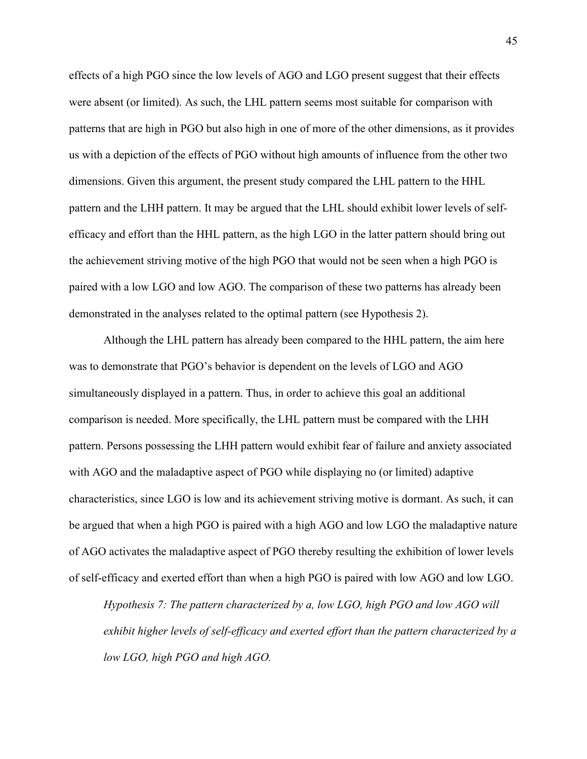effects of a high PGO since the low levels of AGO and LGO present suggest that their effects were absent (or limited). As such, the LHL pattern seems most suitable for comparison with patterns that are high in PGO but also high in one of more of the other dimensions, as it provides us with a depiction of the effects of PGO without high amounts of influence from the other two dimensions. Given this argument, the present study compared the LHL pattern to the HHL pattern and the LHH pattern. It may be argued that the LHL should exhibit lower levels of selfefficacy and effort than the HHL pattern, as the high LGO in the latter pattern should bring out the achievement striving motive of the high PGO that would not be seen when a high PGO is paired with a low LGO and low AGO. The comparison of these two patterns has already been demonstrated in the analyses related to the optimal pattern (see Hypothesis 2).

Although the LHL pattern has already been compared to the HHL pattern, the aim here was to demonstrate that PGO's behavior is dependent on the levels of LGO and AGO simultaneously displayed in a pattern. Thus, in order to achieve this goal an additional comparison is needed. More specifically, the LHL pattern must be compared with the LHH pattern. Persons possessing the LHH pattern would exhibit fear of failure and anxiety associated with AGO and the maladaptive aspect of PGO while displaying no (or limited) adaptive characteristics, since LGO is low and its achievement striving motive is dormant. As such, it can be argued that when a high PGO is paired with a high AGO and low LGO the maladaptive nature of AGO activates the maladaptive aspect of PGO thereby resulting the exhibition of lower levels of self-efficacy and exerted effort than when a high PGO is paired with low AGO and low LGO.

*Hypothesis 7: The pattern characterized by a, low LGO, high PGO and low AGO will exhibit higher levels of self-efficacy and exerted effort than the pattern characterized by a low LGO, high PGO and high AGO.*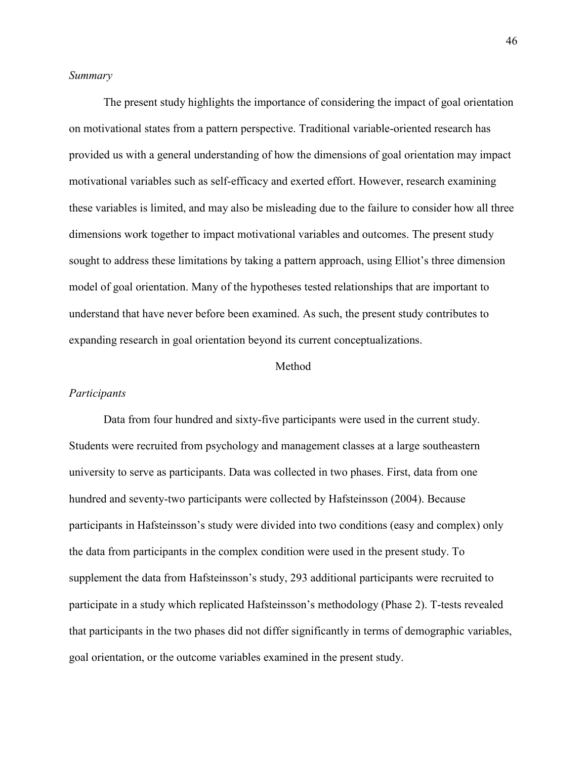## *Summary*

 The present study highlights the importance of considering the impact of goal orientation on motivational states from a pattern perspective. Traditional variable-oriented research has provided us with a general understanding of how the dimensions of goal orientation may impact motivational variables such as self-efficacy and exerted effort. However, research examining these variables is limited, and may also be misleading due to the failure to consider how all three dimensions work together to impact motivational variables and outcomes. The present study sought to address these limitations by taking a pattern approach, using Elliot's three dimension model of goal orientation. Many of the hypotheses tested relationships that are important to understand that have never before been examined. As such, the present study contributes to expanding research in goal orientation beyond its current conceptualizations.

#### Method

#### *Participants*

Data from four hundred and sixty-five participants were used in the current study. Students were recruited from psychology and management classes at a large southeastern university to serve as participants. Data was collected in two phases. First, data from one hundred and seventy-two participants were collected by Hafsteinsson (2004). Because participants in Hafsteinsson's study were divided into two conditions (easy and complex) only the data from participants in the complex condition were used in the present study. To supplement the data from Hafsteinsson's study, 293 additional participants were recruited to participate in a study which replicated Hafsteinsson's methodology (Phase 2). T-tests revealed that participants in the two phases did not differ significantly in terms of demographic variables, goal orientation, or the outcome variables examined in the present study.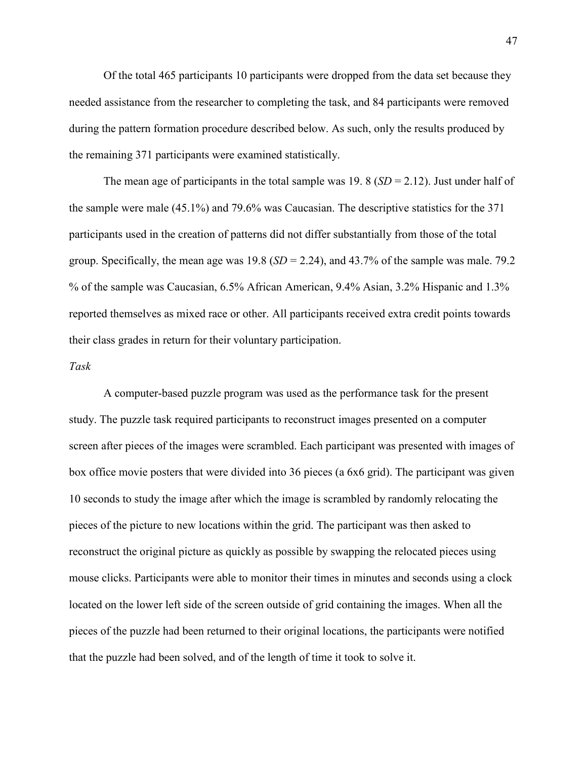Of the total 465 participants 10 participants were dropped from the data set because they needed assistance from the researcher to completing the task, and 84 participants were removed during the pattern formation procedure described below. As such, only the results produced by the remaining 371 participants were examined statistically.

The mean age of participants in the total sample was 19. 8  $(SD = 2.12)$ . Just under half of the sample were male (45.1%) and 79.6% was Caucasian. The descriptive statistics for the 371 participants used in the creation of patterns did not differ substantially from those of the total group. Specifically, the mean age was 19.8 (*SD* = 2.24), and 43.7% of the sample was male. 79.2 % of the sample was Caucasian, 6.5% African American, 9.4% Asian, 3.2% Hispanic and 1.3% reported themselves as mixed race or other. All participants received extra credit points towards their class grades in return for their voluntary participation.

#### *Task*

A computer-based puzzle program was used as the performance task for the present study. The puzzle task required participants to reconstruct images presented on a computer screen after pieces of the images were scrambled. Each participant was presented with images of box office movie posters that were divided into 36 pieces (a 6x6 grid). The participant was given 10 seconds to study the image after which the image is scrambled by randomly relocating the pieces of the picture to new locations within the grid. The participant was then asked to reconstruct the original picture as quickly as possible by swapping the relocated pieces using mouse clicks. Participants were able to monitor their times in minutes and seconds using a clock located on the lower left side of the screen outside of grid containing the images. When all the pieces of the puzzle had been returned to their original locations, the participants were notified that the puzzle had been solved, and of the length of time it took to solve it.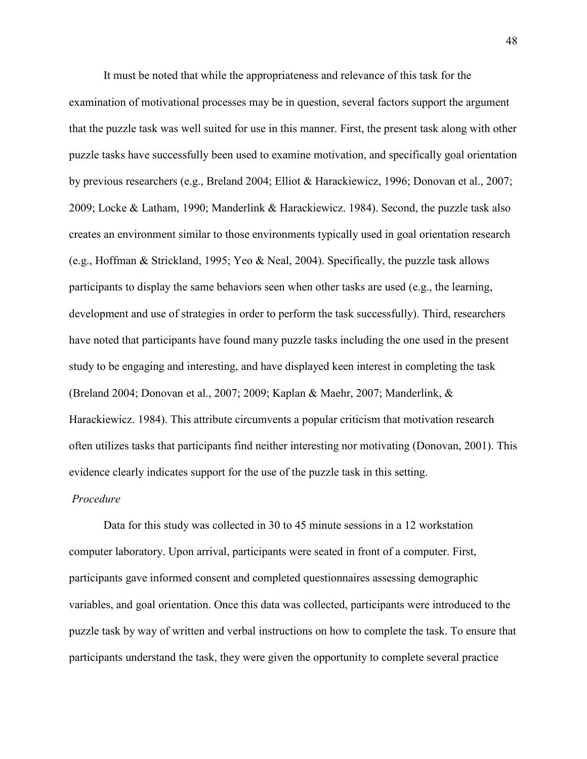It must be noted that while the appropriateness and relevance of this task for the examination of motivational processes may be in question, several factors support the argument that the puzzle task was well suited for use in this manner. First, the present task along with other puzzle tasks have successfully been used to examine motivation, and specifically goal orientation by previous researchers (e.g., Breland 2004; Elliot & Harackiewicz, 1996; Donovan et al., 2007; 2009; Locke & Latham, 1990; Manderlink & Harackiewicz. 1984). Second, the puzzle task also creates an environment similar to those environments typically used in goal orientation research (e.g., Hoffman & Strickland, 1995; Yeo & Neal, 2004). Specifically, the puzzle task allows participants to display the same behaviors seen when other tasks are used (e.g., the learning, development and use of strategies in order to perform the task successfully). Third, researchers have noted that participants have found many puzzle tasks including the one used in the present study to be engaging and interesting, and have displayed keen interest in completing the task (Breland 2004; Donovan et al., 2007; 2009; Kaplan & Maehr, 2007; Manderlink, & Harackiewicz. 1984). This attribute circumvents a popular criticism that motivation research often utilizes tasks that participants find neither interesting nor motivating (Donovan, 2001). This evidence clearly indicates support for the use of the puzzle task in this setting.

## *Procedure*

 Data for this study was collected in 30 to 45 minute sessions in a 12 workstation computer laboratory. Upon arrival, participants were seated in front of a computer. First, participants gave informed consent and completed questionnaires assessing demographic variables, and goal orientation. Once this data was collected, participants were introduced to the puzzle task by way of written and verbal instructions on how to complete the task. To ensure that participants understand the task, they were given the opportunity to complete several practice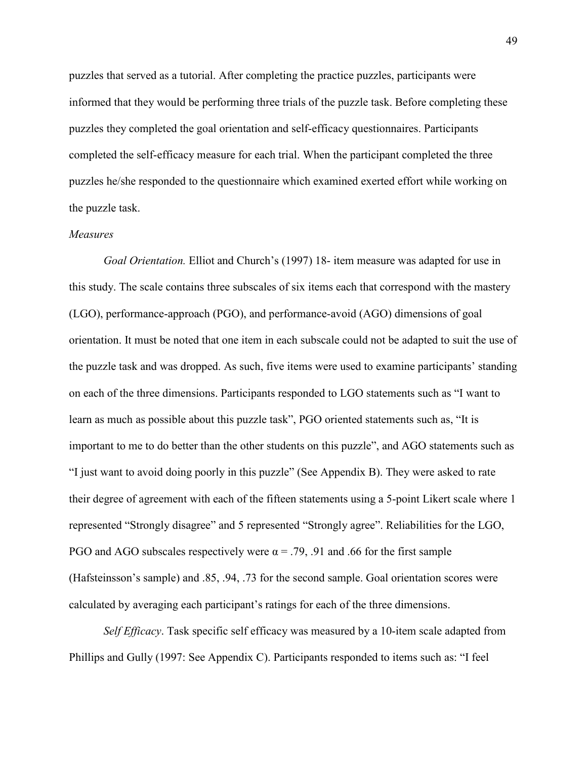puzzles that served as a tutorial. After completing the practice puzzles, participants were informed that they would be performing three trials of the puzzle task. Before completing these puzzles they completed the goal orientation and self-efficacy questionnaires. Participants completed the self-efficacy measure for each trial. When the participant completed the three puzzles he/she responded to the questionnaire which examined exerted effort while working on the puzzle task.

## *Measures*

*Goal Orientation.* Elliot and Church's (1997) 18- item measure was adapted for use in this study. The scale contains three subscales of six items each that correspond with the mastery (LGO), performance-approach (PGO), and performance-avoid (AGO) dimensions of goal orientation. It must be noted that one item in each subscale could not be adapted to suit the use of the puzzle task and was dropped. As such, five items were used to examine participants' standing on each of the three dimensions. Participants responded to LGO statements such as "I want to learn as much as possible about this puzzle task", PGO oriented statements such as, "It is important to me to do better than the other students on this puzzle", and AGO statements such as "I just want to avoid doing poorly in this puzzle" (See Appendix B). They were asked to rate their degree of agreement with each of the fifteen statements using a 5-point Likert scale where 1 represented "Strongly disagree" and 5 represented "Strongly agree". Reliabilities for the LGO, PGO and AGO subscales respectively were  $\alpha = .79, .91$  and .66 for the first sample (Hafsteinsson's sample) and .85, .94, .73 for the second sample. Goal orientation scores were calculated by averaging each participant's ratings for each of the three dimensions.

 *Self Efficacy*. Task specific self efficacy was measured by a 10-item scale adapted from Phillips and Gully (1997: See Appendix C). Participants responded to items such as: "I feel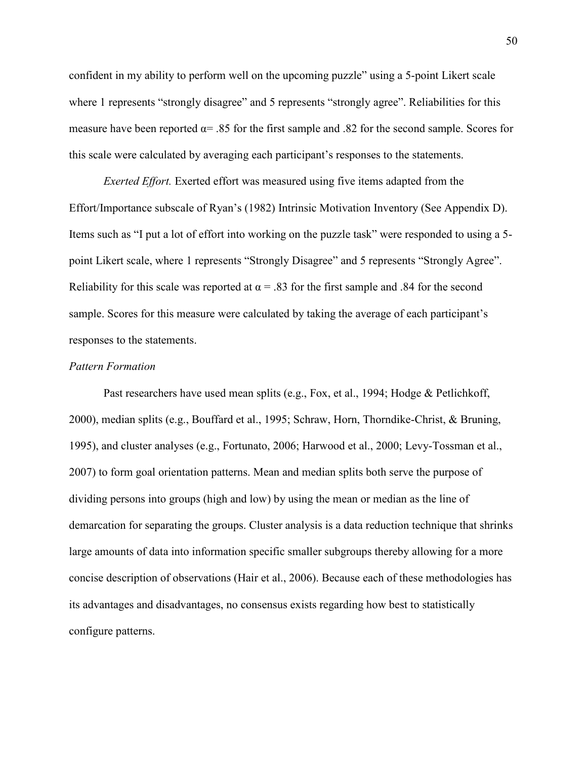confident in my ability to perform well on the upcoming puzzle" using a 5-point Likert scale where 1 represents "strongly disagree" and 5 represents "strongly agree". Reliabilities for this measure have been reported  $\alpha$  = .85 for the first sample and .82 for the second sample. Scores for this scale were calculated by averaging each participant's responses to the statements.

*Exerted Effort.* Exerted effort was measured using five items adapted from the Effort/Importance subscale of Ryan's (1982) Intrinsic Motivation Inventory (See Appendix D). Items such as "I put a lot of effort into working on the puzzle task" were responded to using a 5 point Likert scale, where 1 represents "Strongly Disagree" and 5 represents "Strongly Agree". Reliability for this scale was reported at  $\alpha$  = .83 for the first sample and .84 for the second sample. Scores for this measure were calculated by taking the average of each participant's responses to the statements.

## *Pattern Formation*

Past researchers have used mean splits (e.g., Fox, et al., 1994; Hodge & Petlichkoff, 2000), median splits (e.g., Bouffard et al., 1995; Schraw, Horn, Thorndike-Christ, & Bruning, 1995), and cluster analyses (e.g., Fortunato, 2006; Harwood et al., 2000; Levy-Tossman et al., 2007) to form goal orientation patterns. Mean and median splits both serve the purpose of dividing persons into groups (high and low) by using the mean or median as the line of demarcation for separating the groups. Cluster analysis is a data reduction technique that shrinks large amounts of data into information specific smaller subgroups thereby allowing for a more concise description of observations (Hair et al., 2006). Because each of these methodologies has its advantages and disadvantages, no consensus exists regarding how best to statistically configure patterns.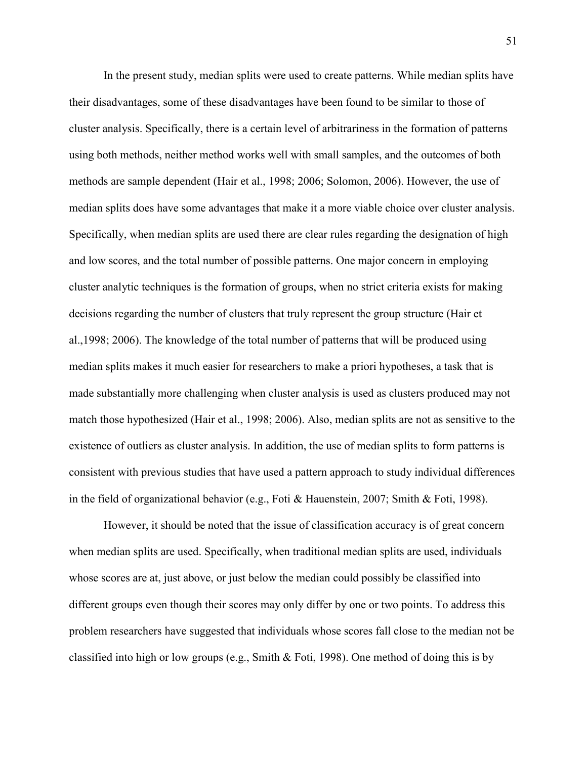In the present study, median splits were used to create patterns. While median splits have their disadvantages, some of these disadvantages have been found to be similar to those of cluster analysis. Specifically, there is a certain level of arbitrariness in the formation of patterns using both methods, neither method works well with small samples, and the outcomes of both methods are sample dependent (Hair et al., 1998; 2006; Solomon, 2006). However, the use of median splits does have some advantages that make it a more viable choice over cluster analysis. Specifically, when median splits are used there are clear rules regarding the designation of high and low scores, and the total number of possible patterns. One major concern in employing cluster analytic techniques is the formation of groups, when no strict criteria exists for making decisions regarding the number of clusters that truly represent the group structure (Hair et al.,1998; 2006). The knowledge of the total number of patterns that will be produced using median splits makes it much easier for researchers to make a priori hypotheses, a task that is made substantially more challenging when cluster analysis is used as clusters produced may not match those hypothesized (Hair et al., 1998; 2006). Also, median splits are not as sensitive to the existence of outliers as cluster analysis. In addition, the use of median splits to form patterns is consistent with previous studies that have used a pattern approach to study individual differences in the field of organizational behavior (e.g., Foti & Hauenstein, 2007; Smith & Foti, 1998).

 However, it should be noted that the issue of classification accuracy is of great concern when median splits are used. Specifically, when traditional median splits are used, individuals whose scores are at, just above, or just below the median could possibly be classified into different groups even though their scores may only differ by one or two points. To address this problem researchers have suggested that individuals whose scores fall close to the median not be classified into high or low groups (e.g., Smith & Foti, 1998). One method of doing this is by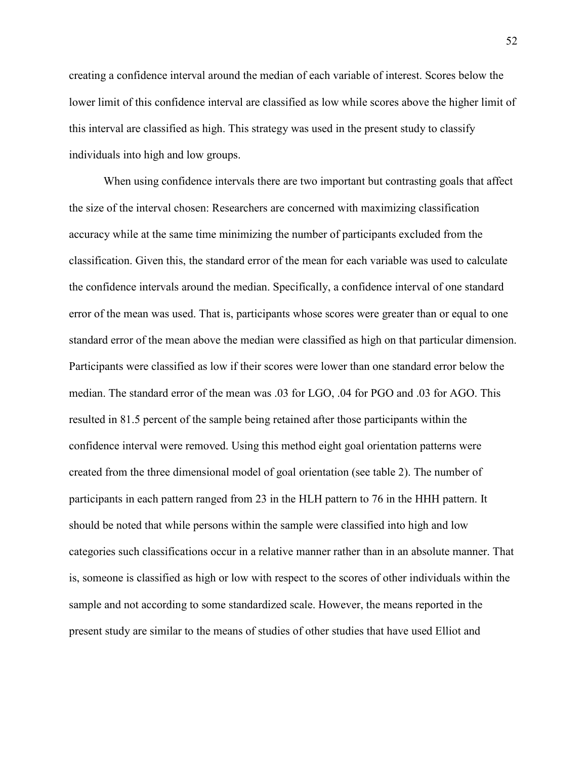creating a confidence interval around the median of each variable of interest. Scores below the lower limit of this confidence interval are classified as low while scores above the higher limit of this interval are classified as high. This strategy was used in the present study to classify individuals into high and low groups.

When using confidence intervals there are two important but contrasting goals that affect the size of the interval chosen: Researchers are concerned with maximizing classification accuracy while at the same time minimizing the number of participants excluded from the classification. Given this, the standard error of the mean for each variable was used to calculate the confidence intervals around the median. Specifically, a confidence interval of one standard error of the mean was used. That is, participants whose scores were greater than or equal to one standard error of the mean above the median were classified as high on that particular dimension. Participants were classified as low if their scores were lower than one standard error below the median. The standard error of the mean was .03 for LGO, .04 for PGO and .03 for AGO. This resulted in 81.5 percent of the sample being retained after those participants within the confidence interval were removed. Using this method eight goal orientation patterns were created from the three dimensional model of goal orientation (see table 2). The number of participants in each pattern ranged from 23 in the HLH pattern to 76 in the HHH pattern. It should be noted that while persons within the sample were classified into high and low categories such classifications occur in a relative manner rather than in an absolute manner. That is, someone is classified as high or low with respect to the scores of other individuals within the sample and not according to some standardized scale. However, the means reported in the present study are similar to the means of studies of other studies that have used Elliot and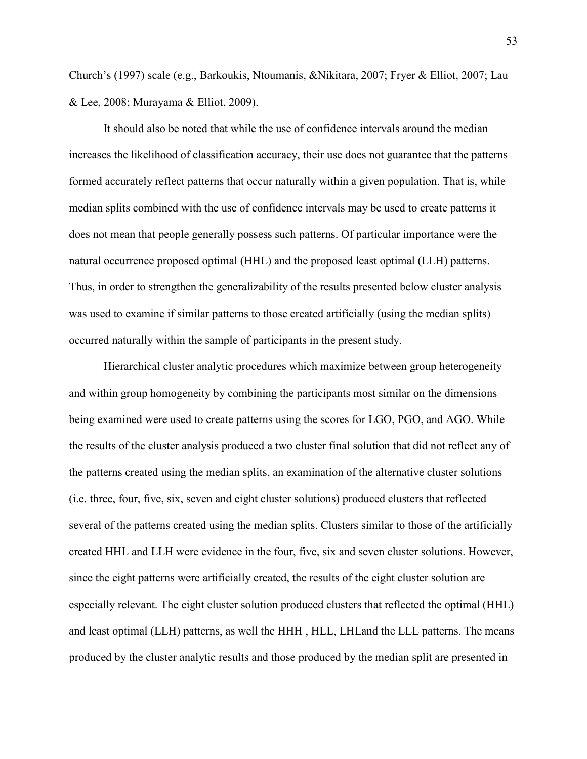Church's (1997) scale (e.g., Barkoukis, Ntoumanis, &Nikitara, 2007; Fryer & Elliot, 2007; Lau & Lee, 2008; Murayama & Elliot, 2009).

It should also be noted that while the use of confidence intervals around the median increases the likelihood of classification accuracy, their use does not guarantee that the patterns formed accurately reflect patterns that occur naturally within a given population. That is, while median splits combined with the use of confidence intervals may be used to create patterns it does not mean that people generally possess such patterns. Of particular importance were the natural occurrence proposed optimal (HHL) and the proposed least optimal (LLH) patterns. Thus, in order to strengthen the generalizability of the results presented below cluster analysis was used to examine if similar patterns to those created artificially (using the median splits) occurred naturally within the sample of participants in the present study.

Hierarchical cluster analytic procedures which maximize between group heterogeneity and within group homogeneity by combining the participants most similar on the dimensions being examined were used to create patterns using the scores for LGO, PGO, and AGO. While the results of the cluster analysis produced a two cluster final solution that did not reflect any of the patterns created using the median splits, an examination of the alternative cluster solutions (i.e. three, four, five, six, seven and eight cluster solutions) produced clusters that reflected several of the patterns created using the median splits. Clusters similar to those of the artificially created HHL and LLH were evidence in the four, five, six and seven cluster solutions. However, since the eight patterns were artificially created, the results of the eight cluster solution are especially relevant. The eight cluster solution produced clusters that reflected the optimal (HHL) and least optimal (LLH) patterns, as well the HHH , HLL, LHLand the LLL patterns. The means produced by the cluster analytic results and those produced by the median split are presented in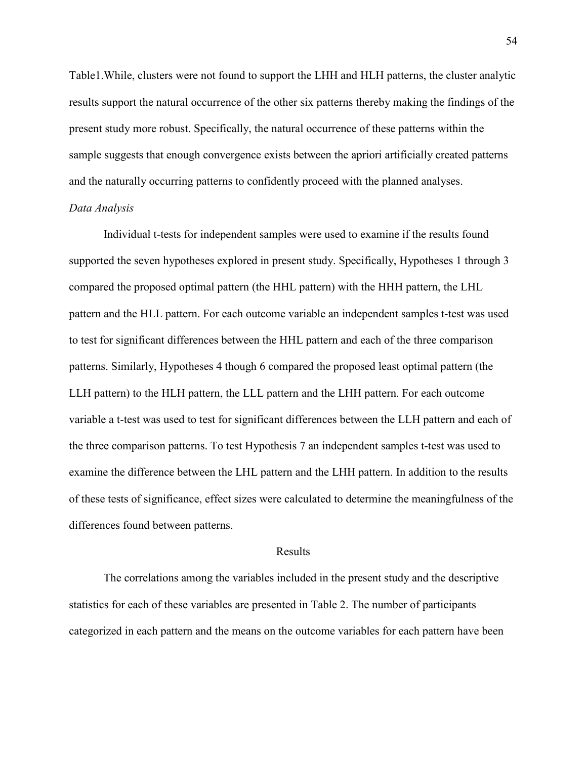Table1.While, clusters were not found to support the LHH and HLH patterns, the cluster analytic results support the natural occurrence of the other six patterns thereby making the findings of the present study more robust. Specifically, the natural occurrence of these patterns within the sample suggests that enough convergence exists between the apriori artificially created patterns and the naturally occurring patterns to confidently proceed with the planned analyses. *Data Analysis* 

Individual t-tests for independent samples were used to examine if the results found supported the seven hypotheses explored in present study. Specifically, Hypotheses 1 through 3 compared the proposed optimal pattern (the HHL pattern) with the HHH pattern, the LHL pattern and the HLL pattern. For each outcome variable an independent samples t-test was used to test for significant differences between the HHL pattern and each of the three comparison patterns. Similarly, Hypotheses 4 though 6 compared the proposed least optimal pattern (the LLH pattern) to the HLH pattern, the LLL pattern and the LHH pattern. For each outcome variable a t-test was used to test for significant differences between the LLH pattern and each of the three comparison patterns. To test Hypothesis 7 an independent samples t-test was used to examine the difference between the LHL pattern and the LHH pattern. In addition to the results of these tests of significance, effect sizes were calculated to determine the meaningfulness of the differences found between patterns.

#### Results

 The correlations among the variables included in the present study and the descriptive statistics for each of these variables are presented in Table 2. The number of participants categorized in each pattern and the means on the outcome variables for each pattern have been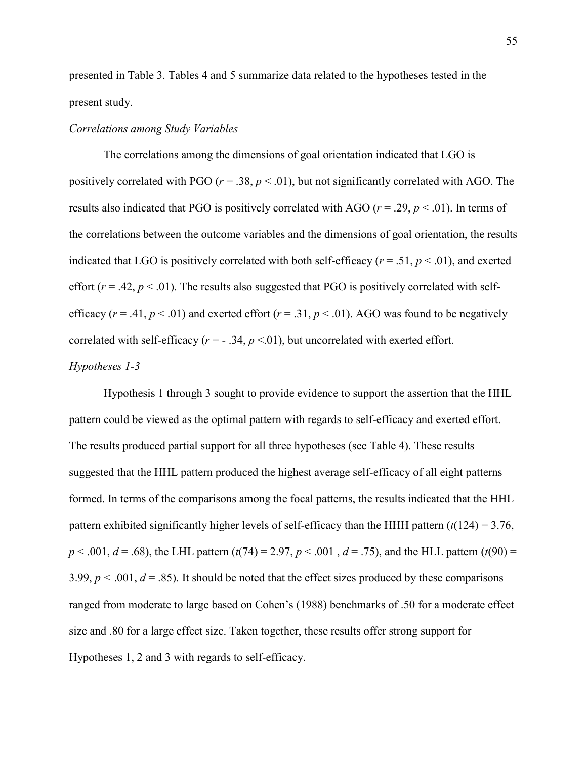presented in Table 3. Tables 4 and 5 summarize data related to the hypotheses tested in the present study.

## *Correlations among Study Variables*

The correlations among the dimensions of goal orientation indicated that LGO is positively correlated with PGO ( $r = .38$ ,  $p < .01$ ), but not significantly correlated with AGO. The results also indicated that PGO is positively correlated with AGO (*r* = .29, *p* < .01). In terms of the correlations between the outcome variables and the dimensions of goal orientation, the results indicated that LGO is positively correlated with both self-efficacy ( $r = .51$ ,  $p < .01$ ), and exerted effort  $(r = .42, p < .01)$ . The results also suggested that PGO is positively correlated with selfefficacy ( $r = .41$ ,  $p < .01$ ) and exerted effort ( $r = .31$ ,  $p < .01$ ). AGO was found to be negatively correlated with self-efficacy  $(r = -0.34, p \le 0.01)$ , but uncorrelated with exerted effort.

# *Hypotheses 1-3*

Hypothesis 1 through 3 sought to provide evidence to support the assertion that the HHL pattern could be viewed as the optimal pattern with regards to self-efficacy and exerted effort. The results produced partial support for all three hypotheses (see Table 4). These results suggested that the HHL pattern produced the highest average self-efficacy of all eight patterns formed. In terms of the comparisons among the focal patterns, the results indicated that the HHL pattern exhibited significantly higher levels of self-efficacy than the HHH pattern  $(t(124) = 3.76$ , *p* < .001, *d* = .68), the LHL pattern (*t*(74) = 2.97, *p* < .001 , *d* = .75), and the HLL pattern (*t*(90) = 3.99,  $p < .001$ ,  $d = .85$ ). It should be noted that the effect sizes produced by these comparisons ranged from moderate to large based on Cohen's (1988) benchmarks of .50 for a moderate effect size and .80 for a large effect size. Taken together, these results offer strong support for Hypotheses 1, 2 and 3 with regards to self-efficacy.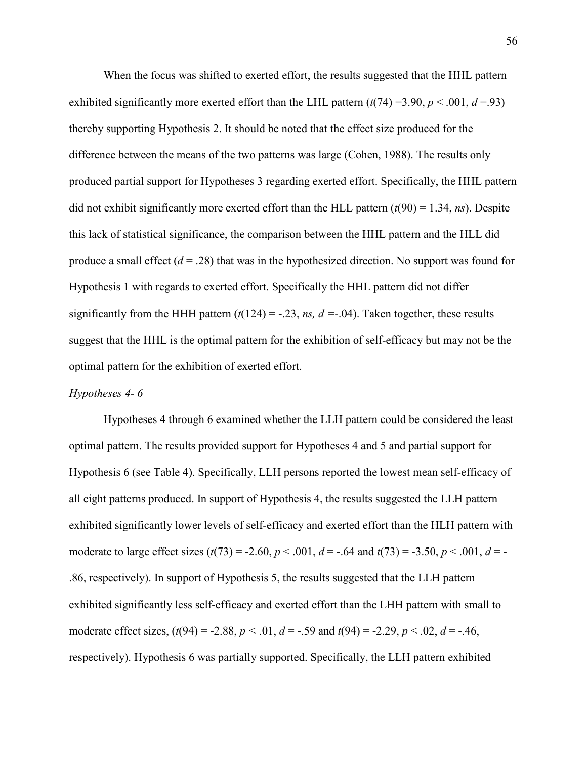When the focus was shifted to exerted effort, the results suggested that the HHL pattern exhibited significantly more exerted effort than the LHL pattern  $(t(74) = 3.90, p < .001, d = .93)$ thereby supporting Hypothesis 2. It should be noted that the effect size produced for the difference between the means of the two patterns was large (Cohen, 1988). The results only produced partial support for Hypotheses 3 regarding exerted effort. Specifically, the HHL pattern did not exhibit significantly more exerted effort than the HLL pattern  $(t(90) = 1.34, ns)$ . Despite this lack of statistical significance, the comparison between the HHL pattern and the HLL did produce a small effect  $(d = .28)$  that was in the hypothesized direction. No support was found for Hypothesis 1 with regards to exerted effort. Specifically the HHL pattern did not differ significantly from the HHH pattern  $(t(124) = -.23, ns, d = .04)$ . Taken together, these results suggest that the HHL is the optimal pattern for the exhibition of self-efficacy but may not be the optimal pattern for the exhibition of exerted effort.

## *Hypotheses 4- 6*

Hypotheses 4 through 6 examined whether the LLH pattern could be considered the least optimal pattern. The results provided support for Hypotheses 4 and 5 and partial support for Hypothesis 6 (see Table 4). Specifically, LLH persons reported the lowest mean self-efficacy of all eight patterns produced. In support of Hypothesis 4, the results suggested the LLH pattern exhibited significantly lower levels of self-efficacy and exerted effort than the HLH pattern with moderate to large effect sizes  $(t(73) = -2.60, p < .001, d = -.64$  and  $t(73) = -3.50, p < .001, d = -1.64$ .86, respectively). In support of Hypothesis 5, the results suggested that the LLH pattern exhibited significantly less self-efficacy and exerted effort than the LHH pattern with small to moderate effect sizes,  $(t(94) = -2.88, p < .01, d = -.59$  and  $t(94) = -2.29, p < .02, d = -.46,$ respectively). Hypothesis 6 was partially supported. Specifically, the LLH pattern exhibited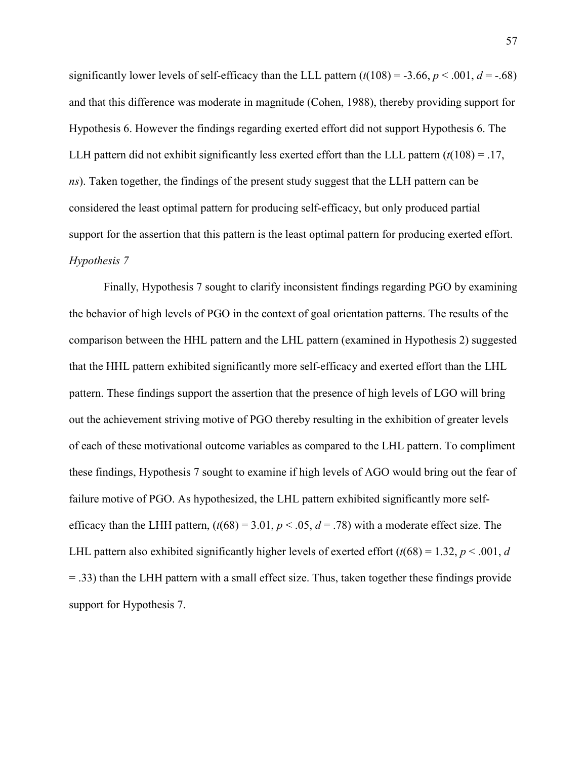significantly lower levels of self-efficacy than the LLL pattern  $(t(108) = -3.66, p < .001, d = -.68)$ and that this difference was moderate in magnitude (Cohen, 1988), thereby providing support for Hypothesis 6. However the findings regarding exerted effort did not support Hypothesis 6. The LLH pattern did not exhibit significantly less exerted effort than the LLL pattern  $(t(108) = .17)$ , *ns*). Taken together, the findings of the present study suggest that the LLH pattern can be considered the least optimal pattern for producing self-efficacy, but only produced partial support for the assertion that this pattern is the least optimal pattern for producing exerted effort. *Hypothesis 7* 

 Finally, Hypothesis 7 sought to clarify inconsistent findings regarding PGO by examining the behavior of high levels of PGO in the context of goal orientation patterns. The results of the comparison between the HHL pattern and the LHL pattern (examined in Hypothesis 2) suggested that the HHL pattern exhibited significantly more self-efficacy and exerted effort than the LHL pattern. These findings support the assertion that the presence of high levels of LGO will bring out the achievement striving motive of PGO thereby resulting in the exhibition of greater levels of each of these motivational outcome variables as compared to the LHL pattern. To compliment these findings, Hypothesis 7 sought to examine if high levels of AGO would bring out the fear of failure motive of PGO. As hypothesized, the LHL pattern exhibited significantly more selfefficacy than the LHH pattern,  $(t(68) = 3.01, p < .05, d = .78)$  with a moderate effect size. The LHL pattern also exhibited significantly higher levels of exerted effort  $(t(68) = 1.32, p < .001, d$ = .33) than the LHH pattern with a small effect size. Thus, taken together these findings provide support for Hypothesis 7.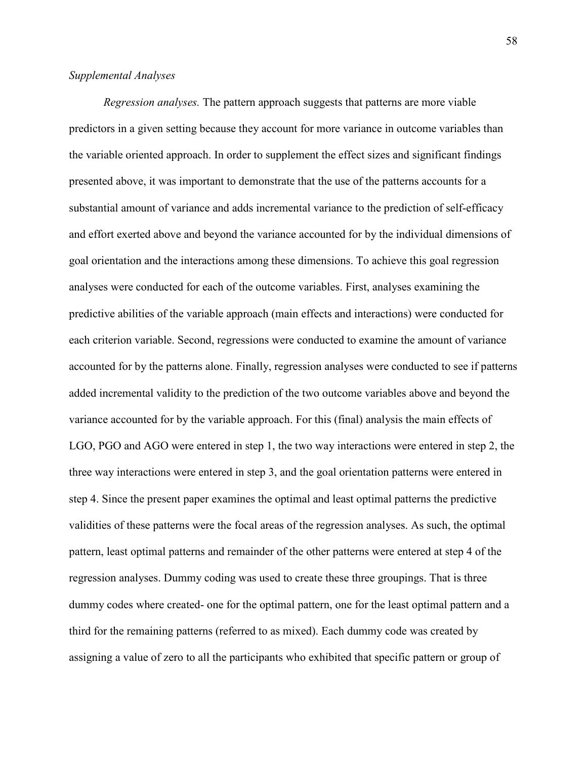# *Supplemental Analyses*

*Regression analyses.* The pattern approach suggests that patterns are more viable predictors in a given setting because they account for more variance in outcome variables than the variable oriented approach. In order to supplement the effect sizes and significant findings presented above, it was important to demonstrate that the use of the patterns accounts for a substantial amount of variance and adds incremental variance to the prediction of self-efficacy and effort exerted above and beyond the variance accounted for by the individual dimensions of goal orientation and the interactions among these dimensions. To achieve this goal regression analyses were conducted for each of the outcome variables. First, analyses examining the predictive abilities of the variable approach (main effects and interactions) were conducted for each criterion variable. Second, regressions were conducted to examine the amount of variance accounted for by the patterns alone. Finally, regression analyses were conducted to see if patterns added incremental validity to the prediction of the two outcome variables above and beyond the variance accounted for by the variable approach. For this (final) analysis the main effects of LGO, PGO and AGO were entered in step 1, the two way interactions were entered in step 2, the three way interactions were entered in step 3, and the goal orientation patterns were entered in step 4. Since the present paper examines the optimal and least optimal patterns the predictive validities of these patterns were the focal areas of the regression analyses. As such, the optimal pattern, least optimal patterns and remainder of the other patterns were entered at step 4 of the regression analyses. Dummy coding was used to create these three groupings. That is three dummy codes where created- one for the optimal pattern, one for the least optimal pattern and a third for the remaining patterns (referred to as mixed). Each dummy code was created by assigning a value of zero to all the participants who exhibited that specific pattern or group of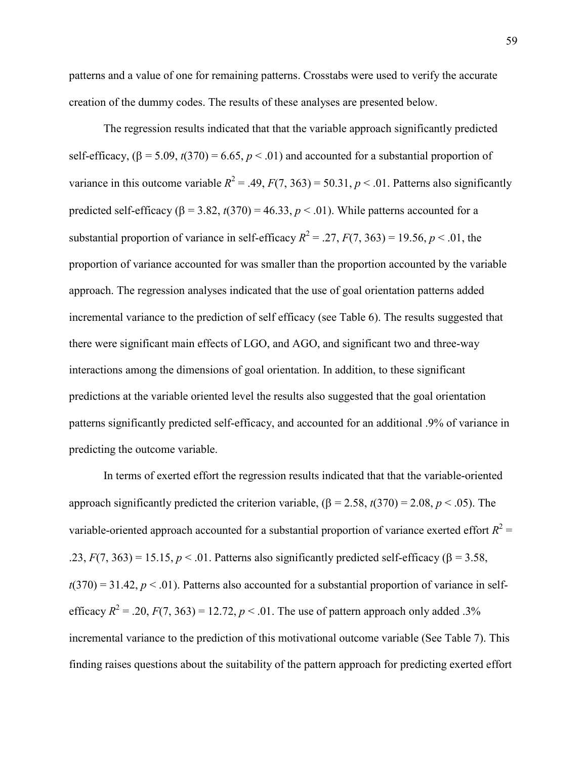patterns and a value of one for remaining patterns. Crosstabs were used to verify the accurate creation of the dummy codes. The results of these analyses are presented below.

 The regression results indicated that that the variable approach significantly predicted self-efficacy,  $(\beta = 5.09, t(370) = 6.65, p < .01)$  and accounted for a substantial proportion of variance in this outcome variable  $R^2 = .49$ ,  $F(7, 363) = 50.31$ ,  $p < .01$ . Patterns also significantly predicted self-efficacy ( $\beta$  = 3.82, *t*(370) = 46.33, *p* < .01). While patterns accounted for a substantial proportion of variance in self-efficacy  $R^2 = 0.27$ ,  $F(7, 363) = 19.56$ ,  $p < 0.01$ , the proportion of variance accounted for was smaller than the proportion accounted by the variable approach. The regression analyses indicated that the use of goal orientation patterns added incremental variance to the prediction of self efficacy (see Table 6). The results suggested that there were significant main effects of LGO, and AGO, and significant two and three-way interactions among the dimensions of goal orientation. In addition, to these significant predictions at the variable oriented level the results also suggested that the goal orientation patterns significantly predicted self-efficacy, and accounted for an additional .9% of variance in predicting the outcome variable.

 In terms of exerted effort the regression results indicated that that the variable-oriented approach significantly predicted the criterion variable,  $(\beta = 2.58, t(370) = 2.08, p < .05)$ . The variable-oriented approach accounted for a substantial proportion of variance exerted effort  $R^2$  = .23,  $F(7, 363) = 15.15$ ,  $p < 0.01$ . Patterns also significantly predicted self-efficacy ( $\beta = 3.58$ ,  $t(370) = 31.42$ ,  $p < .01$ ). Patterns also accounted for a substantial proportion of variance in selfefficacy  $R^2 = .20$ ,  $F(7, 363) = 12.72$ ,  $p < .01$ . The use of pattern approach only added .3% incremental variance to the prediction of this motivational outcome variable (See Table 7). This finding raises questions about the suitability of the pattern approach for predicting exerted effort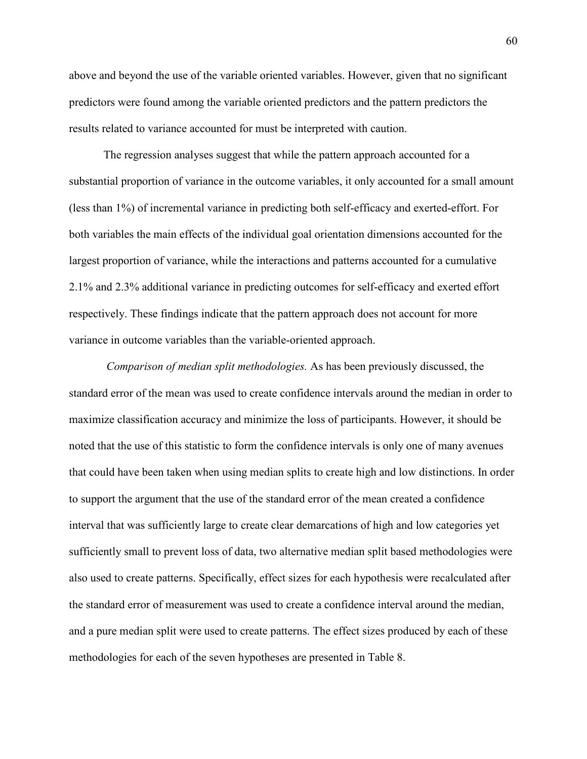above and beyond the use of the variable oriented variables. However, given that no significant predictors were found among the variable oriented predictors and the pattern predictors the results related to variance accounted for must be interpreted with caution.

 The regression analyses suggest that while the pattern approach accounted for a substantial proportion of variance in the outcome variables, it only accounted for a small amount (less than 1%) of incremental variance in predicting both self-efficacy and exerted-effort. For both variables the main effects of the individual goal orientation dimensions accounted for the largest proportion of variance, while the interactions and patterns accounted for a cumulative 2.1% and 2.3% additional variance in predicting outcomes for self-efficacy and exerted effort respectively. These findings indicate that the pattern approach does not account for more variance in outcome variables than the variable-oriented approach.

 *Comparison of median split methodologies.* As has been previously discussed, the standard error of the mean was used to create confidence intervals around the median in order to maximize classification accuracy and minimize the loss of participants. However, it should be noted that the use of this statistic to form the confidence intervals is only one of many avenues that could have been taken when using median splits to create high and low distinctions. In order to support the argument that the use of the standard error of the mean created a confidence interval that was sufficiently large to create clear demarcations of high and low categories yet sufficiently small to prevent loss of data, two alternative median split based methodologies were also used to create patterns. Specifically, effect sizes for each hypothesis were recalculated after the standard error of measurement was used to create a confidence interval around the median, and a pure median split were used to create patterns. The effect sizes produced by each of these methodologies for each of the seven hypotheses are presented in Table 8.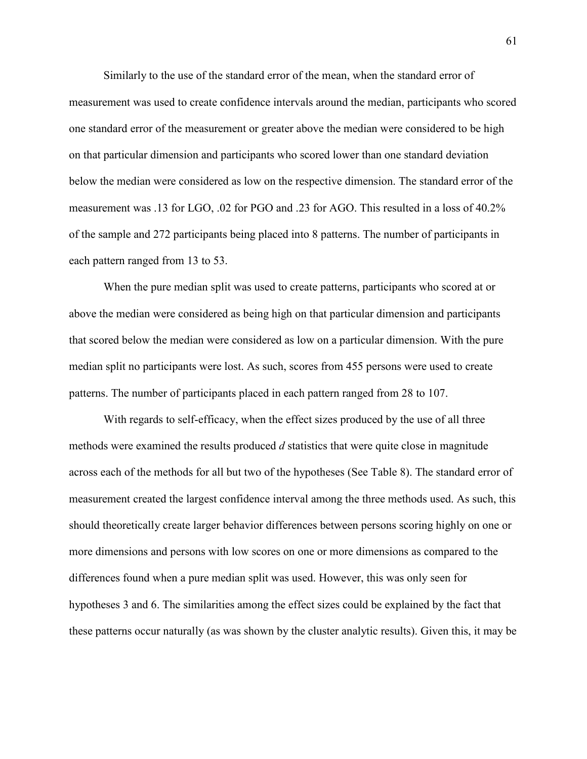Similarly to the use of the standard error of the mean, when the standard error of measurement was used to create confidence intervals around the median, participants who scored one standard error of the measurement or greater above the median were considered to be high on that particular dimension and participants who scored lower than one standard deviation below the median were considered as low on the respective dimension. The standard error of the measurement was .13 for LGO, .02 for PGO and .23 for AGO. This resulted in a loss of 40.2% of the sample and 272 participants being placed into 8 patterns. The number of participants in each pattern ranged from 13 to 53.

When the pure median split was used to create patterns, participants who scored at or above the median were considered as being high on that particular dimension and participants that scored below the median were considered as low on a particular dimension. With the pure median split no participants were lost. As such, scores from 455 persons were used to create patterns. The number of participants placed in each pattern ranged from 28 to 107.

 With regards to self-efficacy, when the effect sizes produced by the use of all three methods were examined the results produced *d* statistics that were quite close in magnitude across each of the methods for all but two of the hypotheses (See Table 8). The standard error of measurement created the largest confidence interval among the three methods used. As such, this should theoretically create larger behavior differences between persons scoring highly on one or more dimensions and persons with low scores on one or more dimensions as compared to the differences found when a pure median split was used. However, this was only seen for hypotheses 3 and 6. The similarities among the effect sizes could be explained by the fact that these patterns occur naturally (as was shown by the cluster analytic results). Given this, it may be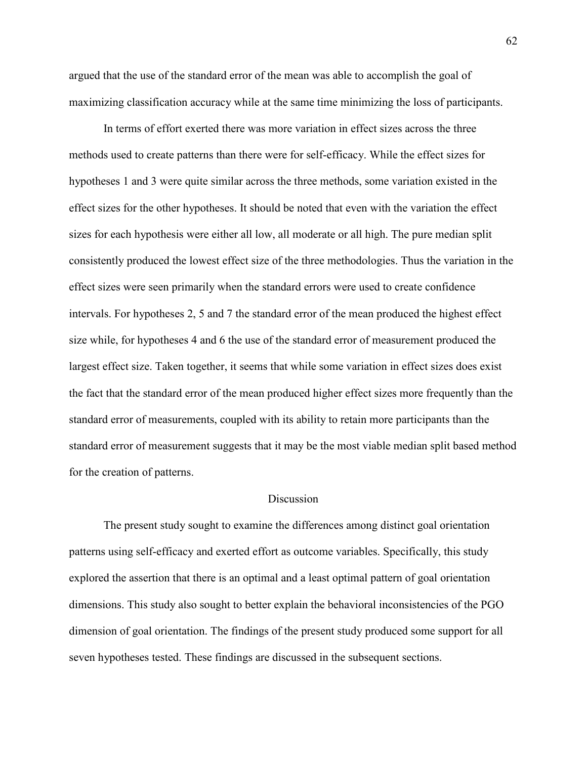argued that the use of the standard error of the mean was able to accomplish the goal of maximizing classification accuracy while at the same time minimizing the loss of participants.

 In terms of effort exerted there was more variation in effect sizes across the three methods used to create patterns than there were for self-efficacy. While the effect sizes for hypotheses 1 and 3 were quite similar across the three methods, some variation existed in the effect sizes for the other hypotheses. It should be noted that even with the variation the effect sizes for each hypothesis were either all low, all moderate or all high. The pure median split consistently produced the lowest effect size of the three methodologies. Thus the variation in the effect sizes were seen primarily when the standard errors were used to create confidence intervals. For hypotheses 2, 5 and 7 the standard error of the mean produced the highest effect size while, for hypotheses 4 and 6 the use of the standard error of measurement produced the largest effect size. Taken together, it seems that while some variation in effect sizes does exist the fact that the standard error of the mean produced higher effect sizes more frequently than the standard error of measurements, coupled with its ability to retain more participants than the standard error of measurement suggests that it may be the most viable median split based method for the creation of patterns.

#### **Discussion**

The present study sought to examine the differences among distinct goal orientation patterns using self-efficacy and exerted effort as outcome variables. Specifically, this study explored the assertion that there is an optimal and a least optimal pattern of goal orientation dimensions. This study also sought to better explain the behavioral inconsistencies of the PGO dimension of goal orientation. The findings of the present study produced some support for all seven hypotheses tested. These findings are discussed in the subsequent sections.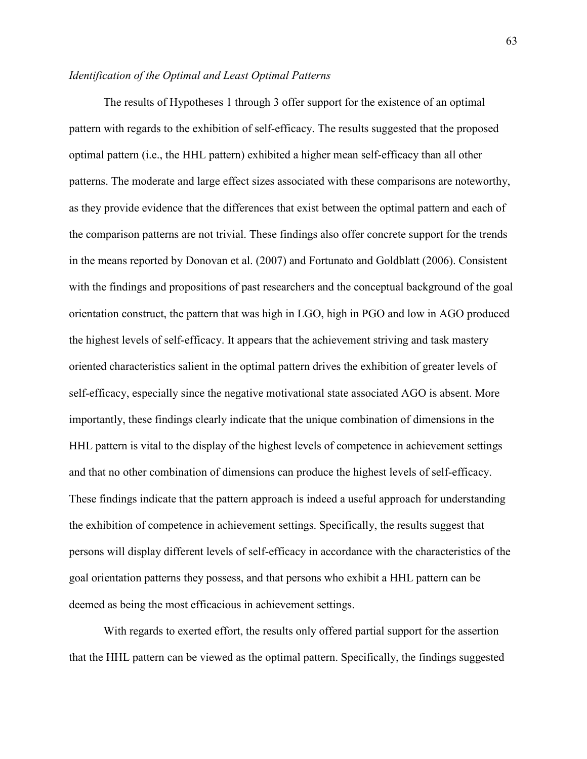# *Identification of the Optimal and Least Optimal Patterns*

The results of Hypotheses 1 through 3 offer support for the existence of an optimal pattern with regards to the exhibition of self-efficacy. The results suggested that the proposed optimal pattern (i.e., the HHL pattern) exhibited a higher mean self-efficacy than all other patterns. The moderate and large effect sizes associated with these comparisons are noteworthy, as they provide evidence that the differences that exist between the optimal pattern and each of the comparison patterns are not trivial. These findings also offer concrete support for the trends in the means reported by Donovan et al. (2007) and Fortunato and Goldblatt (2006). Consistent with the findings and propositions of past researchers and the conceptual background of the goal orientation construct, the pattern that was high in LGO, high in PGO and low in AGO produced the highest levels of self-efficacy. It appears that the achievement striving and task mastery oriented characteristics salient in the optimal pattern drives the exhibition of greater levels of self-efficacy, especially since the negative motivational state associated AGO is absent. More importantly, these findings clearly indicate that the unique combination of dimensions in the HHL pattern is vital to the display of the highest levels of competence in achievement settings and that no other combination of dimensions can produce the highest levels of self-efficacy. These findings indicate that the pattern approach is indeed a useful approach for understanding the exhibition of competence in achievement settings. Specifically, the results suggest that persons will display different levels of self-efficacy in accordance with the characteristics of the goal orientation patterns they possess, and that persons who exhibit a HHL pattern can be deemed as being the most efficacious in achievement settings.

With regards to exerted effort, the results only offered partial support for the assertion that the HHL pattern can be viewed as the optimal pattern. Specifically, the findings suggested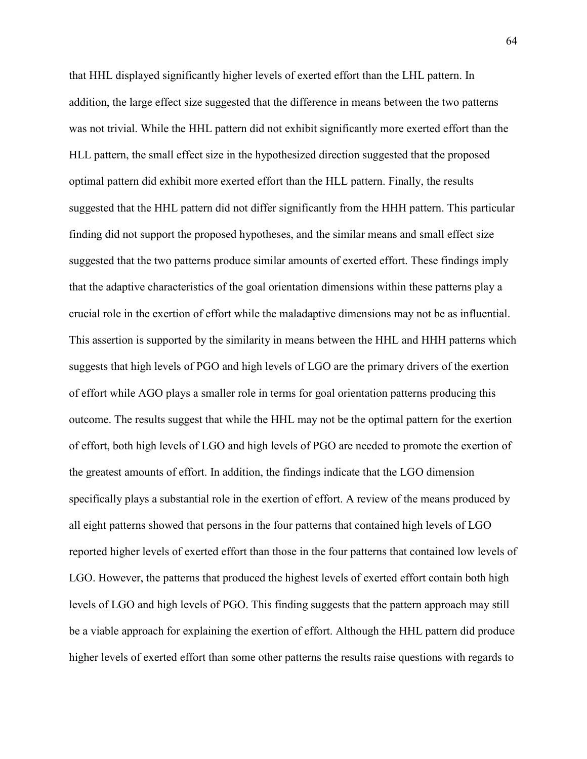that HHL displayed significantly higher levels of exerted effort than the LHL pattern. In addition, the large effect size suggested that the difference in means between the two patterns was not trivial. While the HHL pattern did not exhibit significantly more exerted effort than the HLL pattern, the small effect size in the hypothesized direction suggested that the proposed optimal pattern did exhibit more exerted effort than the HLL pattern. Finally, the results suggested that the HHL pattern did not differ significantly from the HHH pattern. This particular finding did not support the proposed hypotheses, and the similar means and small effect size suggested that the two patterns produce similar amounts of exerted effort. These findings imply that the adaptive characteristics of the goal orientation dimensions within these patterns play a crucial role in the exertion of effort while the maladaptive dimensions may not be as influential. This assertion is supported by the similarity in means between the HHL and HHH patterns which suggests that high levels of PGO and high levels of LGO are the primary drivers of the exertion of effort while AGO plays a smaller role in terms for goal orientation patterns producing this outcome. The results suggest that while the HHL may not be the optimal pattern for the exertion of effort, both high levels of LGO and high levels of PGO are needed to promote the exertion of the greatest amounts of effort. In addition, the findings indicate that the LGO dimension specifically plays a substantial role in the exertion of effort. A review of the means produced by all eight patterns showed that persons in the four patterns that contained high levels of LGO reported higher levels of exerted effort than those in the four patterns that contained low levels of LGO. However, the patterns that produced the highest levels of exerted effort contain both high levels of LGO and high levels of PGO. This finding suggests that the pattern approach may still be a viable approach for explaining the exertion of effort. Although the HHL pattern did produce higher levels of exerted effort than some other patterns the results raise questions with regards to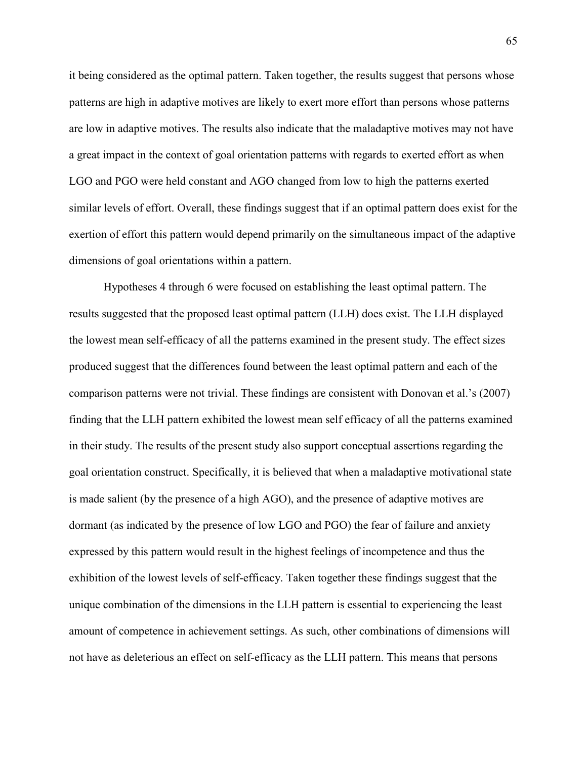it being considered as the optimal pattern. Taken together, the results suggest that persons whose patterns are high in adaptive motives are likely to exert more effort than persons whose patterns are low in adaptive motives. The results also indicate that the maladaptive motives may not have a great impact in the context of goal orientation patterns with regards to exerted effort as when LGO and PGO were held constant and AGO changed from low to high the patterns exerted similar levels of effort. Overall, these findings suggest that if an optimal pattern does exist for the exertion of effort this pattern would depend primarily on the simultaneous impact of the adaptive dimensions of goal orientations within a pattern.

Hypotheses 4 through 6 were focused on establishing the least optimal pattern. The results suggested that the proposed least optimal pattern (LLH) does exist. The LLH displayed the lowest mean self-efficacy of all the patterns examined in the present study. The effect sizes produced suggest that the differences found between the least optimal pattern and each of the comparison patterns were not trivial. These findings are consistent with Donovan et al.'s (2007) finding that the LLH pattern exhibited the lowest mean self efficacy of all the patterns examined in their study. The results of the present study also support conceptual assertions regarding the goal orientation construct. Specifically, it is believed that when a maladaptive motivational state is made salient (by the presence of a high AGO), and the presence of adaptive motives are dormant (as indicated by the presence of low LGO and PGO) the fear of failure and anxiety expressed by this pattern would result in the highest feelings of incompetence and thus the exhibition of the lowest levels of self-efficacy. Taken together these findings suggest that the unique combination of the dimensions in the LLH pattern is essential to experiencing the least amount of competence in achievement settings. As such, other combinations of dimensions will not have as deleterious an effect on self-efficacy as the LLH pattern. This means that persons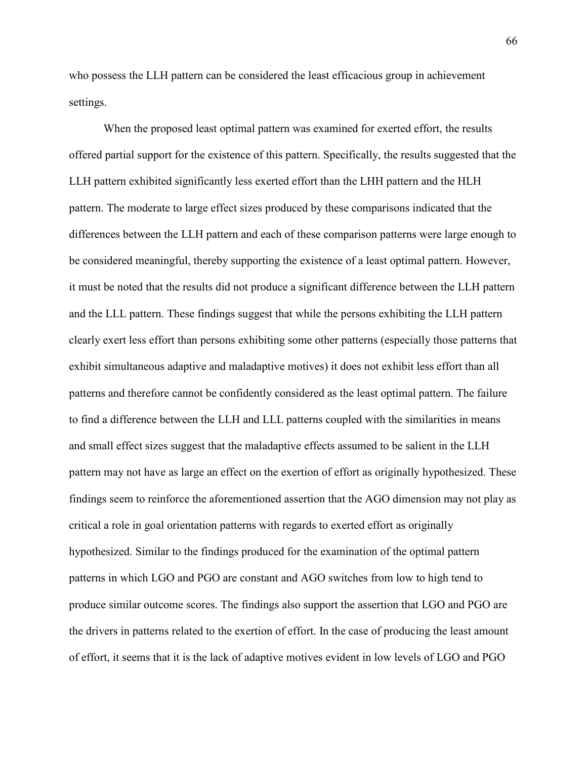who possess the LLH pattern can be considered the least efficacious group in achievement settings.

When the proposed least optimal pattern was examined for exerted effort, the results offered partial support for the existence of this pattern. Specifically, the results suggested that the LLH pattern exhibited significantly less exerted effort than the LHH pattern and the HLH pattern. The moderate to large effect sizes produced by these comparisons indicated that the differences between the LLH pattern and each of these comparison patterns were large enough to be considered meaningful, thereby supporting the existence of a least optimal pattern. However, it must be noted that the results did not produce a significant difference between the LLH pattern and the LLL pattern. These findings suggest that while the persons exhibiting the LLH pattern clearly exert less effort than persons exhibiting some other patterns (especially those patterns that exhibit simultaneous adaptive and maladaptive motives) it does not exhibit less effort than all patterns and therefore cannot be confidently considered as the least optimal pattern. The failure to find a difference between the LLH and LLL patterns coupled with the similarities in means and small effect sizes suggest that the maladaptive effects assumed to be salient in the LLH pattern may not have as large an effect on the exertion of effort as originally hypothesized. These findings seem to reinforce the aforementioned assertion that the AGO dimension may not play as critical a role in goal orientation patterns with regards to exerted effort as originally hypothesized. Similar to the findings produced for the examination of the optimal pattern patterns in which LGO and PGO are constant and AGO switches from low to high tend to produce similar outcome scores. The findings also support the assertion that LGO and PGO are the drivers in patterns related to the exertion of effort. In the case of producing the least amount of effort, it seems that it is the lack of adaptive motives evident in low levels of LGO and PGO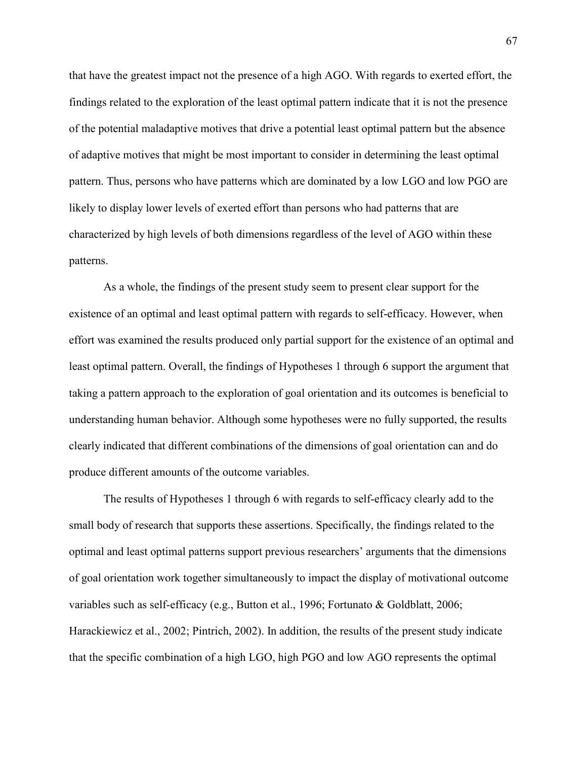that have the greatest impact not the presence of a high AGO. With regards to exerted effort, the findings related to the exploration of the least optimal pattern indicate that it is not the presence of the potential maladaptive motives that drive a potential least optimal pattern but the absence of adaptive motives that might be most important to consider in determining the least optimal pattern. Thus, persons who have patterns which are dominated by a low LGO and low PGO are likely to display lower levels of exerted effort than persons who had patterns that are characterized by high levels of both dimensions regardless of the level of AGO within these patterns.

As a whole, the findings of the present study seem to present clear support for the existence of an optimal and least optimal pattern with regards to self-efficacy. However, when effort was examined the results produced only partial support for the existence of an optimal and least optimal pattern. Overall, the findings of Hypotheses 1 through 6 support the argument that taking a pattern approach to the exploration of goal orientation and its outcomes is beneficial to understanding human behavior. Although some hypotheses were no fully supported, the results clearly indicated that different combinations of the dimensions of goal orientation can and do produce different amounts of the outcome variables.

The results of Hypotheses 1 through 6 with regards to self-efficacy clearly add to the small body of research that supports these assertions. Specifically, the findings related to the optimal and least optimal patterns support previous researchers' arguments that the dimensions of goal orientation work together simultaneously to impact the display of motivational outcome variables such as self-efficacy (e.g., Button et al., 1996; Fortunato & Goldblatt, 2006; Harackiewicz et al., 2002; Pintrich, 2002). In addition, the results of the present study indicate that the specific combination of a high LGO, high PGO and low AGO represents the optimal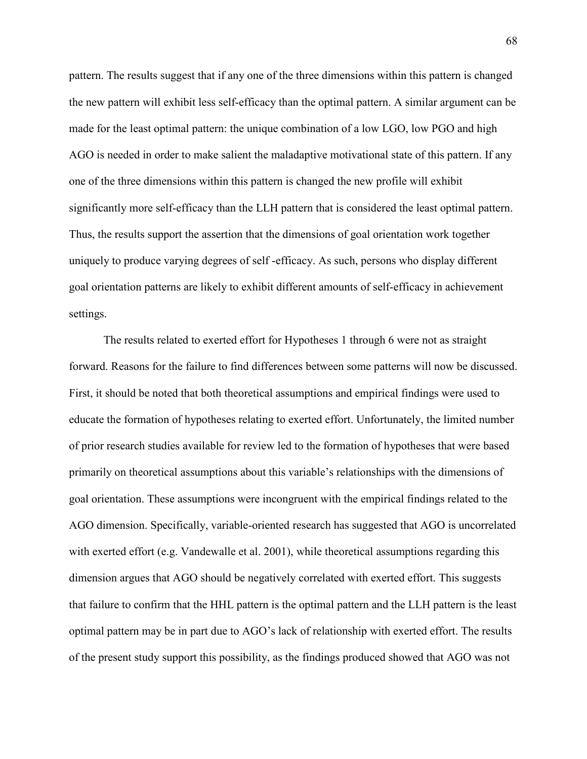pattern. The results suggest that if any one of the three dimensions within this pattern is changed the new pattern will exhibit less self-efficacy than the optimal pattern. A similar argument can be made for the least optimal pattern: the unique combination of a low LGO, low PGO and high AGO is needed in order to make salient the maladaptive motivational state of this pattern. If any one of the three dimensions within this pattern is changed the new profile will exhibit significantly more self-efficacy than the LLH pattern that is considered the least optimal pattern. Thus, the results support the assertion that the dimensions of goal orientation work together uniquely to produce varying degrees of self -efficacy. As such, persons who display different goal orientation patterns are likely to exhibit different amounts of self-efficacy in achievement settings.

 The results related to exerted effort for Hypotheses 1 through 6 were not as straight forward. Reasons for the failure to find differences between some patterns will now be discussed. First, it should be noted that both theoretical assumptions and empirical findings were used to educate the formation of hypotheses relating to exerted effort. Unfortunately, the limited number of prior research studies available for review led to the formation of hypotheses that were based primarily on theoretical assumptions about this variable's relationships with the dimensions of goal orientation. These assumptions were incongruent with the empirical findings related to the AGO dimension. Specifically, variable-oriented research has suggested that AGO is uncorrelated with exerted effort (e.g. Vandewalle et al. 2001), while theoretical assumptions regarding this dimension argues that AGO should be negatively correlated with exerted effort. This suggests that failure to confirm that the HHL pattern is the optimal pattern and the LLH pattern is the least optimal pattern may be in part due to AGO's lack of relationship with exerted effort. The results of the present study support this possibility, as the findings produced showed that AGO was not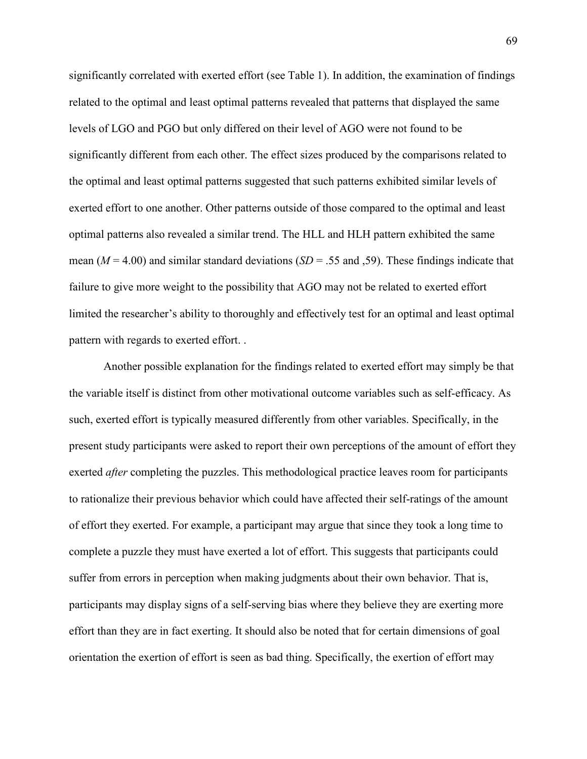significantly correlated with exerted effort (see Table 1). In addition, the examination of findings related to the optimal and least optimal patterns revealed that patterns that displayed the same levels of LGO and PGO but only differed on their level of AGO were not found to be significantly different from each other. The effect sizes produced by the comparisons related to the optimal and least optimal patterns suggested that such patterns exhibited similar levels of exerted effort to one another. Other patterns outside of those compared to the optimal and least optimal patterns also revealed a similar trend. The HLL and HLH pattern exhibited the same mean ( $M = 4.00$ ) and similar standard deviations ( $SD = .55$  and  $,59$ ). These findings indicate that failure to give more weight to the possibility that AGO may not be related to exerted effort limited the researcher's ability to thoroughly and effectively test for an optimal and least optimal pattern with regards to exerted effort. .

Another possible explanation for the findings related to exerted effort may simply be that the variable itself is distinct from other motivational outcome variables such as self-efficacy. As such, exerted effort is typically measured differently from other variables. Specifically, in the present study participants were asked to report their own perceptions of the amount of effort they exerted *after* completing the puzzles. This methodological practice leaves room for participants to rationalize their previous behavior which could have affected their self-ratings of the amount of effort they exerted. For example, a participant may argue that since they took a long time to complete a puzzle they must have exerted a lot of effort. This suggests that participants could suffer from errors in perception when making judgments about their own behavior. That is, participants may display signs of a self-serving bias where they believe they are exerting more effort than they are in fact exerting. It should also be noted that for certain dimensions of goal orientation the exertion of effort is seen as bad thing. Specifically, the exertion of effort may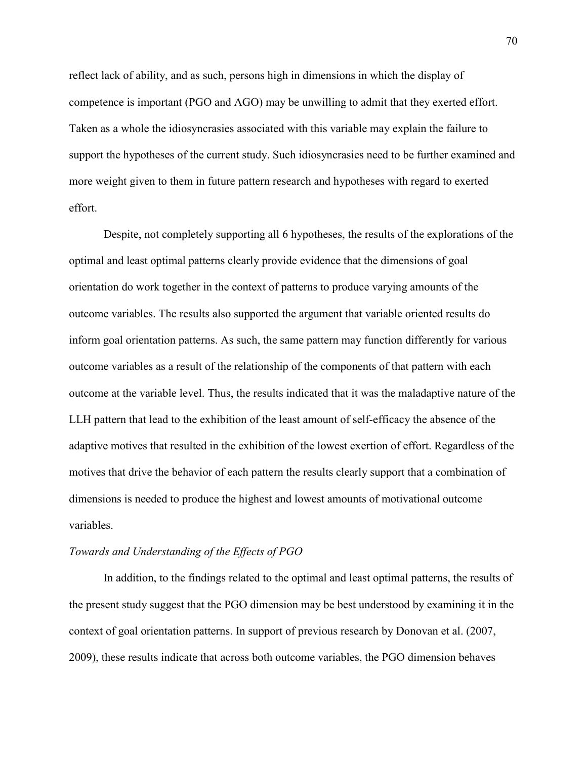reflect lack of ability, and as such, persons high in dimensions in which the display of competence is important (PGO and AGO) may be unwilling to admit that they exerted effort. Taken as a whole the idiosyncrasies associated with this variable may explain the failure to support the hypotheses of the current study. Such idiosyncrasies need to be further examined and more weight given to them in future pattern research and hypotheses with regard to exerted effort.

Despite, not completely supporting all 6 hypotheses, the results of the explorations of the optimal and least optimal patterns clearly provide evidence that the dimensions of goal orientation do work together in the context of patterns to produce varying amounts of the outcome variables. The results also supported the argument that variable oriented results do inform goal orientation patterns. As such, the same pattern may function differently for various outcome variables as a result of the relationship of the components of that pattern with each outcome at the variable level. Thus, the results indicated that it was the maladaptive nature of the LLH pattern that lead to the exhibition of the least amount of self-efficacy the absence of the adaptive motives that resulted in the exhibition of the lowest exertion of effort. Regardless of the motives that drive the behavior of each pattern the results clearly support that a combination of dimensions is needed to produce the highest and lowest amounts of motivational outcome variables.

#### *Towards and Understanding of the Effects of PGO*

In addition, to the findings related to the optimal and least optimal patterns, the results of the present study suggest that the PGO dimension may be best understood by examining it in the context of goal orientation patterns. In support of previous research by Donovan et al. (2007, 2009), these results indicate that across both outcome variables, the PGO dimension behaves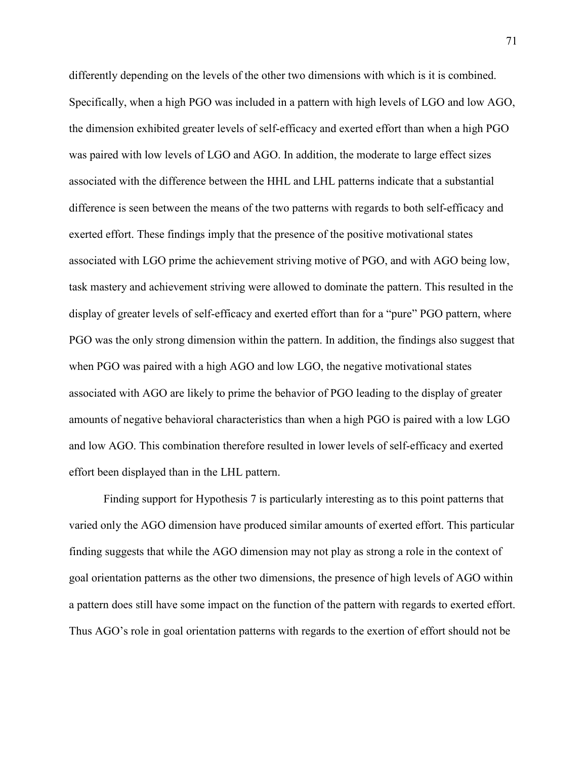differently depending on the levels of the other two dimensions with which is it is combined. Specifically, when a high PGO was included in a pattern with high levels of LGO and low AGO, the dimension exhibited greater levels of self-efficacy and exerted effort than when a high PGO was paired with low levels of LGO and AGO. In addition, the moderate to large effect sizes associated with the difference between the HHL and LHL patterns indicate that a substantial difference is seen between the means of the two patterns with regards to both self-efficacy and exerted effort. These findings imply that the presence of the positive motivational states associated with LGO prime the achievement striving motive of PGO, and with AGO being low, task mastery and achievement striving were allowed to dominate the pattern. This resulted in the display of greater levels of self-efficacy and exerted effort than for a "pure" PGO pattern, where PGO was the only strong dimension within the pattern. In addition, the findings also suggest that when PGO was paired with a high AGO and low LGO, the negative motivational states associated with AGO are likely to prime the behavior of PGO leading to the display of greater amounts of negative behavioral characteristics than when a high PGO is paired with a low LGO and low AGO. This combination therefore resulted in lower levels of self-efficacy and exerted effort been displayed than in the LHL pattern.

Finding support for Hypothesis 7 is particularly interesting as to this point patterns that varied only the AGO dimension have produced similar amounts of exerted effort. This particular finding suggests that while the AGO dimension may not play as strong a role in the context of goal orientation patterns as the other two dimensions, the presence of high levels of AGO within a pattern does still have some impact on the function of the pattern with regards to exerted effort. Thus AGO's role in goal orientation patterns with regards to the exertion of effort should not be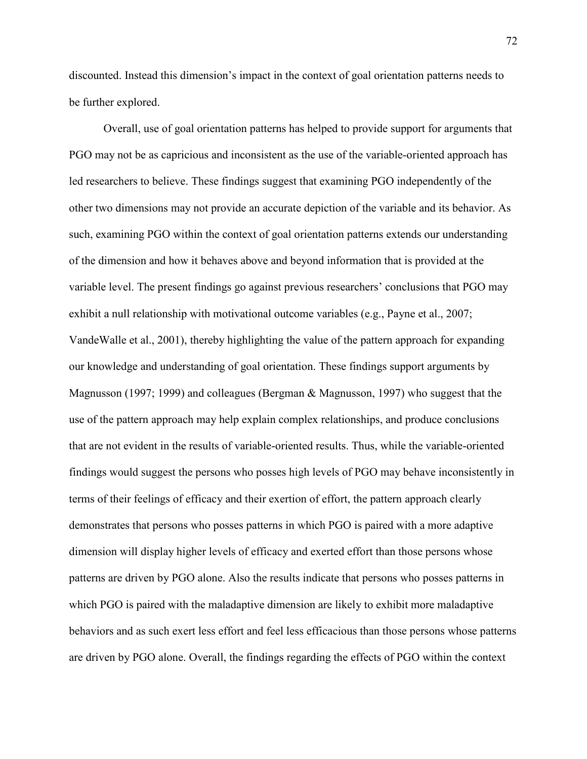discounted. Instead this dimension's impact in the context of goal orientation patterns needs to be further explored.

Overall, use of goal orientation patterns has helped to provide support for arguments that PGO may not be as capricious and inconsistent as the use of the variable-oriented approach has led researchers to believe. These findings suggest that examining PGO independently of the other two dimensions may not provide an accurate depiction of the variable and its behavior. As such, examining PGO within the context of goal orientation patterns extends our understanding of the dimension and how it behaves above and beyond information that is provided at the variable level. The present findings go against previous researchers' conclusions that PGO may exhibit a null relationship with motivational outcome variables (e.g., Payne et al., 2007; VandeWalle et al., 2001), thereby highlighting the value of the pattern approach for expanding our knowledge and understanding of goal orientation. These findings support arguments by Magnusson (1997; 1999) and colleagues (Bergman & Magnusson, 1997) who suggest that the use of the pattern approach may help explain complex relationships, and produce conclusions that are not evident in the results of variable-oriented results. Thus, while the variable-oriented findings would suggest the persons who posses high levels of PGO may behave inconsistently in terms of their feelings of efficacy and their exertion of effort, the pattern approach clearly demonstrates that persons who posses patterns in which PGO is paired with a more adaptive dimension will display higher levels of efficacy and exerted effort than those persons whose patterns are driven by PGO alone. Also the results indicate that persons who posses patterns in which PGO is paired with the maladaptive dimension are likely to exhibit more maladaptive behaviors and as such exert less effort and feel less efficacious than those persons whose patterns are driven by PGO alone. Overall, the findings regarding the effects of PGO within the context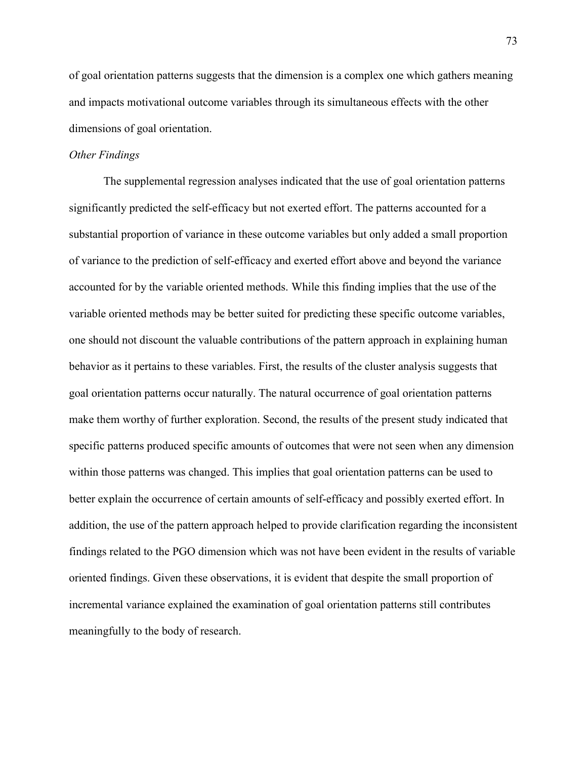of goal orientation patterns suggests that the dimension is a complex one which gathers meaning and impacts motivational outcome variables through its simultaneous effects with the other dimensions of goal orientation.

#### *Other Findings*

The supplemental regression analyses indicated that the use of goal orientation patterns significantly predicted the self-efficacy but not exerted effort. The patterns accounted for a substantial proportion of variance in these outcome variables but only added a small proportion of variance to the prediction of self-efficacy and exerted effort above and beyond the variance accounted for by the variable oriented methods. While this finding implies that the use of the variable oriented methods may be better suited for predicting these specific outcome variables, one should not discount the valuable contributions of the pattern approach in explaining human behavior as it pertains to these variables. First, the results of the cluster analysis suggests that goal orientation patterns occur naturally. The natural occurrence of goal orientation patterns make them worthy of further exploration. Second, the results of the present study indicated that specific patterns produced specific amounts of outcomes that were not seen when any dimension within those patterns was changed. This implies that goal orientation patterns can be used to better explain the occurrence of certain amounts of self-efficacy and possibly exerted effort. In addition, the use of the pattern approach helped to provide clarification regarding the inconsistent findings related to the PGO dimension which was not have been evident in the results of variable oriented findings. Given these observations, it is evident that despite the small proportion of incremental variance explained the examination of goal orientation patterns still contributes meaningfully to the body of research.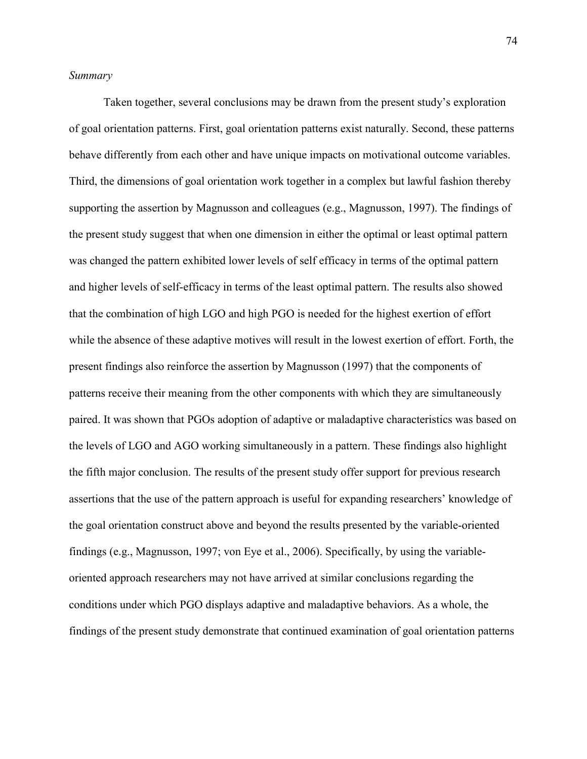#### *Summary*

Taken together, several conclusions may be drawn from the present study's exploration of goal orientation patterns. First, goal orientation patterns exist naturally. Second, these patterns behave differently from each other and have unique impacts on motivational outcome variables. Third, the dimensions of goal orientation work together in a complex but lawful fashion thereby supporting the assertion by Magnusson and colleagues (e.g., Magnusson, 1997). The findings of the present study suggest that when one dimension in either the optimal or least optimal pattern was changed the pattern exhibited lower levels of self efficacy in terms of the optimal pattern and higher levels of self-efficacy in terms of the least optimal pattern. The results also showed that the combination of high LGO and high PGO is needed for the highest exertion of effort while the absence of these adaptive motives will result in the lowest exertion of effort. Forth, the present findings also reinforce the assertion by Magnusson (1997) that the components of patterns receive their meaning from the other components with which they are simultaneously paired. It was shown that PGOs adoption of adaptive or maladaptive characteristics was based on the levels of LGO and AGO working simultaneously in a pattern. These findings also highlight the fifth major conclusion. The results of the present study offer support for previous research assertions that the use of the pattern approach is useful for expanding researchers' knowledge of the goal orientation construct above and beyond the results presented by the variable-oriented findings (e.g., Magnusson, 1997; von Eye et al., 2006). Specifically, by using the variableoriented approach researchers may not have arrived at similar conclusions regarding the conditions under which PGO displays adaptive and maladaptive behaviors. As a whole, the findings of the present study demonstrate that continued examination of goal orientation patterns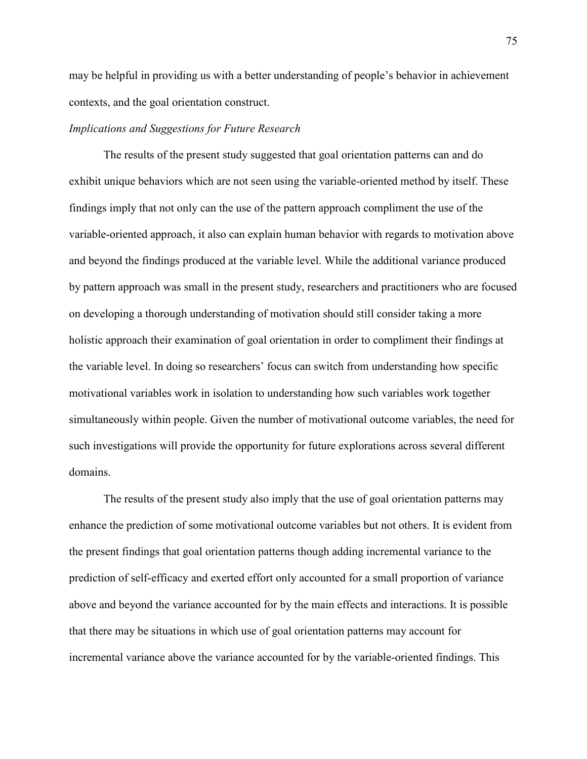may be helpful in providing us with a better understanding of people's behavior in achievement contexts, and the goal orientation construct.

#### *Implications and Suggestions for Future Research*

The results of the present study suggested that goal orientation patterns can and do exhibit unique behaviors which are not seen using the variable-oriented method by itself. These findings imply that not only can the use of the pattern approach compliment the use of the variable-oriented approach, it also can explain human behavior with regards to motivation above and beyond the findings produced at the variable level. While the additional variance produced by pattern approach was small in the present study, researchers and practitioners who are focused on developing a thorough understanding of motivation should still consider taking a more holistic approach their examination of goal orientation in order to compliment their findings at the variable level. In doing so researchers' focus can switch from understanding how specific motivational variables work in isolation to understanding how such variables work together simultaneously within people. Given the number of motivational outcome variables, the need for such investigations will provide the opportunity for future explorations across several different domains.

The results of the present study also imply that the use of goal orientation patterns may enhance the prediction of some motivational outcome variables but not others. It is evident from the present findings that goal orientation patterns though adding incremental variance to the prediction of self-efficacy and exerted effort only accounted for a small proportion of variance above and beyond the variance accounted for by the main effects and interactions. It is possible that there may be situations in which use of goal orientation patterns may account for incremental variance above the variance accounted for by the variable-oriented findings. This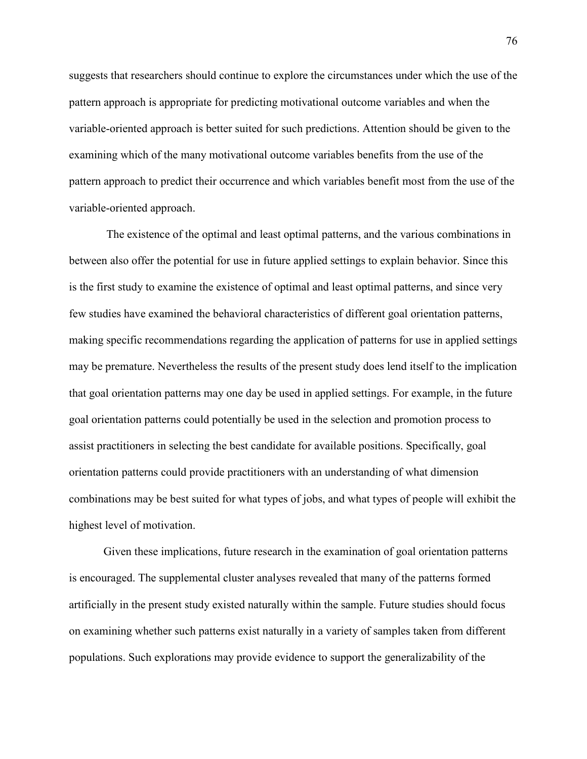suggests that researchers should continue to explore the circumstances under which the use of the pattern approach is appropriate for predicting motivational outcome variables and when the variable-oriented approach is better suited for such predictions. Attention should be given to the examining which of the many motivational outcome variables benefits from the use of the pattern approach to predict their occurrence and which variables benefit most from the use of the variable-oriented approach.

 The existence of the optimal and least optimal patterns, and the various combinations in between also offer the potential for use in future applied settings to explain behavior. Since this is the first study to examine the existence of optimal and least optimal patterns, and since very few studies have examined the behavioral characteristics of different goal orientation patterns, making specific recommendations regarding the application of patterns for use in applied settings may be premature. Nevertheless the results of the present study does lend itself to the implication that goal orientation patterns may one day be used in applied settings. For example, in the future goal orientation patterns could potentially be used in the selection and promotion process to assist practitioners in selecting the best candidate for available positions. Specifically, goal orientation patterns could provide practitioners with an understanding of what dimension combinations may be best suited for what types of jobs, and what types of people will exhibit the highest level of motivation.

Given these implications, future research in the examination of goal orientation patterns is encouraged. The supplemental cluster analyses revealed that many of the patterns formed artificially in the present study existed naturally within the sample. Future studies should focus on examining whether such patterns exist naturally in a variety of samples taken from different populations. Such explorations may provide evidence to support the generalizability of the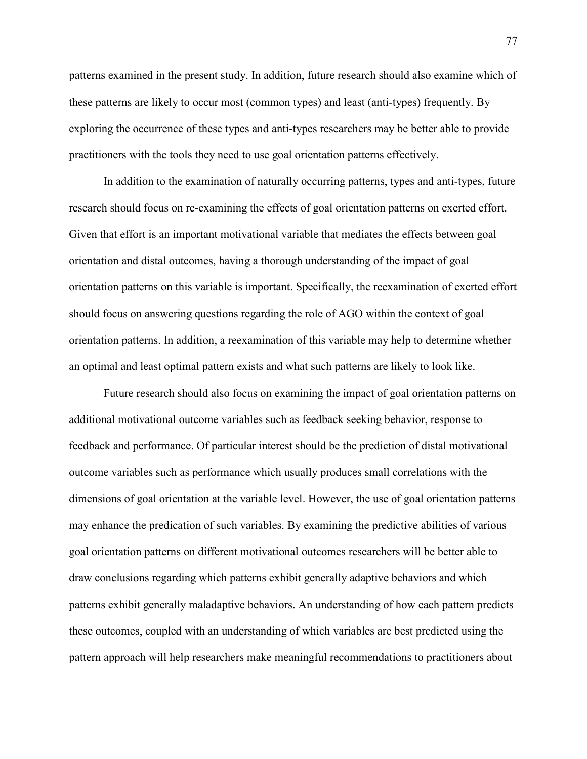patterns examined in the present study. In addition, future research should also examine which of these patterns are likely to occur most (common types) and least (anti-types) frequently. By exploring the occurrence of these types and anti-types researchers may be better able to provide practitioners with the tools they need to use goal orientation patterns effectively.

In addition to the examination of naturally occurring patterns, types and anti-types, future research should focus on re-examining the effects of goal orientation patterns on exerted effort. Given that effort is an important motivational variable that mediates the effects between goal orientation and distal outcomes, having a thorough understanding of the impact of goal orientation patterns on this variable is important. Specifically, the reexamination of exerted effort should focus on answering questions regarding the role of AGO within the context of goal orientation patterns. In addition, a reexamination of this variable may help to determine whether an optimal and least optimal pattern exists and what such patterns are likely to look like.

Future research should also focus on examining the impact of goal orientation patterns on additional motivational outcome variables such as feedback seeking behavior, response to feedback and performance. Of particular interest should be the prediction of distal motivational outcome variables such as performance which usually produces small correlations with the dimensions of goal orientation at the variable level. However, the use of goal orientation patterns may enhance the predication of such variables. By examining the predictive abilities of various goal orientation patterns on different motivational outcomes researchers will be better able to draw conclusions regarding which patterns exhibit generally adaptive behaviors and which patterns exhibit generally maladaptive behaviors. An understanding of how each pattern predicts these outcomes, coupled with an understanding of which variables are best predicted using the pattern approach will help researchers make meaningful recommendations to practitioners about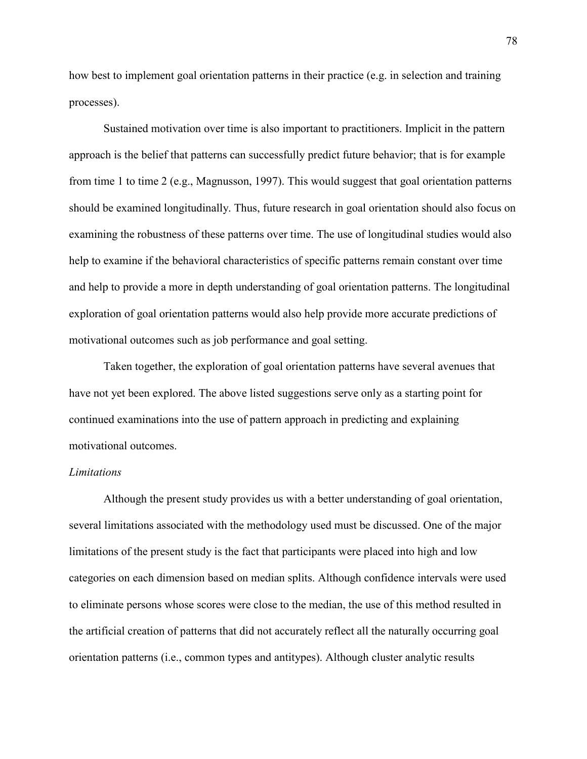how best to implement goal orientation patterns in their practice (e.g. in selection and training processes).

Sustained motivation over time is also important to practitioners. Implicit in the pattern approach is the belief that patterns can successfully predict future behavior; that is for example from time 1 to time 2 (e.g., Magnusson, 1997). This would suggest that goal orientation patterns should be examined longitudinally. Thus, future research in goal orientation should also focus on examining the robustness of these patterns over time. The use of longitudinal studies would also help to examine if the behavioral characteristics of specific patterns remain constant over time and help to provide a more in depth understanding of goal orientation patterns. The longitudinal exploration of goal orientation patterns would also help provide more accurate predictions of motivational outcomes such as job performance and goal setting.

Taken together, the exploration of goal orientation patterns have several avenues that have not yet been explored. The above listed suggestions serve only as a starting point for continued examinations into the use of pattern approach in predicting and explaining motivational outcomes.

#### *Limitations*

Although the present study provides us with a better understanding of goal orientation, several limitations associated with the methodology used must be discussed. One of the major limitations of the present study is the fact that participants were placed into high and low categories on each dimension based on median splits. Although confidence intervals were used to eliminate persons whose scores were close to the median, the use of this method resulted in the artificial creation of patterns that did not accurately reflect all the naturally occurring goal orientation patterns (i.e., common types and antitypes). Although cluster analytic results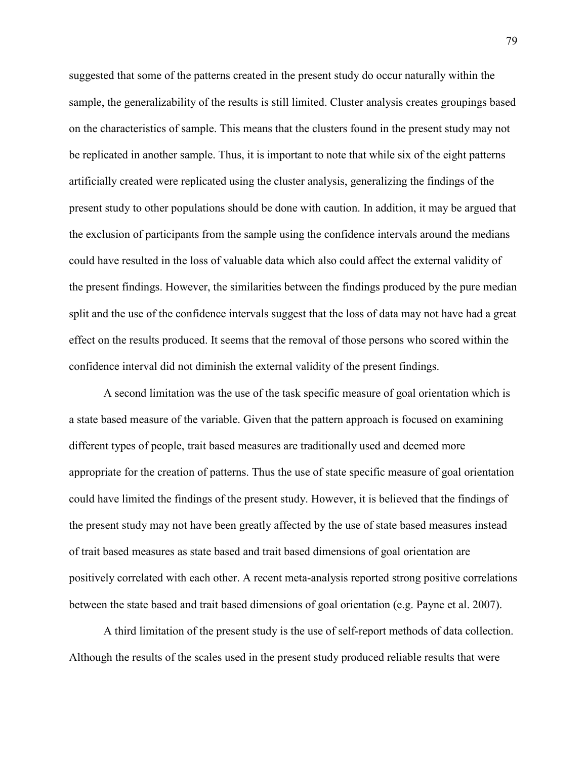suggested that some of the patterns created in the present study do occur naturally within the sample, the generalizability of the results is still limited. Cluster analysis creates groupings based on the characteristics of sample. This means that the clusters found in the present study may not be replicated in another sample. Thus, it is important to note that while six of the eight patterns artificially created were replicated using the cluster analysis, generalizing the findings of the present study to other populations should be done with caution. In addition, it may be argued that the exclusion of participants from the sample using the confidence intervals around the medians could have resulted in the loss of valuable data which also could affect the external validity of the present findings. However, the similarities between the findings produced by the pure median split and the use of the confidence intervals suggest that the loss of data may not have had a great effect on the results produced. It seems that the removal of those persons who scored within the confidence interval did not diminish the external validity of the present findings.

A second limitation was the use of the task specific measure of goal orientation which is a state based measure of the variable. Given that the pattern approach is focused on examining different types of people, trait based measures are traditionally used and deemed more appropriate for the creation of patterns. Thus the use of state specific measure of goal orientation could have limited the findings of the present study. However, it is believed that the findings of the present study may not have been greatly affected by the use of state based measures instead of trait based measures as state based and trait based dimensions of goal orientation are positively correlated with each other. A recent meta-analysis reported strong positive correlations between the state based and trait based dimensions of goal orientation (e.g. Payne et al. 2007).

A third limitation of the present study is the use of self-report methods of data collection. Although the results of the scales used in the present study produced reliable results that were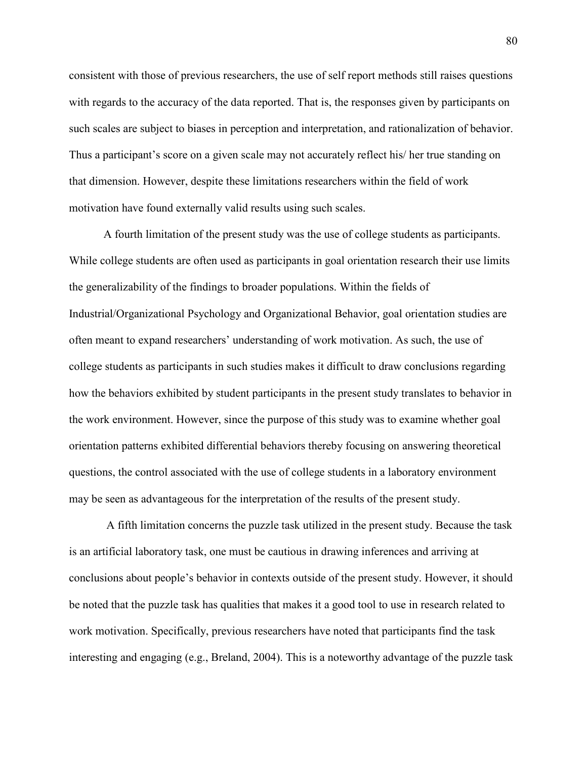consistent with those of previous researchers, the use of self report methods still raises questions with regards to the accuracy of the data reported. That is, the responses given by participants on such scales are subject to biases in perception and interpretation, and rationalization of behavior. Thus a participant's score on a given scale may not accurately reflect his/ her true standing on that dimension. However, despite these limitations researchers within the field of work motivation have found externally valid results using such scales.

A fourth limitation of the present study was the use of college students as participants. While college students are often used as participants in goal orientation research their use limits the generalizability of the findings to broader populations. Within the fields of Industrial/Organizational Psychology and Organizational Behavior, goal orientation studies are often meant to expand researchers' understanding of work motivation. As such, the use of college students as participants in such studies makes it difficult to draw conclusions regarding how the behaviors exhibited by student participants in the present study translates to behavior in the work environment. However, since the purpose of this study was to examine whether goal orientation patterns exhibited differential behaviors thereby focusing on answering theoretical questions, the control associated with the use of college students in a laboratory environment may be seen as advantageous for the interpretation of the results of the present study.

 A fifth limitation concerns the puzzle task utilized in the present study. Because the task is an artificial laboratory task, one must be cautious in drawing inferences and arriving at conclusions about people's behavior in contexts outside of the present study. However, it should be noted that the puzzle task has qualities that makes it a good tool to use in research related to work motivation. Specifically, previous researchers have noted that participants find the task interesting and engaging (e.g., Breland, 2004). This is a noteworthy advantage of the puzzle task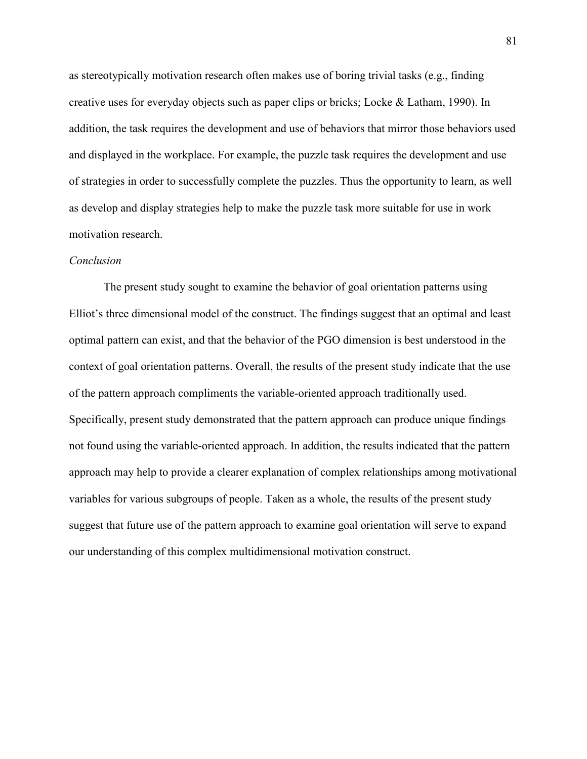as stereotypically motivation research often makes use of boring trivial tasks (e.g., finding creative uses for everyday objects such as paper clips or bricks; Locke & Latham, 1990). In addition, the task requires the development and use of behaviors that mirror those behaviors used and displayed in the workplace. For example, the puzzle task requires the development and use of strategies in order to successfully complete the puzzles. Thus the opportunity to learn, as well as develop and display strategies help to make the puzzle task more suitable for use in work motivation research.

#### *Conclusion*

The present study sought to examine the behavior of goal orientation patterns using Elliot's three dimensional model of the construct. The findings suggest that an optimal and least optimal pattern can exist, and that the behavior of the PGO dimension is best understood in the context of goal orientation patterns. Overall, the results of the present study indicate that the use of the pattern approach compliments the variable-oriented approach traditionally used. Specifically, present study demonstrated that the pattern approach can produce unique findings not found using the variable-oriented approach. In addition, the results indicated that the pattern approach may help to provide a clearer explanation of complex relationships among motivational variables for various subgroups of people. Taken as a whole, the results of the present study suggest that future use of the pattern approach to examine goal orientation will serve to expand our understanding of this complex multidimensional motivation construct.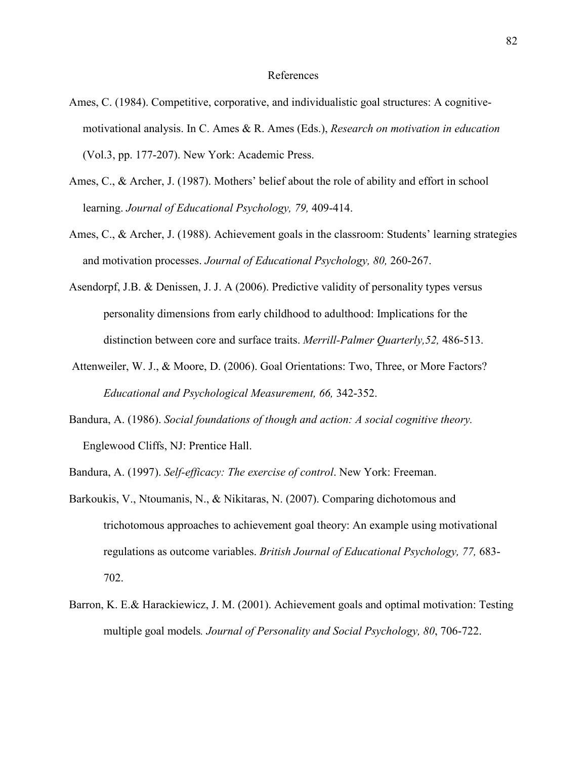#### References

- Ames, C. (1984). Competitive, corporative, and individualistic goal structures: A cognitivemotivational analysis. In C. Ames & R. Ames (Eds.), *Research on motivation in education* (Vol.3, pp. 177-207). New York: Academic Press.
- Ames, C., & Archer, J. (1987). Mothers' belief about the role of ability and effort in school learning. *Journal of Educational Psychology, 79,* 409-414.
- Ames, C., & Archer, J. (1988). Achievement goals in the classroom: Students' learning strategies and motivation processes. *Journal of Educational Psychology, 80,* 260-267.
- Asendorpf, J.B. & Denissen, J. J. A (2006). Predictive validity of personality types versus personality dimensions from early childhood to adulthood: Implications for the distinction between core and surface traits. *Merrill-Palmer Quarterly,52,* 486-513.
- Attenweiler, W. J., & Moore, D. (2006). Goal Orientations: Two, Three, or More Factors? *Educational and Psychological Measurement, 66,* 342-352.
- Bandura, A. (1986). *Social foundations of though and action: A social cognitive theory.* Englewood Cliffs, NJ: Prentice Hall.
- Bandura, A. (1997). *Self-efficacy: The exercise of control*. New York: Freeman.
- Barkoukis, V., Ntoumanis, N., & Nikitaras, N. (2007). [Comparing dichotomous and](http://web.ebscohost.com/ehost/viewarticle?data=dGJyMPPp44rp2%2fdV0%2bnjisfk5Ie46bRJtqqxTbOk63nn5Kx95uXxjL6qrUq2pbBIrq%2beUbirrlKxq55Zy5zyit%2fk8Xnh6ueH7N%2fiVbCmsFCzqbNOtaakhN%2fk5VXj5KR84LPui%2ffepIzf3btZzJzfhruorki1o69Ms6m2Ra6nrz7k5fCF3%2bq7fvPi6ozj7vIA&hid=9) [trichotomous approaches to achievement goal theory: An example using motivational](http://web.ebscohost.com/ehost/viewarticle?data=dGJyMPPp44rp2%2fdV0%2bnjisfk5Ie46bRJtqqxTbOk63nn5Kx95uXxjL6qrUq2pbBIrq%2beUbirrlKxq55Zy5zyit%2fk8Xnh6ueH7N%2fiVbCmsFCzqbNOtaakhN%2fk5VXj5KR84LPui%2ffepIzf3btZzJzfhruorki1o69Ms6m2Ra6nrz7k5fCF3%2bq7fvPi6ozj7vIA&hid=9) [regulations as outcome variables](http://web.ebscohost.com/ehost/viewarticle?data=dGJyMPPp44rp2%2fdV0%2bnjisfk5Ie46bRJtqqxTbOk63nn5Kx95uXxjL6qrUq2pbBIrq%2beUbirrlKxq55Zy5zyit%2fk8Xnh6ueH7N%2fiVbCmsFCzqbNOtaakhN%2fk5VXj5KR84LPui%2ffepIzf3btZzJzfhruorki1o69Ms6m2Ra6nrz7k5fCF3%2bq7fvPi6ozj7vIA&hid=9). *British Journal of Educational Psychology, 77,* 683- 702.
- Barron, K. E.& Harackiewicz, J. M. (2001). Achievement goals and optimal motivation: Testing multiple goal models*. Journal of Personality and Social Psychology, 80*, 706-722.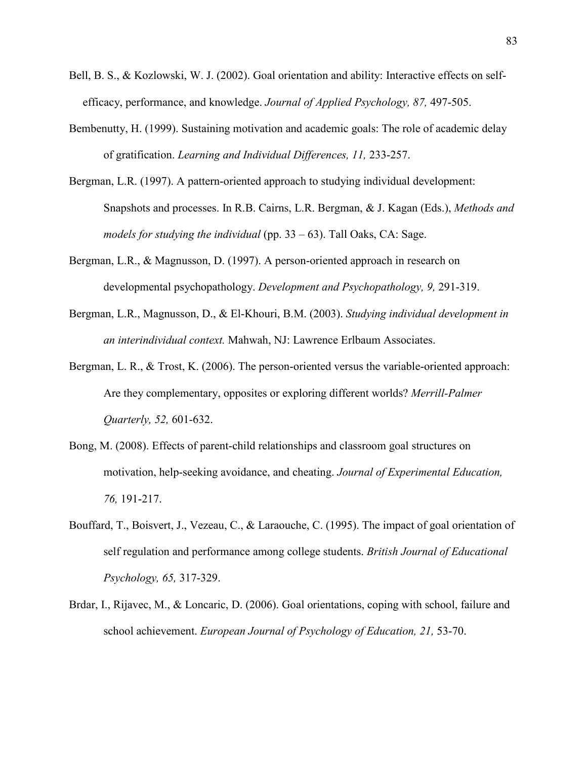- Bell, B. S., & Kozlowski, W. J. (2002). Goal orientation and ability: Interactive effects on selfefficacy, performance, and knowledge. *Journal of Applied Psychology, 87,* 497-505.
- Bembenutty, H. (1999). Sustaining motivation and academic goals: The role of academic delay of gratification. *Learning and Individual Differences, 11,* 233-257.
- Bergman, L.R. (1997). A pattern-oriented approach to studying individual development: Snapshots and processes. In R.B. Cairns, L.R. Bergman, & J. Kagan (Eds.), *Methods and models for studying the individual* (pp. 33 – 63). Tall Oaks, CA: Sage.
- Bergman, L.R., & Magnusson, D. (1997). A person-oriented approach in research on developmental psychopathology. *Development and Psychopathology, 9,* 291-319.
- Bergman, L.R., Magnusson, D., & El-Khouri, B.M. (2003). *Studying individual development in an interindividual context.* Mahwah, NJ: Lawrence Erlbaum Associates.
- Bergman, L. R., & Trost, K. (2006). The person-oriented versus the variable-oriented approach: Are they complementary, opposites or exploring different worlds? *Merrill-Palmer Quarterly, 52,* 601-632.
- Bong, M. (2008). Effects of parent-child relationships and classroom goal structures on motivation, help-seeking avoidance, and cheating. *Journal of Experimental Education, 76,* 191-217.
- Bouffard, T., Boisvert, J., Vezeau, C., & Laraouche, C. (1995). The impact of goal orientation of self regulation and performance among college students. *British Journal of Educational Psychology, 65,* 317-329.
- Brdar, I., Rijavec, M., & Loncaric, D. (2006). Goal orientations, coping with school, failure and school achievement. *European Journal of Psychology of Education, 21,* 53-70.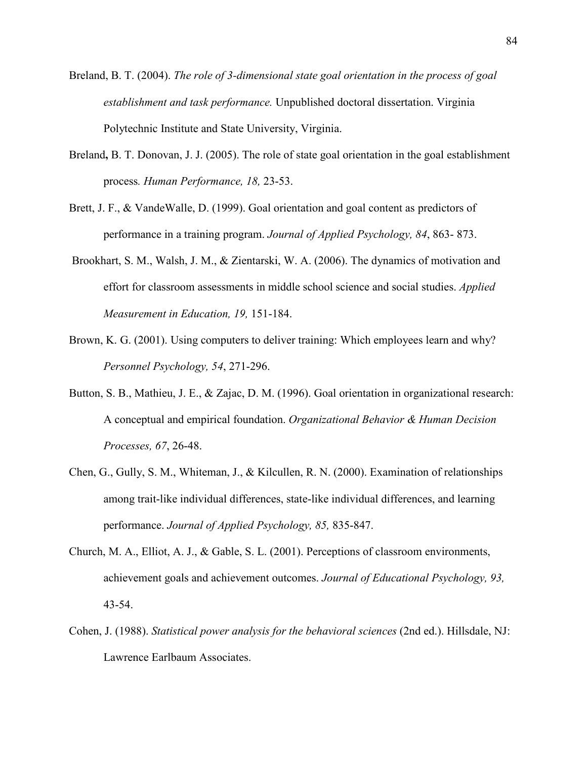- Breland, B. T. (2004). *The role of 3-dimensional state goal orientation in the process of goal establishment and task performance.* Unpublished doctoral dissertation. Virginia Polytechnic Institute and State University, Virginia.
- Breland**,** B. T. Donovan, J. J. (2005). The role of state goal orientation in the goal establishment process*. Human Performance, 18,* 23-53.
- Brett, J. F., & VandeWalle, D. (1999). Goal orientation and goal content as predictors of performance in a training program. *Journal of Applied Psychology, 84*, 863- 873.
- Brookhart, S. M., Walsh, J. M., & Zientarski, W. A. (2006). The dynamics of motivation and effort for classroom assessments in middle school science and social studies. *Applied Measurement in Education, 19,* 151-184.
- Brown, K. G. (2001). Using computers to deliver training: Which employees learn and why? *Personnel Psychology, 54*, 271-296.
- Button, S. B., Mathieu, J. E., & Zajac, D. M. (1996). Goal orientation in organizational research: A conceptual and empirical foundation. *Organizational Behavior & Human Decision Processes, 67*, 26-48.
- Chen, G., Gully, S. M., Whiteman, J., & Kilcullen, R. N. (2000). Examination of relationships among trait-like individual differences, state-like individual differences, and learning performance. *Journal of Applied Psychology, 85,* 835-847.
- Church, M. A., Elliot, A. J., & Gable, S. L. (2001). Perceptions of classroom environments, achievement goals and achievement outcomes. *Journal of Educational Psychology, 93,* 43-54.
- Cohen, J. (1988). *Statistical power analysis for the behavioral sciences* (2nd ed.). Hillsdale, NJ: Lawrence Earlbaum Associates.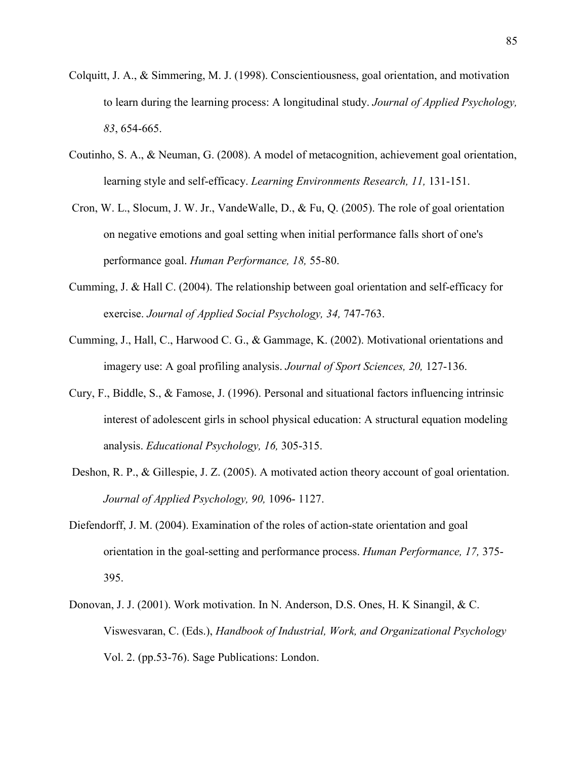- Colquitt, J. A., & Simmering, M. J. (1998). Conscientiousness, goal orientation, and motivation to learn during the learning process: A longitudinal study. *Journal of Applied Psychology, 83*, 654-665.
- Coutinho, S. A., & Neuman, G. (2008). A model of metacognition, achievement goal orientation, learning style and self-efficacy. *Learning Environments Research, 11,* 131-151.
- Cron, W. L., Slocum, J. W. Jr., VandeWalle, D., & Fu, Q. (2005). The role of goal orientation on negative emotions and goal setting when initial performance falls short of one's performance goal. *Human Performance, 18,* 55-80.
- Cumming, J. & Hall C. (2004). The relationship between goal orientation and self-efficacy for exercise. *Journal of Applied Social Psychology, 34,* 747-763.
- Cumming, J., Hall, C., Harwood C. G., & Gammage, K. (2002). Motivational orientations and imagery use: A goal profiling analysis. *Journal of Sport Sciences, 20,* 127-136.
- Cury, F., Biddle, S., & Famose, J. (1996). Personal and situational factors influencing intrinsic interest of adolescent girls in school physical education: A structural equation modeling analysis. *Educational Psychology, 16,* 305-315.
- Deshon, R. P., & Gillespie, J. Z. (2005). A motivated action theory account of goal orientation. *Journal of Applied Psychology, 90,* 1096- 1127.
- Diefendorff, J. M. (2004). Examination of the roles of action-state orientation and goal orientation in the goal-setting and performance process. *Human Performance, 17,* 375- 395.
- Donovan, J. J. (2001). Work motivation. In N. Anderson, D.S. Ones, H. K Sinangil, & C. Viswesvaran, C. (Eds.), *Handbook of Industrial, Work, and Organizational Psychology*  Vol. 2. (pp.53-76). Sage Publications: London.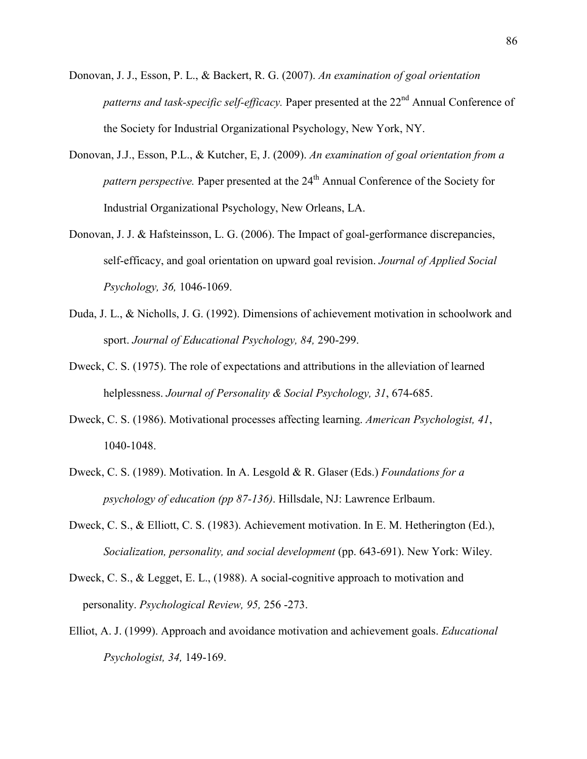- Donovan, J. J., Esson, P. L., & Backert, R. G. (2007). *An examination of goal orientation patterns and task-specific self-efficacy.* Paper presented at the 22<sup>nd</sup> Annual Conference of the Society for Industrial Organizational Psychology, New York, NY.
- Donovan, J.J., Esson, P.L., & Kutcher, E, J. (2009). *An examination of goal orientation from a pattern perspective.* Paper presented at the 24<sup>th</sup> Annual Conference of the Society for Industrial Organizational Psychology, New Orleans, LA.
- Donovan, J. J. & Hafsteinsson, L. G. (2006). The Impact of goal-gerformance discrepancies, self-efficacy, and goal orientation on upward goal revision. *Journal of Applied Social Psychology, 36,* 1046-1069.
- Duda, J. L., & Nicholls, J. G. (1992). Dimensions of achievement motivation in schoolwork and sport. *Journal of Educational Psychology, 84,* 290-299.
- Dweck, C. S. (1975). The role of expectations and attributions in the alleviation of learned helplessness. *Journal of Personality & Social Psychology, 31*, 674-685.
- Dweck, C. S. (1986). Motivational processes affecting learning. *American Psychologist, 41*, 1040-1048.
- Dweck, C. S. (1989). Motivation. In A. Lesgold & R. Glaser (Eds.) *Foundations for a psychology of education (pp 87-136)*. Hillsdale, NJ: Lawrence Erlbaum.
- Dweck, C. S., & Elliott, C. S. (1983). Achievement motivation. In E. M. Hetherington (Ed.), *Socialization, personality, and social development* (pp. 643-691). New York: Wiley.
- Dweck, C. S., & Legget, E. L., (1988). A social-cognitive approach to motivation and personality. *Psychological Review, 95,* 256 -273.
- Elliot, A. J. (1999). Approach and avoidance motivation and achievement goals. *Educational Psychologist, 34,* 149-169.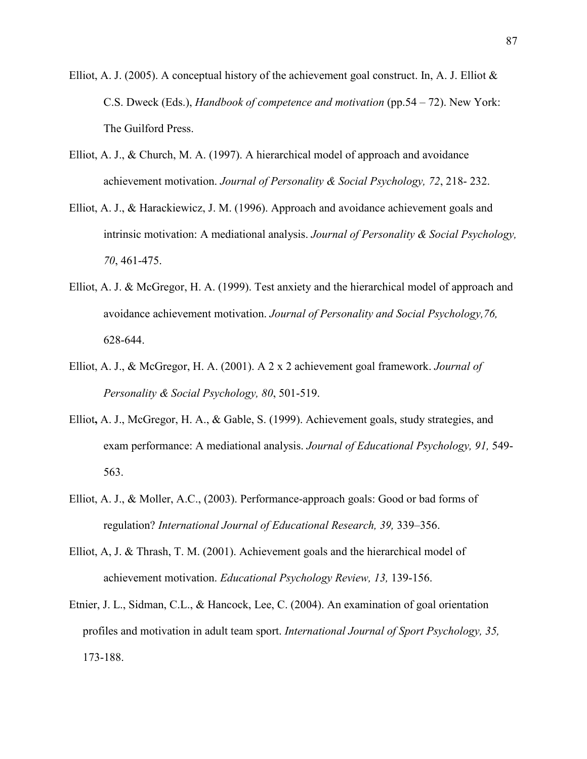- Elliot, A. J. (2005). A conceptual history of the achievement goal construct. In, A. J. Elliot  $\&$ C.S. Dweck (Eds.), *Handbook of competence and motivation* (pp.54 – 72). New York: The Guilford Press.
- Elliot, A. J., & Church, M. A. (1997). A hierarchical model of approach and avoidance achievement motivation. *Journal of Personality & Social Psychology, 72*, 218- 232.
- Elliot, A. J., & Harackiewicz, J. M. (1996). Approach and avoidance achievement goals and intrinsic motivation: A mediational analysis. *Journal of Personality & Social Psychology, 70*, 461-475.
- Elliot, A. J. & McGregor, H. A. (1999). Test anxiety and the hierarchical model of approach and avoidance achievement motivation. *Journal of Personality and Social Psychology,76,* 628-644.
- Elliot, A. J., & McGregor, H. A. (2001). A 2 x 2 achievement goal framework. *Journal of Personality & Social Psychology, 80*, 501-519.
- Elliot**,** A. J., McGregor, H. A., & Gable, S. (1999). [Achievement goals, study strategies, and](http://web.ebscohost.com/ehost/viewarticle?data=dGJyMPPp44rp2%2fdV0%2bnjisfk5Ie46bRJtqqxTbOk63nn5Kx95uXxjL6prVCtqK5It5a3Uq%2bpuEqyls5lpOrweezp33vy3%2b2G59q7Ra%2bstkuzq7RKsKykhN%2fk5VXj5KR84LPui%2ffepIzf3btZzJzfhrunt1G3o69Jrq%2bvRa6nrz7k5fCF3%2bq7fvPi6ozj7vIA&hid=3) [exam performance: A mediational analysis.](http://web.ebscohost.com/ehost/viewarticle?data=dGJyMPPp44rp2%2fdV0%2bnjisfk5Ie46bRJtqqxTbOk63nn5Kx95uXxjL6prVCtqK5It5a3Uq%2bpuEqyls5lpOrweezp33vy3%2b2G59q7Ra%2bstkuzq7RKsKykhN%2fk5VXj5KR84LPui%2ffepIzf3btZzJzfhrunt1G3o69Jrq%2bvRa6nrz7k5fCF3%2bq7fvPi6ozj7vIA&hid=3) *Journal of Educational Psychology, 91,* 549- 563.
- Elliot, A. J., & Moller, A.C., (2003). Performance-approach goals: Good or bad forms of regulation? *International Journal of Educational Research, 39,* 339–356.
- Elliot, A, J. & Thrash, T. M. (2001). Achievement goals and the hierarchical model of achievement motivation. *Educational Psychology Review, 13,* 139-156.
- Etnier, J. L., Sidman, C.L., & Hancock, Lee, C. (2004). An examination of goal orientation profiles and motivation in adult team sport. *International Journal of Sport Psychology, 35,* 173-188.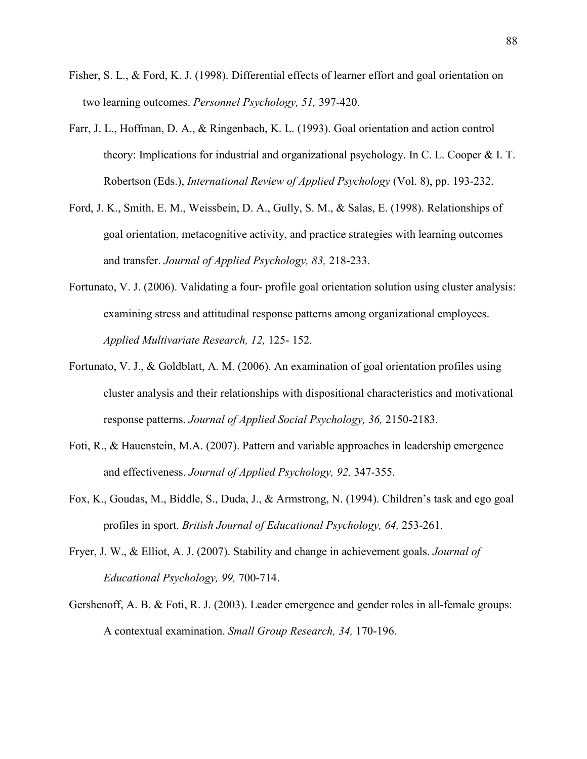- Fisher, S. L., & Ford, K. J. (1998). Differential effects of learner effort and goal orientation on two learning outcomes. *Personnel Psychology, 51,* 397-420.
- Farr, J. L., Hoffman, D. A., & Ringenbach, K. L. (1993). Goal orientation and action control theory: Implications for industrial and organizational psychology. In C. L. Cooper & I. T. Robertson (Eds.), *International Review of Applied Psychology* (Vol. 8), pp. 193-232.
- Ford, J. K., Smith, E. M., Weissbein, D. A., Gully, S. M., & Salas, E. (1998). Relationships of goal orientation, metacognitive activity, and practice strategies with learning outcomes and transfer. *Journal of Applied Psychology, 83,* 218-233.
- Fortunato, V. J. (2006). Validating a four- profile goal orientation solution using cluster analysis: examining stress and attitudinal response patterns among organizational employees. *Applied Multivariate Research, 12,* 125- 152.
- Fortunato, V. J., & Goldblatt, A. M. (2006). An examination of goal orientation profiles using cluster analysis and their relationships with dispositional characteristics and motivational response patterns. *Journal of Applied Social Psychology, 36,* 2150-2183.
- Foti, R., & Hauenstein, M.A. (2007). Pattern and variable approaches in leadership emergence and effectiveness. *Journal of Applied Psychology, 92,* 347-355.
- Fox, K., Goudas, M., Biddle, S., Duda, J., & Armstrong, N. (1994). Children's task and ego goal profiles in sport. *British Journal of Educational Psychology, 64,* 253-261.
- Fryer, J. W., & Elliot, A. J. (2007). [Stability and change in achievement goals.](http://web.ebscohost.com/ehost/viewarticle?data=dGJyMPPp44rp2%2fdV0%2bnjisfk5Ie46bRJtqqxTbOk63nn5Kx95uXxjL6qrUq2pbBIrq%2beUbirrlKxq55Zy5zyit%2fk8Xnh6ueH7N%2fiVbCmsFCzqbNOtaakhN%2fk5VXj5KR84LPui%2ffepIzf3btZzJzfhruorki1o69PtaewRa6msD7k5fCF3%2bq7fvPi6ozj7vIA&hid=9) *Journal of Educational Psychology, 99,* 700-714.
- Gershenoff, A. B. & Foti, R. J. (2003). Leader emergence and gender roles in all-female groups: A contextual examination. *Small Group Research, 34,* 170-196.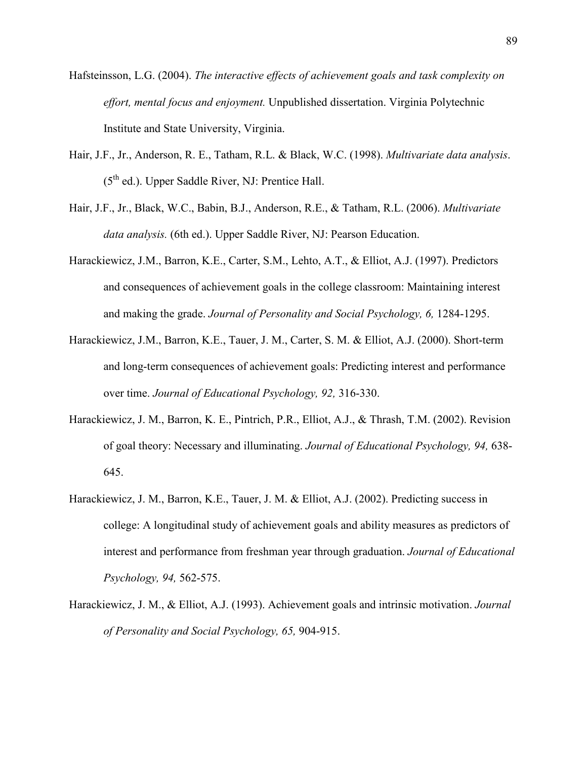- Hafsteinsson, L.G. (2004). *The interactive effects of achievement goals and task complexity on effort, mental focus and enjoyment.* Unpublished dissertation. Virginia Polytechnic Institute and State University, Virginia.
- Hair, J.F., Jr., Anderson, R. E., Tatham, R.L. & Black, W.C. (1998). *Multivariate data analysis*.  $(5<sup>th</sup>$  ed.). Upper Saddle River, NJ: Prentice Hall.
- Hair, J.F., Jr., Black, W.C., Babin, B.J., Anderson, R.E., & Tatham, R.L. (2006). *Multivariate data analysis.* (6th ed.). Upper Saddle River, NJ: Pearson Education.
- Harackiewicz, J.M., Barron, K.E., Carter, S.M., Lehto, A.T., & Elliot, A.J. (1997). Predictors and consequences of achievement goals in the college classroom: Maintaining interest and making the grade. *Journal of Personality and Social Psychology, 6,* 1284-1295.
- Harackiewicz, J.M., Barron, K.E., Tauer, J. M., Carter, S. M. & Elliot, A.J. (2000). Short-term and long-term consequences of achievement goals: Predicting interest and performance over time. *Journal of Educational Psychology, 92,* 316-330.
- Harackiewicz, J. M., Barron, K. E., Pintrich, P.R., Elliot, A.J., & Thrash, T.M. (2002). Revision of goal theory: Necessary and illuminating. *Journal of Educational Psychology, 94,* 638- 645.
- Harackiewicz, J. M., Barron, K.E., Tauer, J. M. & Elliot, A.J. (2002). Predicting success in college: A longitudinal study of achievement goals and ability measures as predictors of interest and performance from freshman year through graduation. *Journal of Educational Psychology, 94,* 562-575.
- Harackiewicz, J. M., & Elliot, A.J. (1993). Achievement goals and intrinsic motivation. *Journal of Personality and Social Psychology, 65,* 904-915.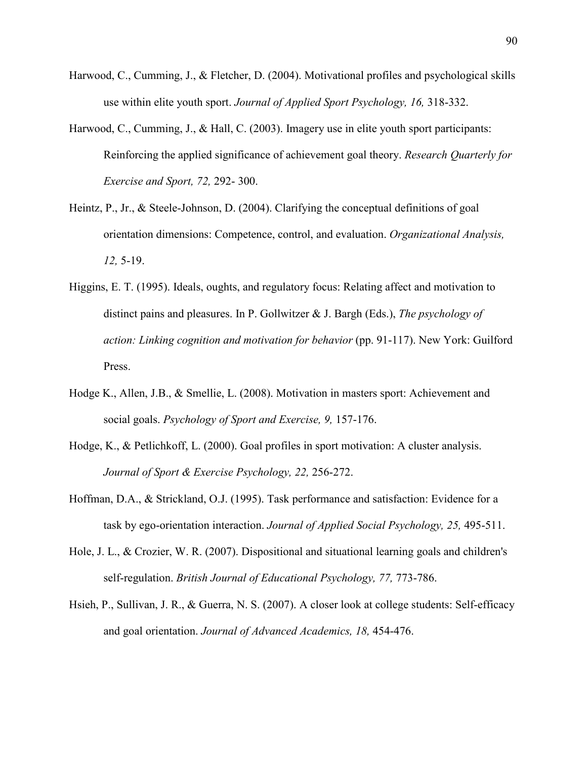- Harwood, C., Cumming, J., & Fletcher, D. (2004). Motivational profiles and psychological skills use within elite youth sport. *Journal of Applied Sport Psychology, 16,* 318-332.
- Harwood, C., Cumming, J., & Hall, C. (2003). Imagery use in elite youth sport participants: Reinforcing the applied significance of achievement goal theory. *Research Quarterly for Exercise and Sport, 72,* 292- 300.
- Heintz, P., Jr., & Steele-Johnson, D. (2004). Clarifying the conceptual definitions of goal orientation dimensions: Competence, control, and evaluation. *Organizational Analysis, 12,* 5-19.
- Higgins, E. T. (1995). Ideals, oughts, and regulatory focus: Relating affect and motivation to distinct pains and pleasures. In P. Gollwitzer & J. Bargh (Eds.), *The psychology of action: Linking cognition and motivation for behavior* (pp. 91-117). New York: Guilford Press.
- Hodge K., Allen, J.B., & Smellie, L. (2008). Motivation in masters sport: Achievement and social goals. *Psychology of Sport and Exercise, 9,* 157-176.
- Hodge, K., & Petlichkoff, L. (2000). Goal profiles in sport motivation: A cluster analysis. *Journal of Sport & Exercise Psychology, 22,* 256-272.
- Hoffman, D.A., & Strickland, O.J. (1995). Task performance and satisfaction: Evidence for a task by ego-orientation interaction. *Journal of Applied Social Psychology, 25,* 495-511.
- Hole, J. L., & Crozier, W. R. (2007). Dispositional and situational learning goals and children's self-regulation. *British Journal of Educational Psychology, 77,* 773-786.
- Hsieh, P., Sullivan, J. R., & Guerra, N. S. (2007). A closer look at college students: Self-efficacy and goal orientation. *Journal of Advanced Academics, 18,* 454-476.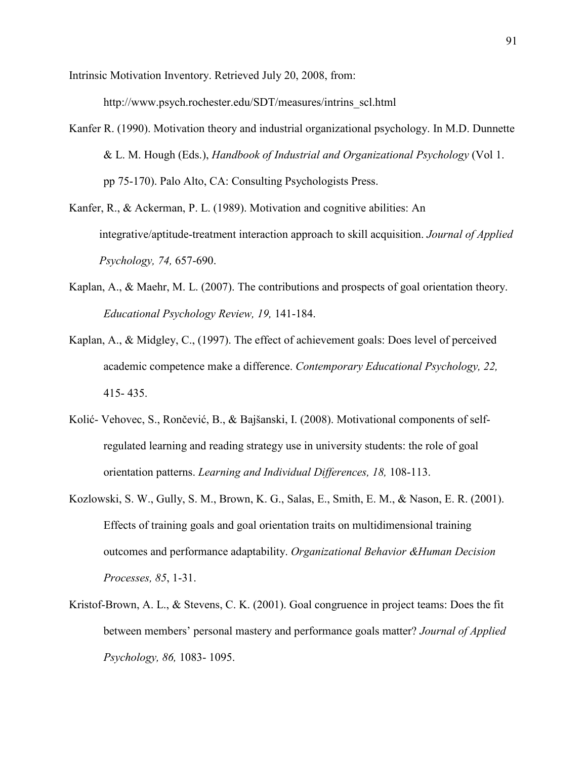Intrinsic Motivation Inventory. Retrieved July 20, 2008, from:

http://www.psych.rochester.edu/SDT/measures/intrins\_scl.html

Kanfer R. (1990). Motivation theory and industrial organizational psychology. In M.D. Dunnette & L. M. Hough (Eds.), *Handbook of Industrial and Organizational Psychology* (Vol 1. pp 75-170). Palo Alto, CA: Consulting Psychologists Press.

Kanfer, R., & Ackerman, P. L. (1989). Motivation and cognitive abilities: An integrative/aptitude-treatment interaction approach to skill acquisition. *Journal of Applied Psychology, 74,* 657-690.

- Kaplan, A., & Maehr, M. L. (2007). The contributions and prospects of goal orientation theory. *Educational Psychology Review, 19,* 141-184.
- Kaplan, A., & Midgley, C., (1997). The effect of achievement goals: Does level of perceived academic competence make a difference. *Contemporary Educational Psychology, 22,* 415- 435.
- Kolić- Vehovec, S., Rončević, B., & Bajšanski, I. (2008). Motivational components of selfregulated learning and reading strategy use in university students: the role of goal orientation patterns. *Learning and Individual Differences, 18,* 108-113.
- Kozlowski, S. W., Gully, S. M., Brown, K. G., Salas, E., Smith, E. M., & Nason, E. R. (2001). Effects of training goals and goal orientation traits on multidimensional training outcomes and performance adaptability. *Organizational Behavior &Human Decision Processes, 85*, 1-31.
- Kristof-Brown, A. L., & Stevens, C. K. (2001). Goal congruence in project teams: Does the fit between members' personal mastery and performance goals matter? *Journal of Applied Psychology, 86,* 1083- 1095.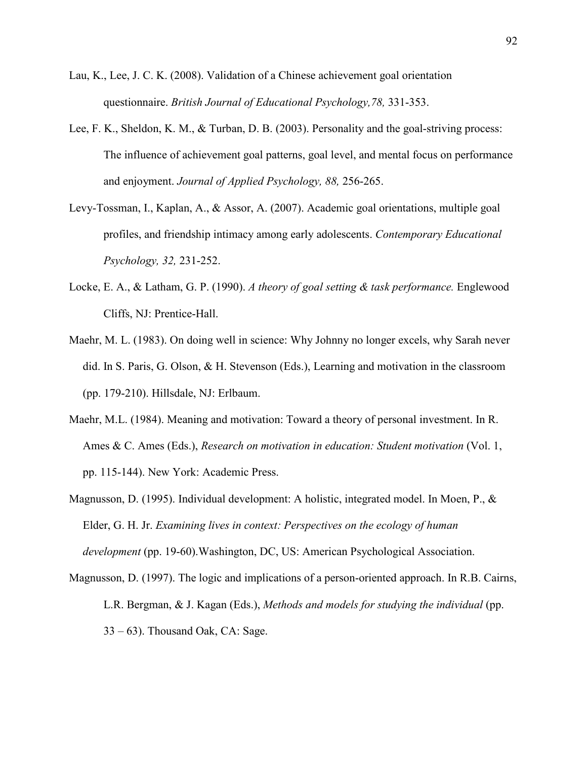- Lau, K., Lee, J. C. K. (2008). [Validation of a Chinese achievement goal orientation](http://web.ebscohost.com/ehost/viewarticle?data=dGJyMPPp44rp2%2fdV0%2bnjisfk5Ie46bRJtqqxTbOk63nn5Kx95uXxjL6qrUq2pbBIrq%2beUbirrlKxq55Zy5zyit%2fk8Xnh6ueH7N%2fiVbCmsFCzqbNOtaakhN%2fk5VXj5KR84LPui%2ffepIzf3btZzJzfhruorki2o69IsKyyRa6mtT7k5fCF3%2bq7fvPi6ozj7vIA&hid=9) [questionnaire](http://web.ebscohost.com/ehost/viewarticle?data=dGJyMPPp44rp2%2fdV0%2bnjisfk5Ie46bRJtqqxTbOk63nn5Kx95uXxjL6qrUq2pbBIrq%2beUbirrlKxq55Zy5zyit%2fk8Xnh6ueH7N%2fiVbCmsFCzqbNOtaakhN%2fk5VXj5KR84LPui%2ffepIzf3btZzJzfhruorki2o69IsKyyRa6mtT7k5fCF3%2bq7fvPi6ozj7vIA&hid=9). *British Journal of Educational Psychology,78,* 331-353.
- Lee, F. K., Sheldon, K. M., & Turban, D. B. (2003). Personality and the goal-striving process: The influence of achievement goal patterns, goal level, and mental focus on performance and enjoyment. *Journal of Applied Psychology, 88,* 256-265.
- Levy-Tossman, I., Kaplan, A., & Assor, A. (2007). Academic goal orientations, multiple goal profiles, and friendship intimacy among early adolescents. *Contemporary Educational Psychology, 32,* 231-252.
- Locke, E. A., & Latham, G. P. (1990). *A theory of goal setting & task performance.* Englewood Cliffs, NJ: Prentice-Hall.
- Maehr, M. L. (1983). On doing well in science: Why Johnny no longer excels, why Sarah never did. In S. Paris, G. Olson, & H. Stevenson (Eds.), Learning and motivation in the classroom (pp. 179-210). Hillsdale, NJ: Erlbaum.
- Maehr, M.L. (1984). Meaning and motivation: Toward a theory of personal investment. In R. Ames & C. Ames (Eds.), *Research on motivation in education: Student motivation* (Vol. 1, pp. 115-144). New York: Academic Press.
- Magnusson, D. (1995). Individual development: A holistic, integrated model. In Moen, P., & Elder, G. H. Jr. *Examining lives in context: Perspectives on the ecology of human development* (pp. 19-60).Washington, DC, US: American Psychological Association.
- Magnusson, D. (1997). The logic and implications of a person-oriented approach. In R.B. Cairns, L.R. Bergman, & J. Kagan (Eds.), *Methods and models for studying the individual* (pp. 33 – 63). Thousand Oak, CA: Sage.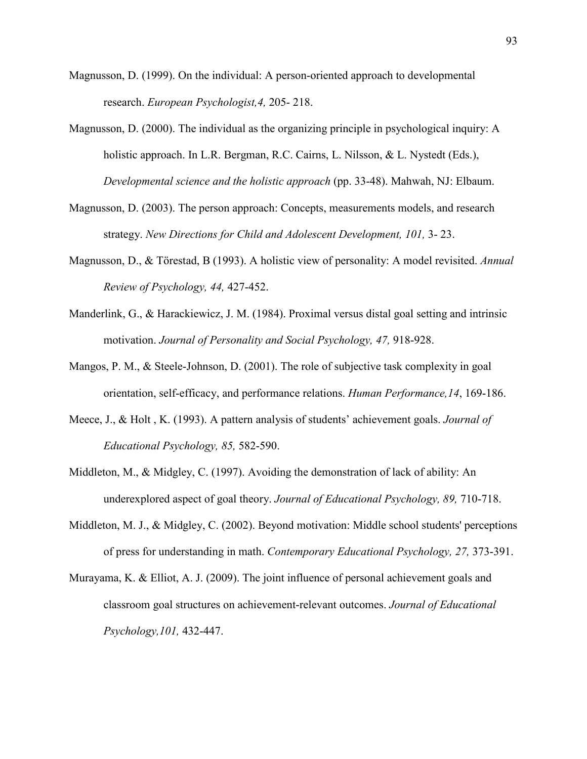- Magnusson, D. (1999). On the individual: A person-oriented approach to developmental research. *European Psychologist,4,* 205- 218.
- Magnusson, D. (2000). The individual as the organizing principle in psychological inquiry: A holistic approach. In L.R. Bergman, R.C. Cairns, L. Nilsson, & L. Nystedt (Eds.), *Developmental science and the holistic approach* (pp. 33-48). Mahwah, NJ: Elbaum.
- Magnusson, D. (2003). The person approach: Concepts, measurements models, and research strategy. *New Directions for Child and Adolescent Development, 101,* 3- 23.
- Magnusson, D., & Törestad, B (1993). A holistic view of personality: A model revisited. *Annual Review of Psychology, 44,* 427-452.
- Manderlink, G., & Harackiewicz, J. M. (1984). Proximal versus distal goal setting and intrinsic motivation. *Journal of Personality and Social Psychology, 47,* 918-928.
- Mangos, P. M., & Steele-Johnson, D. (2001). The role of subjective task complexity in goal orientation, self-efficacy, and performance relations. *Human Performance,14*, 169-186.
- Meece, J., & Holt , K. (1993). A pattern analysis of students' achievement goals. *Journal of Educational Psychology, 85,* 582-590.
- Middleton, M., & Midgley, C. (1997). Avoiding the demonstration of lack of ability: An underexplored aspect of goal theory. *Journal of Educational Psychology, 89,* 710-718.
- Middleton, M. J., & Midgley, C. (2002). Beyond motivation: Middle school students' perceptions of press for understanding in math. *Contemporary Educational Psychology, 27,* 373-391.
- Murayama, K. & Elliot, A. J. (2009). [The joint influence of personal achievement goals and](http://web.ebscohost.com/ehost/viewarticle?data=dGJyMPPp44rp2%2fdV0%2bnjisfk5Ie46bRJtqqxTbOk63nn5Kx95uXxjL6qrUq2pbBIrq%2beUbirrlKxq55Zy5zyit%2fk8Xnh6ueH7N%2fiVbCmsFCzqbNOtaakhN%2fk5VXj5KR84LPui%2ffepIzf3btZzJzfhruorki3o65MtKquRa6ntD7k5fCF3%2bq7fvPi6ozj7vIA&hid=9) [classroom goal structures on achievement-relevant outcomes](http://web.ebscohost.com/ehost/viewarticle?data=dGJyMPPp44rp2%2fdV0%2bnjisfk5Ie46bRJtqqxTbOk63nn5Kx95uXxjL6qrUq2pbBIrq%2beUbirrlKxq55Zy5zyit%2fk8Xnh6ueH7N%2fiVbCmsFCzqbNOtaakhN%2fk5VXj5KR84LPui%2ffepIzf3btZzJzfhruorki3o65MtKquRa6ntD7k5fCF3%2bq7fvPi6ozj7vIA&hid=9). *Journal of Educational Psychology,101,* 432-447.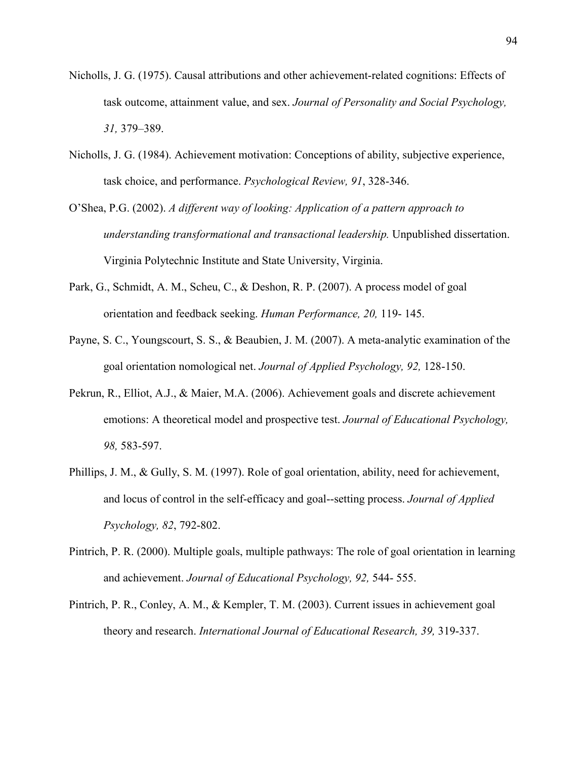- Nicholls, J. G. (1975). Causal attributions and other achievement-related cognitions: Effects of task outcome, attainment value, and sex. *Journal of Personality and Social Psychology, 31,* 379–389.
- Nicholls, J. G. (1984). Achievement motivation: Conceptions of ability, subjective experience, task choice, and performance. *Psychological Review, 91*, 328-346.
- O'Shea, P.G. (2002). *A different way of looking: Application of a pattern approach to understanding transformational and transactional leadership.* Unpublished dissertation. Virginia Polytechnic Institute and State University, Virginia.
- Park, G., Schmidt, A. M., Scheu, C., & Deshon, R. P. (2007). A process model of goal orientation and feedback seeking. *Human Performance, 20,* 119- 145.
- Payne, S. C., Youngscourt, S. S., & Beaubien, J. M. (2007). A meta-analytic examination of the goal orientation nomological net. *Journal of Applied Psychology, 92,* 128-150.
- Pekrun, R., Elliot, A.J., & Maier, M.A. (2006). Achievement goals and discrete achievement emotions: A theoretical model and prospective test. *Journal of Educational Psychology, 98,* 583-597.
- Phillips, J. M., & Gully, S. M. (1997). Role of goal orientation, ability, need for achievement, and locus of control in the self-efficacy and goal--setting process. *Journal of Applied Psychology, 82*, 792-802.
- Pintrich, P. R. (2000). Multiple goals, multiple pathways: The role of goal orientation in learning and achievement. *Journal of Educational Psychology, 92,* 544- 555.
- Pintrich, P. R., Conley, A. M., & Kempler, T. M. (2003). Current issues in achievement goal theory and research. *International Journal of Educational Research, 39,* 319-337.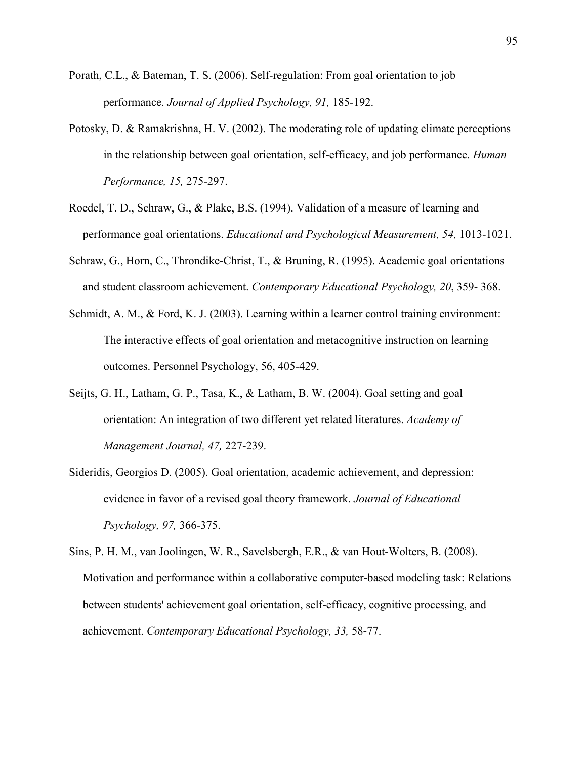- Porath, C.L., & Bateman, T. S. (2006). Self-regulation: From goal orientation to job performance. *Journal of Applied Psychology, 91,* 185-192.
- Potosky, D. & Ramakrishna, H. V. (2002). The moderating role of updating climate perceptions in the relationship between goal orientation, self-efficacy, and job performance. *Human Performance, 15,* 275-297.
- Roedel, T. D., Schraw, G., & Plake, B.S. (1994). Validation of a measure of learning and performance goal orientations. *Educational and Psychological Measurement, 54,* 1013-1021.
- Schraw, G., Horn, C., Throndike-Christ, T., & Bruning, R. (1995). Academic goal orientations and student classroom achievement. *Contemporary Educational Psychology, 20*, 359- 368.
- Schmidt, A. M., & Ford, K. J. (2003). Learning within a learner control training environment: The interactive effects of goal orientation and metacognitive instruction on learning outcomes. Personnel Psychology, 56, 405-429.
- Seijts, G. H., Latham, G. P., Tasa, K., & Latham, B. W. (2004). Goal setting and goal orientation: An integration of two different yet related literatures. *Academy of Management Journal, 47,* 227-239.
- Sideridis, Georgios D. (2005). Goal orientation, academic achievement, and depression: evidence in favor of a revised goal theory framework. *Journal of Educational Psychology, 97,* 366-375.
- Sins, P. H. M., van Joolingen, W. R., Savelsbergh, E.R., & van Hout-Wolters, B. (2008). Motivation and performance within a collaborative computer-based modeling task: Relations between students' achievement goal orientation, self-efficacy, cognitive processing, and achievement. *Contemporary Educational Psychology, 33,* 58-77.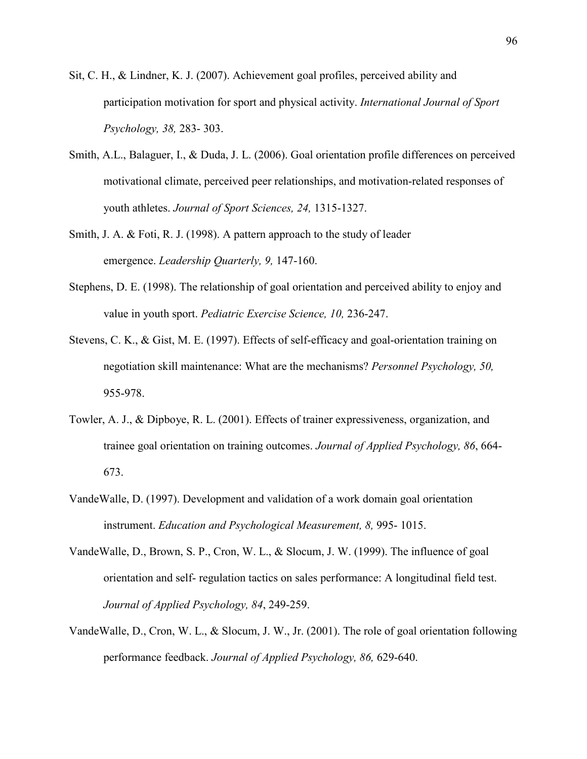- Sit, C. H., & Lindner, K. J. (2007). Achievement goal profiles, perceived ability and participation motivation for sport and physical activity. *International Journal of Sport Psychology, 38,* 283- 303.
- Smith, A.L., Balaguer, I., & Duda, J. L. (2006). Goal orientation profile differences on perceived motivational climate, perceived peer relationships, and motivation-related responses of youth athletes. *Journal of Sport Sciences, 24,* 1315-1327.
- Smith, J. A. & Foti, R. J. (1998). A pattern approach to the study of leader emergence. *Leadership Quarterly, 9,* 147-160.
- Stephens, D. E. (1998). The relationship of goal orientation and perceived ability to enjoy and value in youth sport. *Pediatric Exercise Science, 10,* 236-247.
- Stevens, C. K., & Gist, M. E. (1997). Effects of self-efficacy and goal-orientation training on negotiation skill maintenance: What are the mechanisms? *Personnel Psychology, 50,* 955-978.
- Towler, A. J., & Dipboye, R. L. (2001). Effects of trainer expressiveness, organization, and trainee goal orientation on training outcomes. *Journal of Applied Psychology, 86*, 664- 673.
- VandeWalle, D. (1997). Development and validation of a work domain goal orientation instrument. *Education and Psychological Measurement, 8,* 995- 1015.
- VandeWalle, D., Brown, S. P., Cron, W. L., & Slocum, J. W. (1999). The influence of goal orientation and self- regulation tactics on sales performance: A longitudinal field test. *Journal of Applied Psychology, 84*, 249-259.
- VandeWalle, D., Cron, W. L., & Slocum, J. W., Jr. (2001). The role of goal orientation following performance feedback. *Journal of Applied Psychology, 86,* 629-640.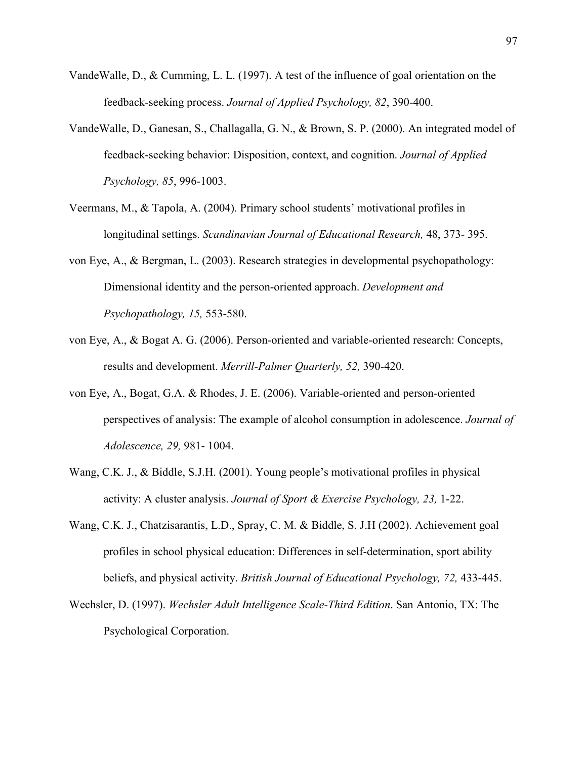- VandeWalle, D., & Cumming, L. L. (1997). A test of the influence of goal orientation on the feedback-seeking process. *Journal of Applied Psychology, 82*, 390-400.
- VandeWalle, D., Ganesan, S., Challagalla, G. N., & Brown, S. P. (2000). An integrated model of feedback-seeking behavior: Disposition, context, and cognition. *Journal of Applied Psychology, 85*, 996-1003.
- Veermans, M., & Tapola, A. (2004). Primary school students' motivational profiles in longitudinal settings. *Scandinavian Journal of Educational Research,* 48, 373- 395.
- von Eye, A., & Bergman, L. (2003). Research strategies in developmental psychopathology: Dimensional identity and the person-oriented approach. *Development and Psychopathology, 15,* 553-580.
- von Eye, A., & Bogat A. G. (2006). Person-oriented and variable-oriented research: Concepts, results and development. *Merrill-Palmer Quarterly, 52,* 390-420.
- von Eye, A., Bogat, G.A. & Rhodes, J. E. (2006). Variable-oriented and person-oriented perspectives of analysis: The example of alcohol consumption in adolescence. *Journal of Adolescence, 29,* 981- 1004.
- Wang, C.K. J., & Biddle, S.J.H. (2001). Young people's motivational profiles in physical activity: A cluster analysis. *Journal of Sport & Exercise Psychology, 23,* 1-22.
- Wang, C.K. J., Chatzisarantis, L.D., Spray, C. M. & Biddle, S. J.H (2002). Achievement goal profiles in school physical education: Differences in self-determination, sport ability beliefs, and physical activity. *British Journal of Educational Psychology, 72,* 433-445.
- Wechsler, D. (1997). *Wechsler Adult Intelligence Scale-Third Edition*. San Antonio, TX: The Psychological Corporation.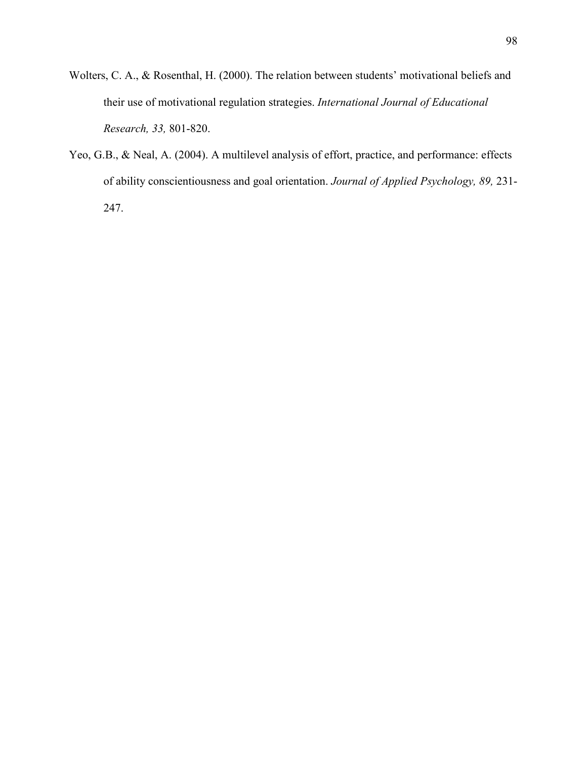- Wolters, C. A., & Rosenthal, H. (2000). The relation between students' motivational beliefs and their use of motivational regulation strategies. *International Journal of Educational Research, 33,* 801-820.
- Yeo, G.B., & Neal, A. (2004). A multilevel analysis of effort, practice, and performance: effects of ability conscientiousness and goal orientation. *Journal of Applied Psychology, 89,* 231- 247.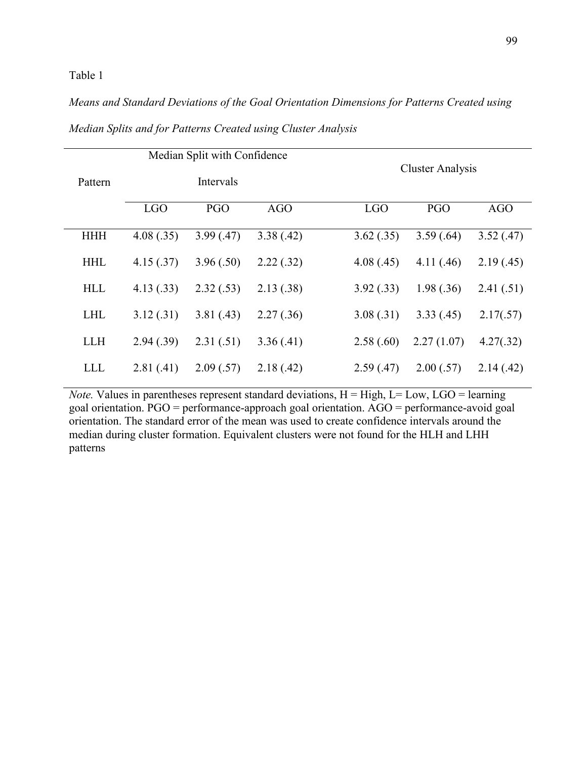### Table 1

# *Means and Standard Deviations of the Goal Orientation Dimensions for Patterns Created using*

|            |            | Median Split with Confidence |            |            |                         |            |  |  |
|------------|------------|------------------------------|------------|------------|-------------------------|------------|--|--|
| Pattern    |            | Intervals                    |            |            | <b>Cluster Analysis</b> |            |  |  |
|            | <b>LGO</b> | PGO                          | <b>AGO</b> | <b>LGO</b> | <b>PGO</b>              | <b>AGO</b> |  |  |
| <b>HHH</b> | 4.08(.35)  | 3.99(0.47)                   | 3.38(.42)  | 3.62(.35)  | 3.59(.64)               | 3.52(.47)  |  |  |
| <b>HHL</b> | 4.15(.37)  | 3.96(.50)                    | 2.22(.32)  | 4.08(.45)  | 4.11(.46)               | 2.19(.45)  |  |  |
| <b>HLL</b> | 4.13(.33)  | 2.32(.53)                    | 2.13(.38)  | 3.92(.33)  | 1.98(.36)               | 2.41(.51)  |  |  |
| <b>LHL</b> | 3.12(.31)  | 3.81(0.43)                   | 2.27(.36)  | 3.08(.31)  | 3.33(.45)               | 2.17(.57)  |  |  |
| <b>LLH</b> | 2.94(.39)  | 2.31(.51)                    | 3.36(.41)  | 2.58(.60)  | 2.27(1.07)              | 4.27(.32)  |  |  |
| <b>LLL</b> | 2.81(.41)  | 2.09(.57)                    | 2.18(.42)  | 2.59(.47)  | 2.00(.57)               | 2.14(0.42) |  |  |

## *Median Splits and for Patterns Created using Cluster Analysis*

*Note.* Values in parentheses represent standard deviations,  $H = High$ ,  $L = Low$ ,  $LGO = learning$ goal orientation. PGO = performance-approach goal orientation. AGO = performance-avoid goal orientation. The standard error of the mean was used to create confidence intervals around the median during cluster formation. Equivalent clusters were not found for the HLH and LHH patterns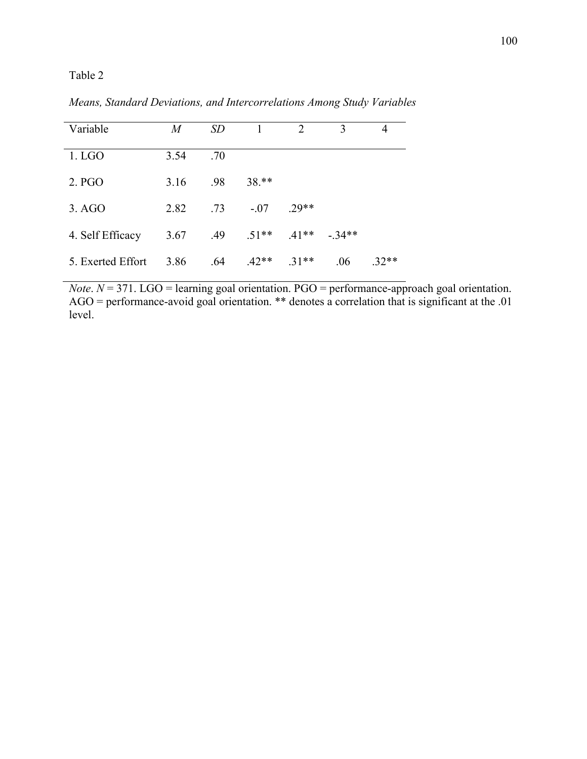Table 2

| Variable          | M    | <i>SD</i> |         | $\mathfrak{D}_{1}^{(1)}$ | 3       | 4       |
|-------------------|------|-----------|---------|--------------------------|---------|---------|
| $1.$ LGO          | 3.54 | .70       |         |                          |         |         |
| 2. PGO            | 3.16 | .98       | 38.**   |                          |         |         |
| 3. AGO            | 2.82 | .73       | $-.07$  | $.29**$                  |         |         |
| 4. Self Efficacy  | 3.67 | .49       | $.51**$ | $.41**$                  | $-34**$ |         |
| 5. Exerted Effort | 3.86 | .64       | $.42**$ | $.31**$                  | .06     | $.32**$ |

*Means, Standard Deviations, and Intercorrelations Among Study Variables*

*Note*. *N* = 371. LGO = learning goal orientation. PGO = performance-approach goal orientation. AGO = performance-avoid goal orientation. \*\* denotes a correlation that is significant at the .01 level.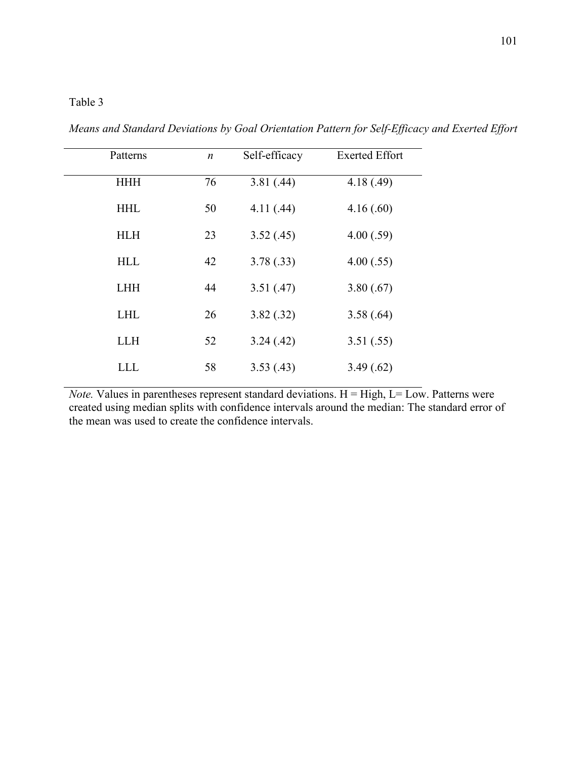## Table 3

| Patterns   | $\boldsymbol{n}$ | Self-efficacy | <b>Exerted Effort</b> |
|------------|------------------|---------------|-----------------------|
| <b>HHH</b> | 76               | 3.81(.44)     | 4.18(0.49)            |
| <b>HHL</b> | 50               | 4.11(0.44)    | 4.16(.60)             |
| <b>HLH</b> | 23               | 3.52(.45)     | 4.00(.59)             |
| <b>HLL</b> | 42               | 3.78(.33)     | 4.00(.55)             |
| <b>LHH</b> | 44               | 3.51(.47)     | 3.80(.67)             |
| <b>LHL</b> | 26               | 3.82(.32)     | 3.58(.64)             |
| <b>LLH</b> | 52               | 3.24(0.42)    | 3.51(.55)             |
| <b>LLL</b> | 58               | 3.53(0.43)    | 3.49(.62)             |

*Means and Standard Deviations by Goal Orientation Pattern for Self-Efficacy and Exerted Effort* 

*Note.* Values in parentheses represent standard deviations.  $H = High$ ,  $L = Low$ . Patterns were created using median splits with confidence intervals around the median: The standard error of the mean was used to create the confidence intervals.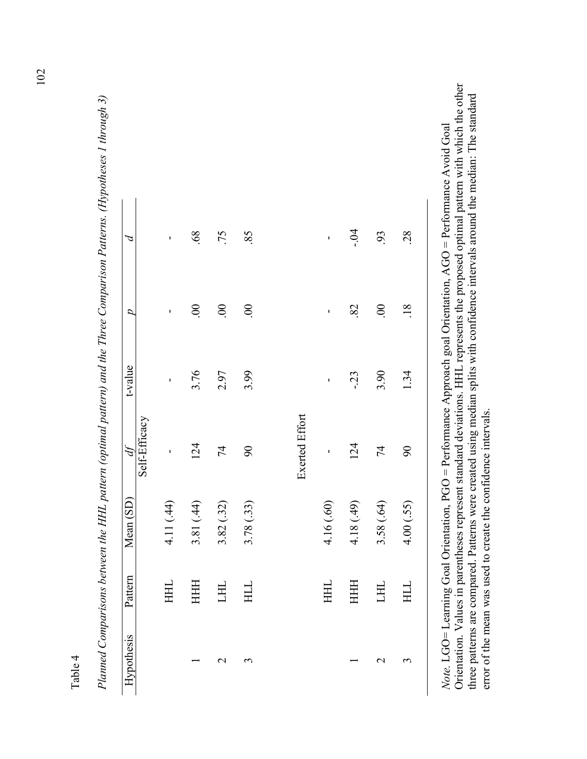| ۳           |
|-------------|
| 1<br>ì      |
| ∼<br>٦<br>г |
|             |

|                |         | Planned Comparisons between the HHL pattern (optimal pattern) and the Three Comparison Patterns. (Hypotheses 1 throu |                         |                |                |                |  |
|----------------|---------|----------------------------------------------------------------------------------------------------------------------|-------------------------|----------------|----------------|----------------|--|
| Hypothesis     | Pattern | Mean (SD)                                                                                                            | $\mathcal{A}$           | t-value        | D              | Þ              |  |
|                |         |                                                                                                                      | Self-Efficacy           |                |                |                |  |
|                | HHL     | 4.11 (.44)                                                                                                           | $\blacksquare$          | $\blacksquare$ | ı              | $\blacksquare$ |  |
|                | HHH     | 3.81 (.44)                                                                                                           | 124                     | 3.76           | $\odot$        | .68            |  |
| $\mathbf 2$    | HП      | 3.82(.32)                                                                                                            | 74                      | 2.97           | $\overline{0}$ | .75            |  |
| $\mathfrak{c}$ | HЦ      | 3.78 (.33)                                                                                                           | $\mathcal{S}^{\bullet}$ | 3.99           | $\overline{0}$ | 85             |  |
|                |         |                                                                                                                      |                         |                |                |                |  |
|                |         |                                                                                                                      | <b>Exerted Effort</b>   |                |                |                |  |
|                | HHL     | 4.16 (.60)                                                                                                           | J.                      | I.             | ı              | ı              |  |
|                | HHH     | 4.18 (.49)                                                                                                           | 124                     | $-23$          | 82             | $-0.4$         |  |
| $\mathbf 2$    | HЦ      | 3.58 (.64)                                                                                                           | 74                      | 3.90           | $\odot$        | 93             |  |
| $\epsilon$     | HLL     | 4.00(.55)                                                                                                            | $\mathcal{S}^{\bullet}$ | 1.34           | .18            | 28             |  |

 $gh3)$ *Planned Comparisons between the HHL pattern (optimal pattern) and the Three Comparison Patterns. (Hypotheses 1 through 3)*   $\overline{1}$  $\frac{1}{2}$  $\zeta$  $\ddot{F}$  $\tilde{z}$  $P'_{\mathcal{U}}$ 

Orientation. Values in parentheses represent standard deviations. HHL represents the proposed optimal pattern with which the other Orientation. Values in parentheses represent standard deviations. HHL represents the proposed optimal pattern with which the other three patterns are compared. Patterns were created using median splits with confidence intervals around the median: The standard three patterns are compared. Patterns were created using median splits with confidence intervals around the median: The standard *Note.* LGO= Learning Goal Orientation, PGO = Performance Approach goal Orientation, AGO = Performance Avoid Goal Note. LGO= Learning Goal Orientation, PGO = Performance Approach goal Orientation, AGO = Performance Avoid Goal error of the mean was used to create the confidence intervals. error of the mean was used to create the confidence intervals.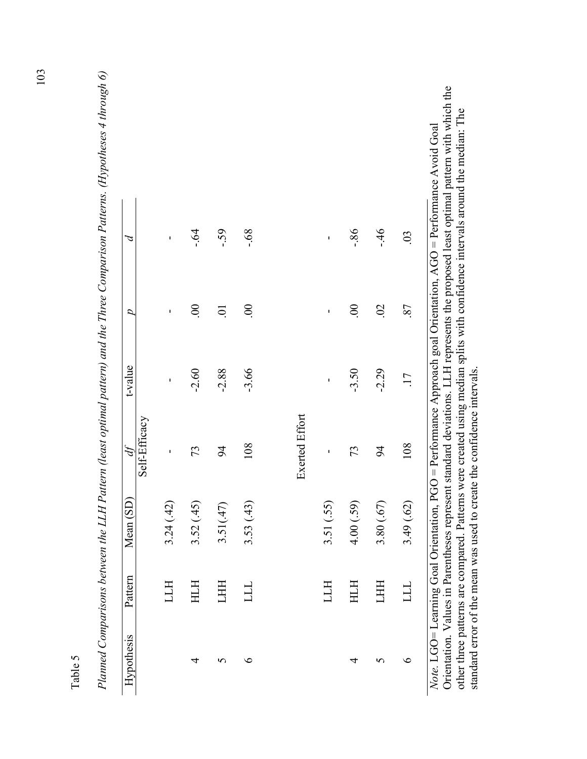| ı,      |  |
|---------|--|
| O       |  |
| ٣<br>Ĵ. |  |
| r<br>۴  |  |

| Planned Comparisons between the LLH Pattern (least optimal pattern) and the Three Comparison Patterns. (Hypotheses 4 throi | $\mathcal{A}$ |               | J.       | $-64$    | $-59$            | $89 -$         |                       | I,         | $-86$          | $-46$          | 03              |
|----------------------------------------------------------------------------------------------------------------------------|---------------|---------------|----------|----------|------------------|----------------|-----------------------|------------|----------------|----------------|-----------------|
|                                                                                                                            | D             |               | ı        | $\circ$  | $\sum_{i=1}^{n}$ | $\overline{0}$ |                       | ı          | $\overline{0}$ | $\overline{0}$ | 87              |
|                                                                                                                            | t-value       |               | J.       | $-2.60$  | $-2.88$          | $-3.66$        |                       | ı          | $-3.50$        | $-2.29$        | $\overline{17}$ |
|                                                                                                                            | df            | Self-Efficacy | J,       | 73       | $\overline{6}$   | 108            | <b>Exerted Effort</b> | I,         | 73             | 94             | 108             |
|                                                                                                                            | Mean (SD)     |               | 3.24(42) | 3.52(45) | 3.51(47)         | 3.53(43)       |                       | 3.51 (.55) | 4.00(.59)      | 3.80(.67)      | 3.49(.62)       |
|                                                                                                                            | Pattern       |               | LLН      | HTH      | <b>THH</b>       | TTT            |                       | LLН        | HTH            | LHH            | ТП              |
|                                                                                                                            | Hypothesis    |               |          | 4        | S                | $\circ$        |                       |            | 4              | S              | $\circ$         |

 $\log p$ 0) *Planned Comparisons between the LLH Pattern (least optimal pattern) and the Three Comparison Patterns. (Hypotheses 4 through 6)*   $\overline{P}$ 

Orientation. Values in Parentheses represent standard deviations. LLH represents the proposed least optimal pattern with which the Orientation. Values in Parentheses represent standard deviations. LLH represents the proposed least optimal pattern with which the other three patterns are compared. Patterns were created using median splits with confidence intervals around the median: The other three patterns are compared. Patterns were created using median splits with confidence intervals around the median: The *Note.* LGO= Learning Goal Orientation, PGO = Performance Approach goal Orientation, AGO = Performance Avoid Goal Note. LGO= Learning Goal Orientation, PGO = Performance Approach goal Orientation, AGO = Performance Avoid Goal standard error of the mean was used to create the confidence intervals. standard error of the mean was used to create the confidence intervals.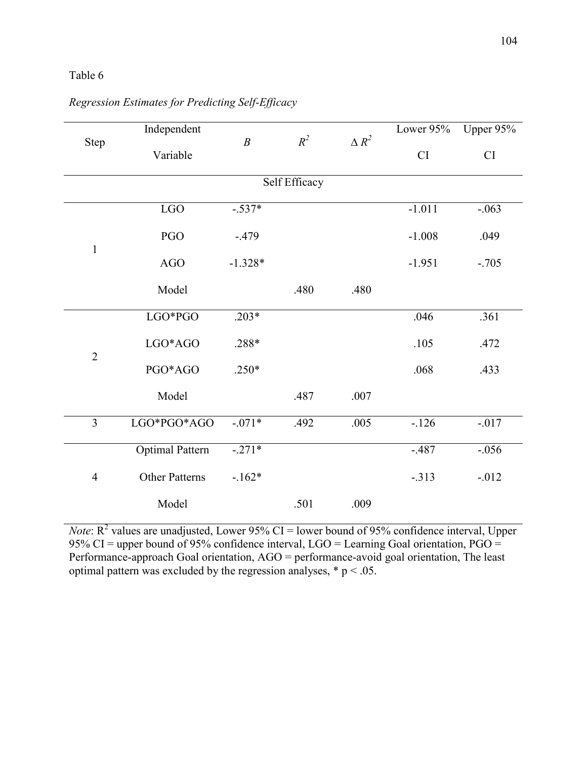### Table 6

|                | Independent            |                  |               |              | Lower 95% | Upper 95% |
|----------------|------------------------|------------------|---------------|--------------|-----------|-----------|
| Step           | Variable               | $\boldsymbol{B}$ | $R^2$         | $\Delta R^2$ | CI        | CI        |
|                |                        |                  | Self Efficacy |              |           |           |
|                | LGO                    | $-.537*$         |               |              | $-1.011$  | $-.063$   |
|                | PGO                    | $-.479$          |               |              | $-1.008$  | .049      |
| $\mathbf{1}$   | <b>AGO</b>             | $-1.328*$        |               |              | $-1.951$  | $-.705$   |
|                | Model                  |                  | .480          | .480         |           |           |
|                | LGO*PGO                | $.203*$          |               |              | .046      | .361      |
|                | LGO*AGO                | .288*            |               |              | .105      | .472      |
| $\overline{2}$ | PGO*AGO                | $.250*$          |               |              | .068      | .433      |
|                | Model                  |                  | .487          | .007         |           |           |
| $\overline{3}$ | LGO*PGO*AGO            | $-.071*$         | .492          | .005         | $-126$    | $-017$    |
|                | <b>Optimal Pattern</b> | $-.271*$         |               |              | $-.487$   | $-.056$   |
| $\overline{4}$ | Other Patterns         | $-162*$          |               |              | $-.313$   | $-0.012$  |
|                | Model                  |                  | .501          | .009         |           |           |

*Regression Estimates for Predicting Self-Efficacy* 

*Note*:  $R^2$  values are unadjusted, Lower 95% CI = lower bound of 95% confidence interval, Upper 95% CI = upper bound of 95% confidence interval, LGO = Learning Goal orientation,  $PGO =$ Performance-approach Goal orientation, AGO = performance-avoid goal orientation, The least optimal pattern was excluded by the regression analyses,  $* p < .05$ .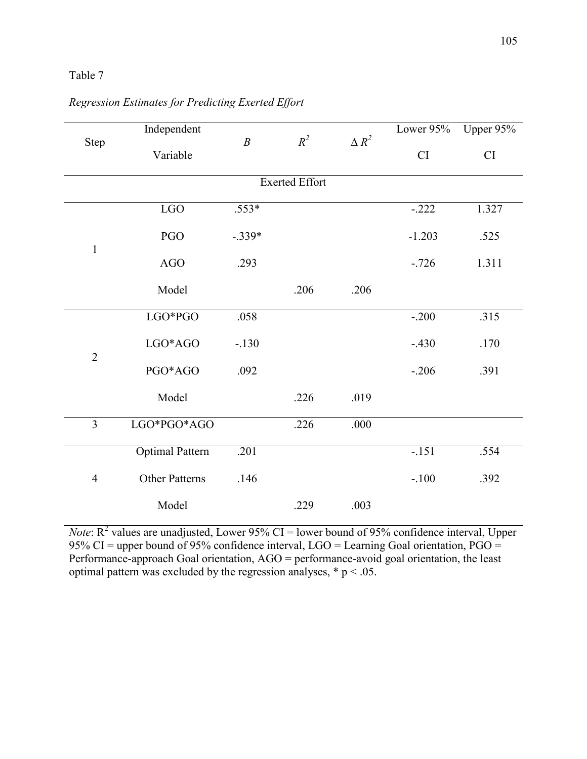### Table 7

|                | Independent            |                  |                       |              | Lower 95% | Upper 95% |
|----------------|------------------------|------------------|-----------------------|--------------|-----------|-----------|
| Step           | Variable               | $\boldsymbol{B}$ | $R^2$                 | $\Delta R^2$ | CI        | CI        |
|                |                        |                  | <b>Exerted Effort</b> |              |           |           |
|                | LGO                    | $.553*$          |                       |              | $-.222$   | 1.327     |
| $\mathbf{1}$   | PGO                    | $-.339*$         |                       |              | $-1.203$  | .525      |
|                | <b>AGO</b>             | .293             |                       |              | $-726$    | 1.311     |
|                | Model                  |                  | .206                  | .206         |           |           |
|                | LGO*PGO                | .058             |                       |              | $-.200$   | .315      |
|                | LGO*AGO                | $-.130$          |                       |              | $-.430$   | .170      |
| $\overline{2}$ | PGO*AGO                | .092             |                       |              | $-.206$   | .391      |
|                | Model                  |                  | .226                  | .019         |           |           |
| $\overline{3}$ | LGO*PGO*AGO            |                  | .226                  | .000         |           |           |
|                | <b>Optimal Pattern</b> | .201             |                       |              | $-.151$   | .554      |
| $\overline{4}$ | <b>Other Patterns</b>  | .146             |                       |              | $-.100$   | .392      |
|                | Model                  |                  | .229                  | .003         |           |           |

# *Regression Estimates for Predicting Exerted Effort*

*Note*:  $R^2$  values are unadjusted, Lower 95% CI = lower bound of 95% confidence interval, Upper 95% CI = upper bound of 95% confidence interval, LGO = Learning Goal orientation,  $PGO =$ Performance-approach Goal orientation, AGO = performance-avoid goal orientation, the least optimal pattern was excluded by the regression analyses,  $* p < .05$ .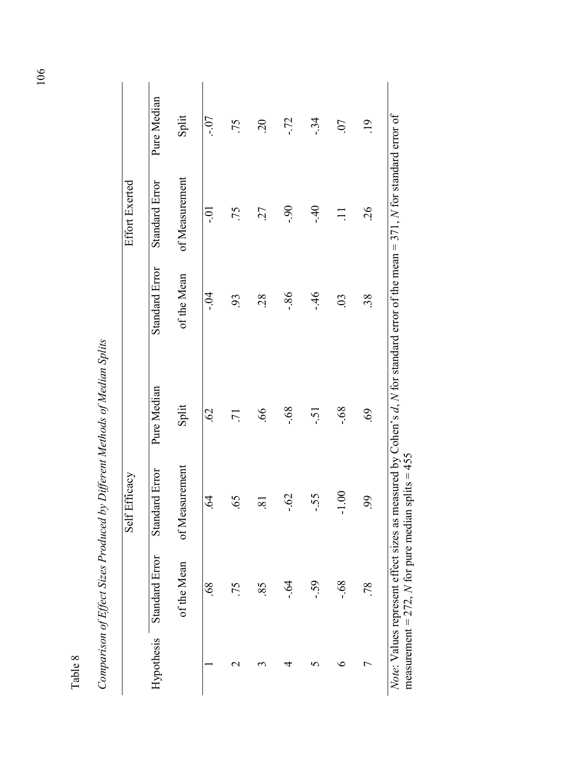|                  |                | Comparison of Effect Sizes Produced by Different Methods of Median Splits |                           |                                                                                                                                         |                       |                  |
|------------------|----------------|---------------------------------------------------------------------------|---------------------------|-----------------------------------------------------------------------------------------------------------------------------------------|-----------------------|------------------|
|                  |                | Self Efficacy                                                             |                           |                                                                                                                                         | <b>Effort Exerted</b> |                  |
| Hypothesis       | Standard Error | Standard Error                                                            | Pure Median               | <b>Standard Error</b>                                                                                                                   | Standard Error        | Pure Median      |
|                  | of the Mean    | of Measurement                                                            | Split                     | of the Mean                                                                                                                             | of Measurement        | Split            |
|                  | .68            | Ā<br>ڢ                                                                    | $\widetilde{\mathcal{O}}$ | $-0.4$                                                                                                                                  | io-                   | $-0.7$           |
| $\mathrel{\sim}$ | .75            | 5<br>ڢ                                                                    | $\overline{2}$            | 93                                                                                                                                      | .75                   | .75              |
| S                | 85             | $\infty$                                                                  | $\overline{99}$           | 28                                                                                                                                      | 27                    | $\overline{c}$   |
|                  | $-64$          | $-0.62$                                                                   | $89 -$                    | $-86$                                                                                                                                   | $-90$                 | $-72$            |
| S                | $-59$          | $-55$                                                                     | $-5.1$                    | $-46$                                                                                                                                   | $-40$                 | $-34$            |
| ७                | $89 -$         | $\frac{1}{2}$<br>ᅮ                                                        | $.68$ .                   | $\overline{0}$                                                                                                                          |                       | 07               |
| ᡕ                | .78            | 99                                                                        | 69.                       | 38.                                                                                                                                     | 26                    | $\overline{.}19$ |
|                  |                | measurement = 272, N for pure median splits = 455                         |                           | <i>Note:</i> Values represent effect sizes as measured by Cohen's $d$ , N for standard error of the mean = 371, N for standard error of |                       |                  |

| $2 + 7 = 2 + 7 = 2 + 7$<br>4<br>Ì                              |
|----------------------------------------------------------------|
|                                                                |
|                                                                |
| いっこう<br>š.<br>- 37                                             |
| i<br>ļ                                                         |
| ļ                                                              |
| うろくどし こうりょく ナウクキューナウ そうろうこう<br>$\sim$ $\sim$<br>š<br>$\vec{1}$ |
| i<br>l<br>ζ                                                    |

Table 8

106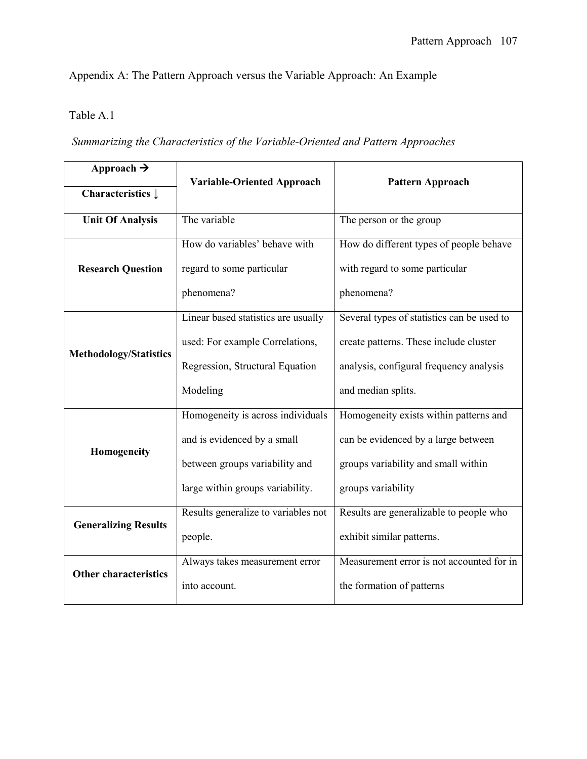Appendix A: The Pattern Approach versus the Variable Approach: An Example

# Table A.1

# *Summarizing the Characteristics of the Variable-Oriented and Pattern Approaches*

| Approach $\rightarrow$        | <b>Variable-Oriented Approach</b>   | <b>Pattern Approach</b>                    |  |
|-------------------------------|-------------------------------------|--------------------------------------------|--|
| Characteristics $\downarrow$  |                                     |                                            |  |
| <b>Unit Of Analysis</b>       | The variable                        | The person or the group                    |  |
|                               | How do variables' behave with       | How do different types of people behave    |  |
| <b>Research Question</b>      | regard to some particular           | with regard to some particular             |  |
|                               | phenomena?                          | phenomena?                                 |  |
|                               | Linear based statistics are usually | Several types of statistics can be used to |  |
|                               | used: For example Correlations,     | create patterns. These include cluster     |  |
| <b>Methodology/Statistics</b> | Regression, Structural Equation     | analysis, configural frequency analysis    |  |
|                               | Modeling                            | and median splits.                         |  |
|                               | Homogeneity is across individuals   | Homogeneity exists within patterns and     |  |
| Homogeneity                   | and is evidenced by a small         | can be evidenced by a large between        |  |
|                               | between groups variability and      | groups variability and small within        |  |
|                               | large within groups variability.    | groups variability                         |  |
|                               | Results generalize to variables not | Results are generalizable to people who    |  |
| <b>Generalizing Results</b>   | people.                             | exhibit similar patterns.                  |  |
|                               | Always takes measurement error      | Measurement error is not accounted for in  |  |
| <b>Other characteristics</b>  | into account.                       | the formation of patterns                  |  |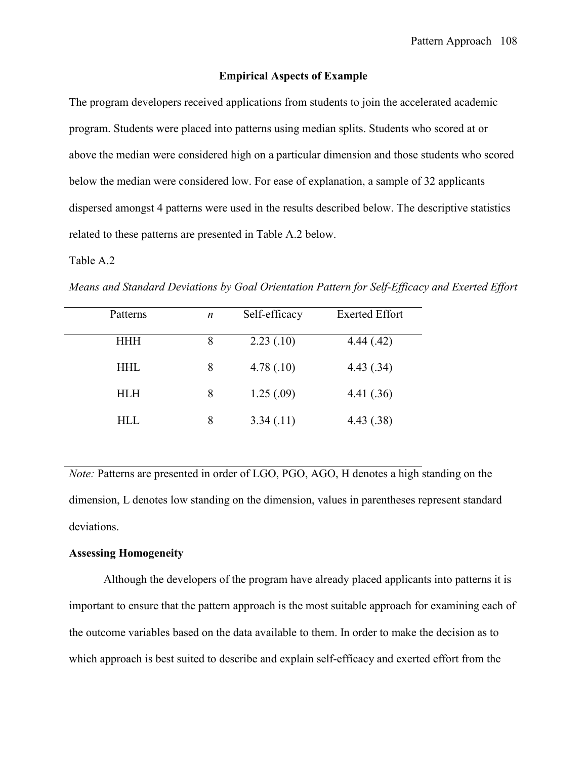#### **Empirical Aspects of Example**

The program developers received applications from students to join the accelerated academic program. Students were placed into patterns using median splits. Students who scored at or above the median were considered high on a particular dimension and those students who scored below the median were considered low. For ease of explanation, a sample of 32 applicants dispersed amongst 4 patterns were used in the results described below. The descriptive statistics related to these patterns are presented in Table A.2 below.

#### Table A.2

*Means and Standard Deviations by Goal Orientation Pattern for Self-Efficacy and Exerted Effort* 

| Patterns   | $\boldsymbol{n}$ | Self-efficacy | <b>Exerted Effort</b> |
|------------|------------------|---------------|-----------------------|
| HHH        | 8                | 2.23(0.10)    | 4.44(.42)             |
| <b>HHL</b> | 8                | 4.78(.10)     | 4.43(.34)             |
| <b>HLH</b> | 8                | 1.25(.09)     | 4.41(.36)             |
| HLL        | 8                | 3.34(0.11)    | 4.43(.38)             |

*Note:* Patterns are presented in order of LGO, PGO, AGO, H denotes a high standing on the dimension, L denotes low standing on the dimension, values in parentheses represent standard deviations.

### **Assessing Homogeneity**

Although the developers of the program have already placed applicants into patterns it is important to ensure that the pattern approach is the most suitable approach for examining each of the outcome variables based on the data available to them. In order to make the decision as to which approach is best suited to describe and explain self-efficacy and exerted effort from the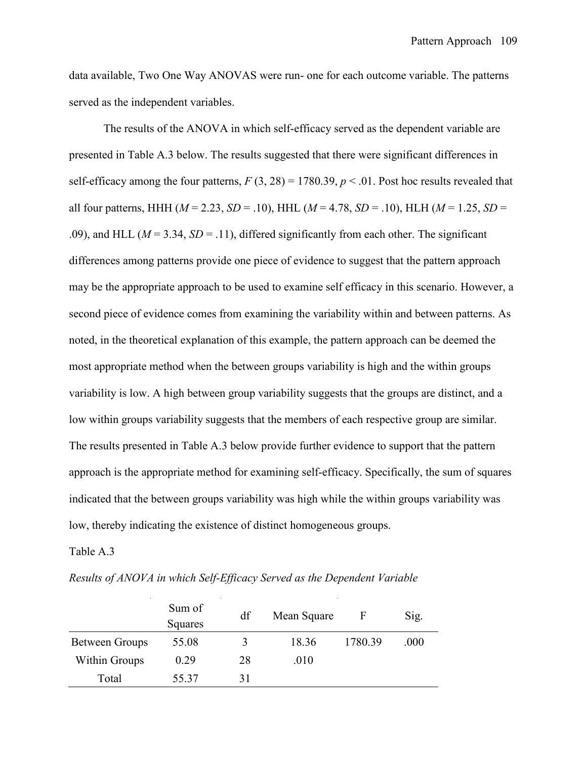data available, Two One Way ANOVAS were run- one for each outcome variable. The patterns served as the independent variables.

 The results of the ANOVA in which self-efficacy served as the dependent variable are presented in Table A.3 below. The results suggested that there were significant differences in self-efficacy among the four patterns,  $F(3, 28) = 1780.39$ ,  $p < .01$ . Post hoc results revealed that all four patterns, HHH (*M* = 2.23, *SD* = .10), HHL (*M* = 4.78, *SD* = .10), HLH (*M* = 1.25, *SD* = .09), and HLL ( $M = 3.34$ ,  $SD = .11$ ), differed significantly from each other. The significant differences among patterns provide one piece of evidence to suggest that the pattern approach may be the appropriate approach to be used to examine self efficacy in this scenario. However, a second piece of evidence comes from examining the variability within and between patterns. As noted, in the theoretical explanation of this example, the pattern approach can be deemed the most appropriate method when the between groups variability is high and the within groups variability is low. A high between group variability suggests that the groups are distinct, and a low within groups variability suggests that the members of each respective group are similar. The results presented in Table A.3 below provide further evidence to support that the pattern approach is the appropriate method for examining self-efficacy. Specifically, the sum of squares indicated that the between groups variability was high while the within groups variability was low, thereby indicating the existence of distinct homogeneous groups.

Table A.3

| Results of ANOVA in which Self-Efficacy Served as the Dependent Variable |  |  |  |
|--------------------------------------------------------------------------|--|--|--|
|                                                                          |  |  |  |

|                       | Sum of<br>Squares | df | Mean Square | $\mathbf{F}$ | Sig. |
|-----------------------|-------------------|----|-------------|--------------|------|
| <b>Between Groups</b> | 55.08             | 3  | 18.36       | 1780.39      | .000 |
| <b>Within Groups</b>  | 0.29              | 28 | .010        |              |      |
| Total                 | 55.37             | 31 |             |              |      |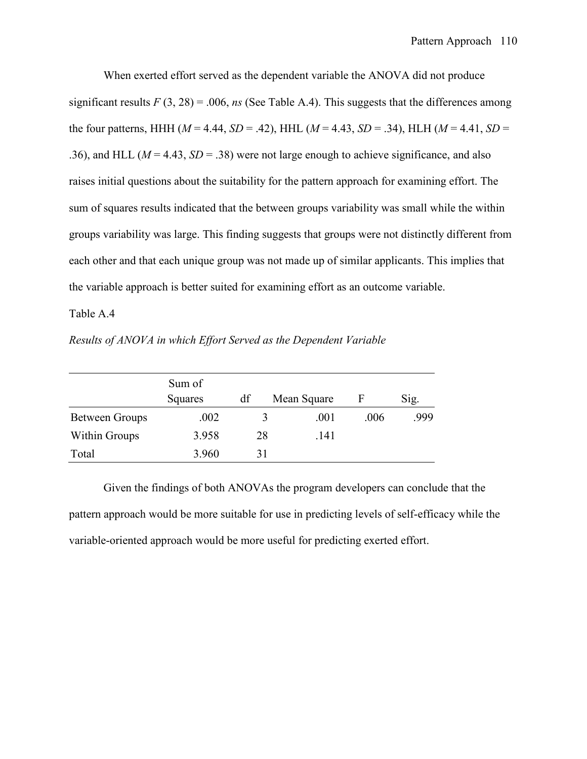When exerted effort served as the dependent variable the ANOVA did not produce significant results  $F(3, 28) = .006$ , *ns* (See Table A.4). This suggests that the differences among the four patterns, HHH ( $M = 4.44$ ,  $SD = .42$ ), HHL ( $M = 4.43$ ,  $SD = .34$ ), HLH ( $M = 4.41$ ,  $SD =$ .36), and HLL ( $M = 4.43$ ,  $SD = 0.38$ ) were not large enough to achieve significance, and also raises initial questions about the suitability for the pattern approach for examining effort. The sum of squares results indicated that the between groups variability was small while the within groups variability was large. This finding suggests that groups were not distinctly different from each other and that each unique group was not made up of similar applicants. This implies that the variable approach is better suited for examining effort as an outcome variable.

#### Table A.4

|                       | Sum of  |    |             |      |      |
|-----------------------|---------|----|-------------|------|------|
|                       | Squares | df | Mean Square | F    | Sig. |
| <b>Between Groups</b> | .002    |    | .001        | .006 | .999 |
| Within Groups         | 3.958   | 28 | .141        |      |      |
| Total                 | 3.960   | 31 |             |      |      |

*Results of ANOVA in which Effort Served as the Dependent Variable* 

 Given the findings of both ANOVAs the program developers can conclude that the pattern approach would be more suitable for use in predicting levels of self-efficacy while the variable-oriented approach would be more useful for predicting exerted effort.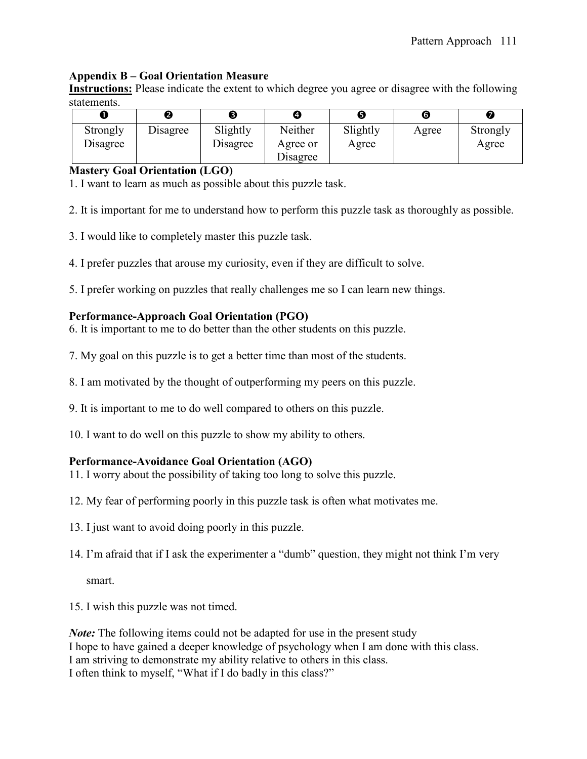## **Appendix B – Goal Orientation Measure**

**Instructions:** Please indicate the extent to which degree you agree or disagree with the following statements.

|                      | 2        | В                    | Ø                               | ❺                 | G     | Z                 |
|----------------------|----------|----------------------|---------------------------------|-------------------|-------|-------------------|
| Strongly<br>Disagree | Disagree | Slightly<br>Disagree | Neither<br>Agree or<br>Disagree | Slightly<br>Agree | Agree | Strongly<br>Agree |

### **Mastery Goal Orientation (LGO)**

1. I want to learn as much as possible about this puzzle task.

2. It is important for me to understand how to perform this puzzle task as thoroughly as possible.

- 3. I would like to completely master this puzzle task.
- 4. I prefer puzzles that arouse my curiosity, even if they are difficult to solve.

5. I prefer working on puzzles that really challenges me so I can learn new things.

## **Performance-Approach Goal Orientation (PGO)**

6. It is important to me to do better than the other students on this puzzle.

- 7. My goal on this puzzle is to get a better time than most of the students.
- 8. I am motivated by the thought of outperforming my peers on this puzzle.
- 9. It is important to me to do well compared to others on this puzzle.
- 10. I want to do well on this puzzle to show my ability to others.

## **Performance-Avoidance Goal Orientation (AGO)**

11. I worry about the possibility of taking too long to solve this puzzle.

- 12. My fear of performing poorly in this puzzle task is often what motivates me.
- 13. I just want to avoid doing poorly in this puzzle.
- 14. I'm afraid that if I ask the experimenter a "dumb" question, they might not think I'm very

smart.

15. I wish this puzzle was not timed.

*Note:* The following items could not be adapted for use in the present study I hope to have gained a deeper knowledge of psychology when I am done with this class. I am striving to demonstrate my ability relative to others in this class. I often think to myself, "What if I do badly in this class?"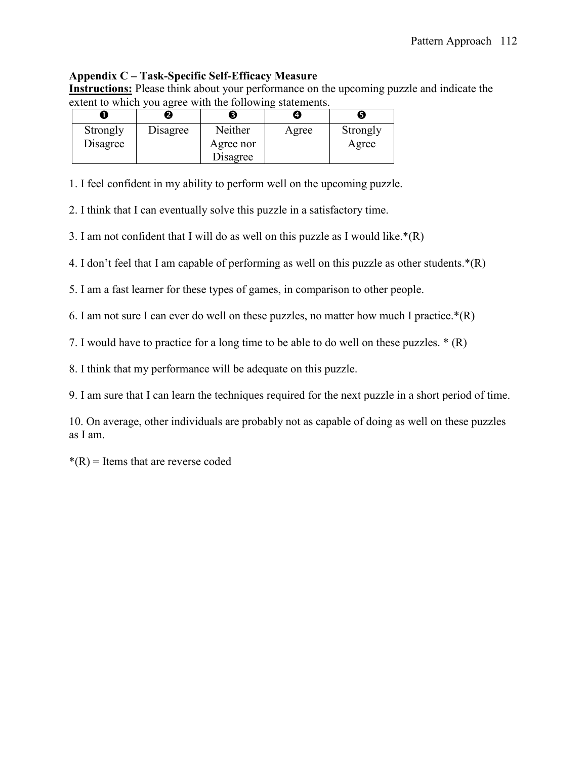## **Appendix C – Task-Specific Self-Efficacy Measure**

**Instructions:** Please think about your performance on the upcoming puzzle and indicate the extent to which you agree with the following statements.

|          |          |           | 4.    | Ы        |
|----------|----------|-----------|-------|----------|
| Strongly | Disagree | Neither   | Agree | Strongly |
| Disagree |          | Agree nor |       | Agree    |
|          |          | Disagree  |       |          |

1. I feel confident in my ability to perform well on the upcoming puzzle.

2. I think that I can eventually solve this puzzle in a satisfactory time.

3. I am not confident that I will do as well on this puzzle as I would like. $*(R)$ 

4. I don't feel that I am capable of performing as well on this puzzle as other students.\*(R)

5. I am a fast learner for these types of games, in comparison to other people.

6. I am not sure I can ever do well on these puzzles, no matter how much I practice. $*(R)$ 

7. I would have to practice for a long time to be able to do well on these puzzles. \* (R)

8. I think that my performance will be adequate on this puzzle.

9. I am sure that I can learn the techniques required for the next puzzle in a short period of time.

10. On average, other individuals are probably not as capable of doing as well on these puzzles as I am.

 $*(R)$  = Items that are reverse coded